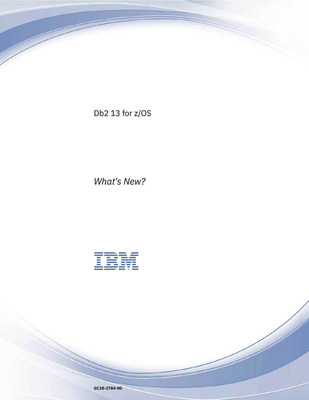Db2 13 for z/OS

*What's New?*



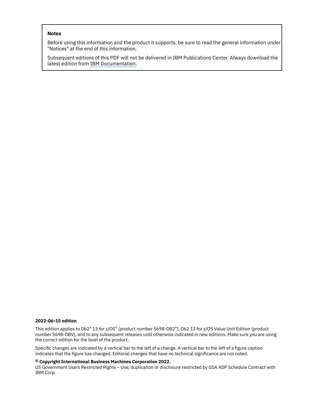### **Notes**

Before using this information and the product it supports, be sure to read the general information under "Notices" at the end of this information.

Subsequent editions of this PDF will not be delivered in IBM Publications Center. Always download the latest edition from [IBM Documentation.](https://www.ibm.com/docs/en/SSEPEK_13.0.0/home/src/tpc/db2z_pdfmanuals.html)

### **2022-06-15 edition**

This edition applies to Db2® 13 for z/OS® (product number 5698-DB2®), Db2 13 for z/OS Value Unit Edition (product number 5698-DBV), and to any subsequent releases until otherwise indicated in new editions. Make sure you are using the correct edition for the level of the product.

Specific changes are indicated by a vertical bar to the left of a change. A vertical bar to the left of a figure caption indicates that the figure has changed. Editorial changes that have no technical significance are not noted.

### **© Copyright International Business Machines Corporation 2022.**

US Government Users Restricted Rights – Use, duplication or disclosure restricted by GSA ADP Schedule Contract with IBM Corp.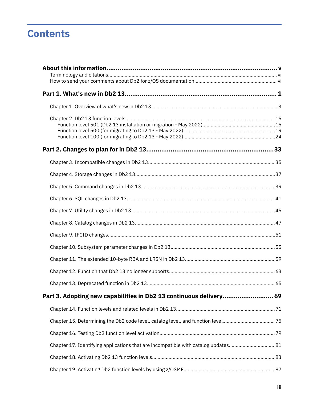# **Contents**

| Part 3. Adopting new capabilities in Db2 13 continuous delivery 69                 |  |
|------------------------------------------------------------------------------------|--|
|                                                                                    |  |
|                                                                                    |  |
|                                                                                    |  |
| Chapter 17. Identifying applications that are incompatible with catalog updates 81 |  |
|                                                                                    |  |
|                                                                                    |  |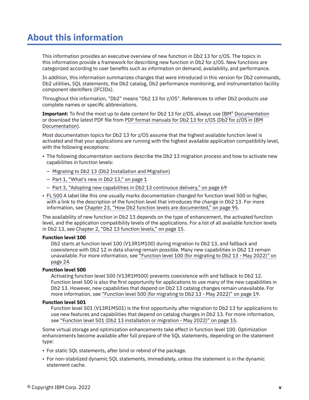# <span id="page-4-0"></span>**About this information**

This information provides an executive overview of new function in Db2 13 for z/OS. The topics in this information provide a framework for describing new function in Db2 for z/OS. New functions are categorized according to user benefits such as information on demand, availability, and performance.

In addition, this information summarizes changes that were introduced in this version for Db2 commands, Db2 utilities, SQL statements, the Db2 catalog, Db2 performance monitoring, and instrumentation facility component identifiers (IFCIDs).

Throughout this information, "Db2" means "Db2 13 for z/OS". References to other Db2 products use complete names or specific abbreviations.

**Important:** To find the most up to date content for Db2 13 for z/OS, always use IBM® [Documentation](https://www.ibm.com/support/knowledgecenter/en/SSEPEK_13.0.0/home/src/tpc/db2z_13_prodhome.html) or download the latest PDF file from [PDF format manuals for Db2 13 for z/OS \(Db2 for z/OS in IBM](https://www.ibm.com/docs/en/SSEPEK_13.0.0/home/src/tpc/db2z_pdfmanuals.html) [Documentation\)](https://www.ibm.com/docs/en/SSEPEK_13.0.0/home/src/tpc/db2z_pdfmanuals.html).

Most documentation topics for Db2 13 for z/OS assume that the highest available function level is activated and that your applications are running with the highest available application compatibility level, with the following exceptions:

- The following documentation sections describe the Db2 13 migration process and how to activate new capabilities in function levels:
	- – [Migrating to Db2 13 \(Db2 Installation and Migration\)](https://www.ibm.com/docs/en/SSEPEK_13.0.0/inst/src/tpc/db2z_migrdb2.html)
	- – [Part 1, "What's new in Db2 13," on page 1](#page-6-0)
	- – [Part 3, "Adopting new capabilities in Db2 13 continuous delivery," on page 69](#page-74-0)
- • [FL 500](#page-24-0) A label like this one usually marks documentation changed for function level 500 or higher, with a link to the description of the function level that introduces the change in Db2 13. For more information, see [Chapter 23, "How Db2 function levels are documented," on page 95](#page-100-0).

The availability of new function in Db2 13 depends on the type of enhancement, the activated function level, and the application compatibility levels of the applications. For a list of all available function levels in Db2 13, see [Chapter 2, "Db2 13 function levels," on page 15.](#page-20-0)

### **Function level 100**

Db2 starts at function level 100 (V13R1M100) during migration to Db2 13, and fallback and coexistence with Db2 12 in data sharing remain possible. Many new capabilities in Db2 13 remain unavailable. For more information, see ["Function level 100 \(for migrating to Db2 13 - May 2022\)" on](#page-29-0) [page 24](#page-29-0).

### **Function level 500**

Activating function level 500 (V13R1M500) prevents coexistence with and fallback to Db2 12. Function level 500 is also the first opportunity for applications to use many of the new capabilities in Db2 13. However, new capabilities that depend on Db2 13 catalog changes remain unavailable. For more information, see ["Function level 500 \(for migrating to Db2 13 - May 2022\)" on page 19](#page-24-0).

### **Function level 501**

Function level 501 (V13R1M501) is the first opportunity after migration to Db2 13 for applications to use new features and capabilities that depend on catalog changes in Db2 13. For more information, see ["Function level 501 \(Db2 13 installation or migration - May 2022\)" on page 15](#page-20-0).

Some virtual storage and optimization enhancements take effect in function level 100. Optimization enhancements become available after full prepare of the SQL statements, depending on the statement type:

- For static SQL statements, after bind or rebind of the package.
- For non-stabilized dynamic SQL statements, immediately, unless the statement is in the dynamic statement cache.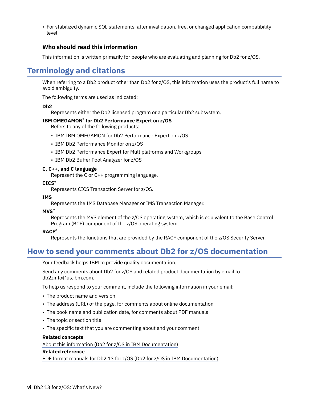<span id="page-5-0"></span>• For stabilized dynamic SQL statements, after invalidation, free, or changed application compatibility level.

## **Who should read this information**

This information is written primarily for people who are evaluating and planning for Db2 for z/OS.

## **Terminology and citations**

When referring to a Db2 product other than Db2 for z/OS, this information uses the product's full name to avoid ambiguity.

The following terms are used as indicated:

### **Db2**

Represents either the Db2 licensed program or a particular Db2 subsystem.

### **IBM OMEGAMON® for Db2 Performance Expert on z/OS**

Refers to any of the following products:

- IBM IBM OMEGAMON for Db2 Performance Expert on z/OS
- IBM Db2 Performance Monitor on z/OS
- IBM Db2 Performance Expert for Multiplatforms and Workgroups
- IBM Db2 Buffer Pool Analyzer for z/OS

### **C, C++, and C language**

Represent the C or C++ programming language.

### **CICS®**

Represents CICS Transaction Server for z/OS.

### **IMS**

Represents the IMS Database Manager or IMS Transaction Manager.

### **MVS™**

Represents the MVS element of the z/OS operating system, which is equivalent to the Base Control Program (BCP) component of the z/OS operating system.

### **RACF®**

Represents the functions that are provided by the RACF component of the z/OS Security Server.

## **How to send your comments about Db2 for z/OS documentation**

Your feedback helps IBM to provide quality documentation.

Send any comments about Db2 for z/OS and related product documentation by email to [db2zinfo@us.ibm.com](mailto:db2zinfo@us.ibm.com).

To help us respond to your comment, include the following information in your email:

- The product name and version
- The address (URL) of the page, for comments about online documentation
- The book name and publication date, for comments about PDF manuals
- The topic or section title
- The specific text that you are commenting about and your comment

### **Related concepts**

[About this information \(Db2 for z/OS in IBM Documentation\)](https://www.ibm.com/docs/en/SSEPEK_13.0.0/home/src/cmn/db2z_cmn_aboutinfo.html)

### **Related reference**

[PDF format manuals for Db2 13 for z/OS \(Db2 for z/OS in IBM Documentation\)](https://www.ibm.com/docs/en/SSEPEK_13.0.0/home/src/tpc/db2z_pdfmanuals.html)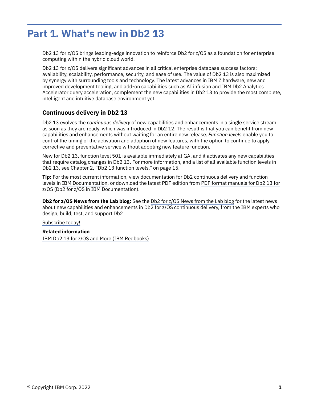# <span id="page-6-0"></span>**Part 1. What's new in Db2 13**

Db2 13 for z/OS brings leading-edge innovation to reinforce Db2 for z/OS as a foundation for enterprise computing within the hybrid cloud world.

Db2 13 for z/OS delivers significant advances in all critical enterprise database success factors: availability, scalability, performance, security, and ease of use. The value of Db2 13 is also maximized by synergy with surrounding tools and technology. The latest advances in IBM Z hardware, new and improved development tooling, and add-on capabilities such as AI infusion and IBM Db2 Analytics Accelerator query acceleration, complement the new capabilities in Db2 13 to provide the most complete, intelligent and intuitive database environment yet.

## **Continuous delivery in Db2 13**

Db2 13 evolves the *continuous delivery* of new capabilities and enhancements in a single service stream as soon as they are ready, which was introduced in Db2 12. The result is that you can benefit from new capabilities and enhancements without waiting for an entire new release. *Function levels* enable you to control the timing of the activation and adoption of new features, with the option to continue to apply corrective and preventative service without adopting new feature function.

New for Db2 13, function level 501 is available immediately at GA, and it activates any new capabilities that require catalog changes in Db2 13. For more information, and a list of all available function levels in Db2 13, see [Chapter 2, "Db2 13 function levels," on page 15](#page-20-0).

**Tip:** For the most current information, view documentation for Db2 continuous delivery and function levels in [IBM Documentation](https://www.ibm.com/support/knowledgecenter/en/SSEPEK_13.0.0/home/src/tpc/db2z_13_prodhome.html), or download the latest PDF edition from [PDF format manuals for Db2 13 for](https://www.ibm.com/docs/en/SSEPEK_13.0.0/home/src/tpc/db2z_pdfmanuals.html) [z/OS \(Db2 for z/OS in IBM Documentation\)](https://www.ibm.com/docs/en/SSEPEK_13.0.0/home/src/tpc/db2z_pdfmanuals.html).

**Db2 for z/OS News from the Lab blog:** See the [Db2 for z/OS News from the Lab blog](https://community.ibm.com/community/user/hybriddatamanagement/communities/community-home/recent-community-blogs?communitykey=621c2a2a-01f9-4b57-992f-36ed7432e3bb) for the latest news about new capabilities and enhancements in Db2 for z/OS continuous delivery, from the IBM experts who design, build, test, and support Db2

[Subscribe today!](https://community.ibm.com/community/user/hybriddatamanagement/viewdocument/db2znews-blog-subscribe?CommunityKey=621c2a2a-01f9-4b57-992f-36ed7432e3bb)

### **Related information** [IBM Db2 13 for z/OS and More \(IBM Redbooks\)](https://www.redbooks.ibm.com/abstracts/sg248527.html)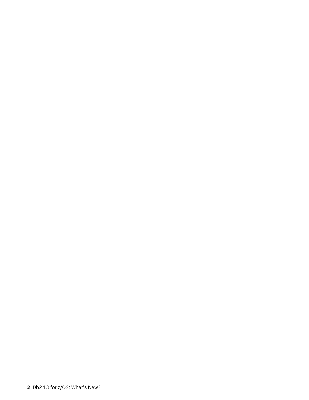Db2 13 for z/OS: What's New?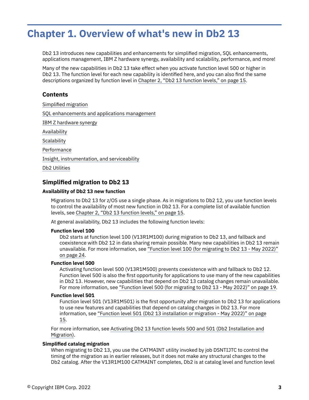# <span id="page-8-0"></span>**Chapter 1. Overview of what's new in Db2 13**

Db2 13 introduces new capabilities and enhancements for simplified migration, SQL enhancements, applications management, IBM Z hardware synergy, availability and scalability, performance, and more!

Many of the new capabilities in Db2 13 take effect when you activate function level 500 or higher in Db2 13. The function level for each new capability is identified here, and you can also find the same descriptions organized by function level in [Chapter 2, "Db2 13 function levels," on page 15](#page-20-0).

### **Contents**

Simplified migration [SQL enhancements and applications management](#page-9-0) [IBM Z hardware synergy](#page-9-0) [Availability](#page-10-0) [Scalability](#page-13-0) [Performance](#page-15-0) [Insight, instrumentation, and serviceability](#page-18-0) [Db2 Utilities](#page-16-0)

### **Simplified migration to Db2 13**

### **Availability of Db2 13 new function**

Migrations to Db2 13 for z/OS use a single phase. As in migrations to Db2 12, you use function levels to control the availability of most new function in Db2 13. For a complete list of available function levels, see [Chapter 2, "Db2 13 function levels," on page 15.](#page-20-0)

At general availability, Db2 13 includes the following function levels:

### **Function level 100**

Db2 starts at function level 100 (V13R1M100) during migration to Db2 13, and fallback and coexistence with Db2 12 in data sharing remain possible. Many new capabilities in Db2 13 remain unavailable. For more information, see ["Function level 100 \(for migrating to Db2 13 - May 2022\)"](#page-29-0) [on page 24.](#page-29-0)

### **Function level 500**

Activating function level 500 (V13R1M500) prevents coexistence with and fallback to Db2 12. Function level 500 is also the first opportunity for applications to use many of the new capabilities in Db2 13. However, new capabilities that depend on Db2 13 catalog changes remain unavailable. For more information, see ["Function level 500 \(for migrating to Db2 13 - May 2022\)" on page 19](#page-24-0).

### **Function level 501**

Function level 501 (V13R1M501) is the first opportunity after migration to Db2 13 for applications to use new features and capabilities that depend on catalog changes in Db2 13. For more information, see ["Function level 501 \(Db2 13 installation or migration - May 2022\)" on page](#page-20-0) [15](#page-20-0).

For more information, see [Activating Db2 13 function levels 500 and 501 \(Db2 Installation and](https://www.ibm.com/docs/en/SSEPEK_13.0.0/inst/src/tpc/db2z_activateflmigrate.html) [Migration\).](https://www.ibm.com/docs/en/SSEPEK_13.0.0/inst/src/tpc/db2z_activateflmigrate.html)

### **Simplified catalog migration**

When migrating to Db2 13, you use the CATMAINT utility invoked by job DSNTIJTC to control the timing of the migration as in earlier releases, but it does not make any structural changes to the Db2 catalog. After the V13R1M100 CATMAINT completes, Db2 is at catalog level and function level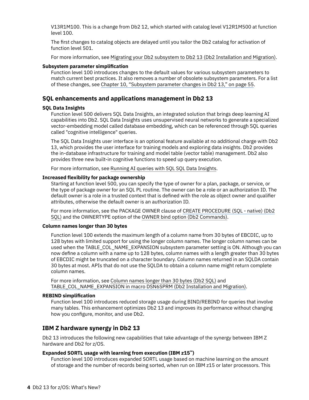<span id="page-9-0"></span>V13R1M100. This is a change from Db2 12, which started with catalog level V12R1M500 at function level 100.

The first changes to catalog objects are delayed until you tailor the Db2 catalog for activation of function level 501.

For more information, see [Migrating your Db2 subsystem to Db2 13 \(Db2 Installation and Migration\).](https://www.ibm.com/docs/en/SSEPEK_13.0.0/inst/src/tpc/db2z_migr2newr.html)

### **Subsystem parameter simplification**

Function level 100 introduces changes to the default values for various subsystem parameters to match current best practices. It also removes a number of obsolete subsystem parameters. For a list of these changes, see [Chapter 10, "Subsystem parameter changes in Db2 13," on page 55.](#page-60-0)

### **SQL enhancements and applications management in Db2 13**

### **SQL Data Insights**

Function level 500 delivers SQL Data Insights, an integrated solution that brings deep learning AI capabilities into Db2. SQL Data Insights uses unsupervised neural networks to generate a specialized vector-embedding model called database embedding, which can be referenced through SQL queries called "cognitive intelligence" queries.

The SQL Data Insights user interface is an optional feature available at no additional charge with Db2 13, which provides the user interface for training models and exploring data insights. Db2 provides the in-database infrastructure for training and model table (vector table) management. Db2 also provides three new built-in cognitive functions to speed up query execution.

For more information, see [Running AI queries with SQL SQL Data Insights.](https://www.ibm.com/docs/en/db2-for-zos/13?topic=SSEPEK_13.0.0/sqldi/src/tpc/sqldi_overview.html)

### **Increased flexibility for package ownership**

Starting at function level 500, you can specify the type of owner for a plan, package, or service, or the type of package owner for an SQL PL routine. The owner can be a role or an authorization ID. The default owner is a role in a trusted context that is defined with the role as object owner and qualifier attributes, otherwise the default owner is an authorization ID.

For more information, see the PACKAGE OWNER clause of [CREATE PROCEDURE \(SQL - native\) \(Db2](https://www.ibm.com/docs/en/SSEPEK_13.0.0/sqlref/src/tpc/db2z_sql_createproceduresqlnative.html) [SQL\)](https://www.ibm.com/docs/en/SSEPEK_13.0.0/sqlref/src/tpc/db2z_sql_createproceduresqlnative.html) and the OWNERTYPE option of the [OWNER bind option \(Db2 Commands\)](https://www.ibm.com/docs/en/SSEPEK_13.0.0/comref/src/tpc/db2z_bindoptowner.html).

### **Column names longer than 30 bytes**

Function level 100 extends the maximum length of a column name from 30 bytes of EBCDIC, up to 128 bytes with limited support for using the longer column names. The longer column names can be used when the TABLE\_COL\_NAME\_EXPANSION subsystem parameter setting is ON. Although you can now define a column with a name up to 128 bytes, column names with a length greater than 30 bytes of EBCDIC might be truncated on a character boundary. Column names returned in an SQLDA contain 30 bytes at most. APIs that do not use the SQLDA to obtain a column name might return complete column names.

For more information, see [Column names longer than 30 bytes \(Db2 SQL\)](https://www.ibm.com/docs/en/SSEPEK_13.0.0/sqlref/src/tpc/db2z_longcolumnnames.html) and [TABLE\\_COL\\_NAME\\_EXPANSION in macro DSN6SPRM \(Db2 Installation and Migration\)](https://www.ibm.com/docs/en/SSEPEK_13.0.0/inst/src/tpc/db2z_ipf_tablecolnameexpansion.html).

### **REBIND simplification**

Function level 100 introduces reduced storage usage during BIND/REBIND for queries that involve many tables. This enhancement optimizes Db2 13 and improves its performance without changing how you configure, monitor, and use Db2.

### **IBM Z hardware synergy in Db2 13**

Db2 13 introduces the following new capabilities that take advantage of the synergy between IBM Z hardware and Db2 for z/OS.

### **Expanded SORTL usage with learning from execution (IBM z15™)**

Function level 100 introduces expanded SORTL usage based on machine learning on the amount of storage and the number of records being sorted, when run on IBM z15 or later processors. This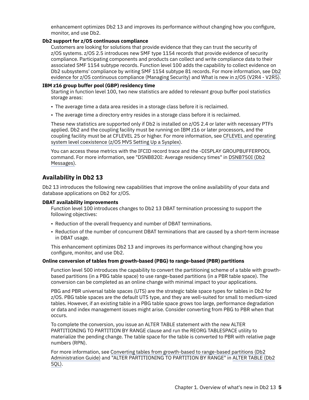<span id="page-10-0"></span>enhancement optimizes Db2 13 and improves its performance without changing how you configure, monitor, and use Db2.

### **Db2 support for z/OS continuous compliance**

Customers are looking for solutions that provide evidence that they can trust the security of z/OS systems. z/OS 2.5 introduces new SMF type 1154 records that provide evidence of security compliance. Participating components and products can collect and write compliance data to their associated SMF 1154 subtype records. Function level 100 adds the capability to collect evidence on Db2 subsystems' compliance by writing SMF 1154 subtype 81 records. For more information, see [Db2](https://www.ibm.com/docs/en/SSEPEK_13.0.0/seca/src/tpc/db2z_zcontinuouscompliance.html) [evidence for z/OS continuous compliance \(Managing Security\)](https://www.ibm.com/docs/en/SSEPEK_13.0.0/seca/src/tpc/db2z_zcontinuouscompliance.html) and [What is new in z/OS \(V2R4 - V2R5\)](https://www.ibm.com/docs/en/zos/2.5.0?topic=guide-what-is-new-in-zos-v2r4-v2r5).

### **IBM z16 group buffer pool (GBP) residency time**

Starting in function level 100, two new statistics are added to relevant group buffer pool statistics storage areas:

- The average time a data area resides in a storage class before it is reclaimed.
- The average time a directory entry resides in a storage class before it is reclaimed.

These new statistics are supported only if Db2 is installed on z/OS 2.4 or later with necessary PTFs applied. Db2 and the coupling facility must be running on IBM z16 or later processors, and the coupling facility must be at CFLEVEL 25 or higher. For more information, see [CFLEVEL and operating](http://www.ibm.com/support/knowledgecenter/SSLTBW_2.5.0/com.ibm.zos.v2r5.ieaf100/r4cfl.htm) [system level coexistence \(z/OS MVS Setting Up a Sysplex\).](http://www.ibm.com/support/knowledgecenter/SSLTBW_2.5.0/com.ibm.zos.v2r5.ieaf100/r4cfl.htm)

You can access these metrics with the IFCID record trace and the -DISPLAY GROUPBUFFERPOOL command. For more information, see "DSNB820I: Average residency times" in [DSNB750I \(Db2](https://www.ibm.com/docs/en/SSEPEK_13.0.0/msgs/src/tpc/dsnb750i.html) [Messages\).](https://www.ibm.com/docs/en/SSEPEK_13.0.0/msgs/src/tpc/dsnb750i.html)

## **Availability in Db2 13**

Db2 13 introduces the following new capabilities that improve the online availability of your data and database applications on Db2 for z/OS.

### **DBAT availability improvements**

Function level 100 introduces changes to Db2 13 DBAT termination processing to support the following objectives:

- Reduction of the overall frequency and number of DBAT terminations.
- Reduction of the number of concurrent DBAT terminations that are caused by a short-term increase in DBAT usage.

This enhancement optimizes Db2 13 and improves its performance without changing how you configure, monitor, and use Db2.

### **Online conversion of tables from growth-based (PBG) to range-based (PBR) partitions**

Function level 500 introduces the capability to convert the partitioning scheme of a table with growthbased partitions (in a PBG table space) to use range-based partitions (in a PBR table space). The conversion can be completed as an online change with minimal impact to your applications.

PBG and PBR universal table spaces (UTS) are the strategic table space types for tables in Db2 for z/OS. PBG table spaces are the default UTS type, and they are well-suited for small to medium-sized tables. However, if an existing table in a PBG table space grows too large, performance degradation or data and index management issues might arise. Consider converting from PBG to PBR when that occurs.

To complete the conversion, you issue an ALTER TABLE statement with the new ALTER PARTITIONING TO PARTITION BY RANGE clause and run the REORG TABLESPACE utility to materialize the pending change. The table space for the table is converted to PBR with relative page numbers (RPN).

For more information, see [Converting tables from growth-based to range-based partitions \(Db2](https://www.ibm.com/docs/en/SSEPEK_13.0.0/admin/src/tpc/db2z_convertpbgtabletopbr.html) [Administration Guide\)](https://www.ibm.com/docs/en/SSEPEK_13.0.0/admin/src/tpc/db2z_convertpbgtabletopbr.html) and "ALTER PARTITIONING TO PARTITION BY RANGE" in [ALTER TABLE \(Db2](https://www.ibm.com/docs/en/SSEPEK_13.0.0/sqlref/src/tpc/db2z_sql_altertable.html) [SQL\)](https://www.ibm.com/docs/en/SSEPEK_13.0.0/sqlref/src/tpc/db2z_sql_altertable.html).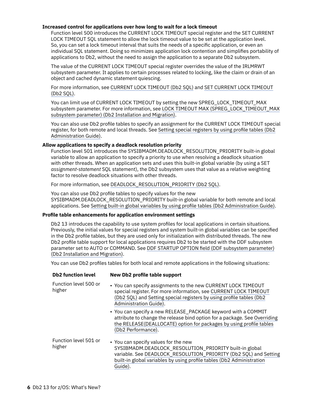### **Increased control for applications over how long to wait for a lock timeout**

Function level 500 introduces the CURRENT LOCK TIMEOUT special register and the SET CURRENT LOCK TIMEOUT SQL statement to allow the lock timeout value to be set at the application level. So, you can set a lock timeout interval that suits the needs of a specific application, or even an individual SQL statement. Doing so minimizes application lock contention and simplifies portability of applications to Db2, without the need to assign the application to a separate Db2 subsystem.

The value of the CURRENT LOCK TIMEOUT special register overrides the value of the IRLMRWT subsystem parameter. It applies to certain processes related to locking, like the claim or drain of an object and cached dynamic statement quiescing.

For more information, see [CURRENT LOCK TIMEOUT \(Db2 SQL\)](https://www.ibm.com/docs/en/SSEPEK_13.0.0/sqlref/src/tpc/db2z_currentlocktimeout.html) and [SET CURRENT LOCK TIMEOUT](https://www.ibm.com/docs/en/SSEPEK_13.0.0/sqlref/src/tpc/db2z_sql_setcurrentlocktimeout.html) [\(Db2 SQL\)](https://www.ibm.com/docs/en/SSEPEK_13.0.0/sqlref/src/tpc/db2z_sql_setcurrentlocktimeout.html).

You can limit use of CURRENT LOCK TIMEOUT by setting the new SPREG\_LOCK\_TIMEOUT\_MAX subsystem parameter. For more information, see [LOCK TIMEOUT MAX \(SPREG\\_LOCK\\_TIMEOUT\\_MAX](https://www.ibm.com/docs/en/SSEPEK_13.0.0/inst/src/tpc/db2z_ipf_spregltom.html) [subsystem parameter\) \(Db2 Installation and Migration\)](https://www.ibm.com/docs/en/SSEPEK_13.0.0/inst/src/tpc/db2z_ipf_spregltom.html).

You can also use Db2 profile tables to specify an assignment for the CURRENT LOCK TIMEOUT special register, for both remote and local threads. See [Setting special registers by using profile tables \(Db2](https://www.ibm.com/docs/en/SSEPEK_13.0.0/admin/src/tpc/db2z_settingspecialregisterprofiles.html) [Administration Guide\)](https://www.ibm.com/docs/en/SSEPEK_13.0.0/admin/src/tpc/db2z_settingspecialregisterprofiles.html).

### **Allow applications to specify a deadlock resolution priority**

Function level 501 introduces the SYSIBMADM.DEADLOCK\_RESOLUTION\_PRIORITY built-in global variable to allow an application to specify a priority to use when resolving a deadlock situation with other threads. When an application sets and uses this built-in global variable (by using a SET *assignment-statement* SQL statement), the Db2 subsystem uses that value as a relative weighting factor to resolve deadlock situations with other threads.

For more information, see [DEADLOCK\\_RESOLUTION\\_PRIORITY \(Db2 SQL\)](https://www.ibm.com/docs/en/SSEPEK_13.0.0/sqlref/src/tpc/db2z_bigv_deadlockresolutionpriority.html).

You can also use Db2 profile tables to specify values for the new SYSIBMADM.DEADLOCK\_RESOLUTION\_PRIORITY built-in global variable for both remote and local applications. See [Setting built-in global variables by using profile tables \(Db2 Administration Guide\)](https://www.ibm.com/docs/en/SSEPEK_13.0.0/admin/src/tpc/db2z_settingglobalvariablesprofiles.html).

### **Profile table enhancements for application environment settings**

Db2 13 introduces the capability to use system profiles for local applications in certain situations. Previously, the initial values for special registers and system built-in global variables can be specified in the Db2 profile tables, but they are used only for initialization with distributed threads. The new Db2 profile table support for local applications requires Db2 to be started with the DDF subsystem parameter set to AUTO or COMMAND. See [DDF STARTUP OPTION field \(DDF subsystem parameter\)](https://www.ibm.com/docs/en/SSEPEK_13.0.0/inst/src/tpc/db2z_ipf_ddf.html) [\(Db2 Installation and Migration\).](https://www.ibm.com/docs/en/SSEPEK_13.0.0/inst/src/tpc/db2z_ipf_ddf.html)

You can use Db2 profiles tables for both local and remote applications in the following situations:

| <b>Db2 function level</b>       | New Db2 profile table support                                                                                                                                                                                                                          |
|---------------------------------|--------------------------------------------------------------------------------------------------------------------------------------------------------------------------------------------------------------------------------------------------------|
| Function level 500 or<br>higher | • You can specify assignments to the new CURRENT LOCK TIMEOUT<br>special register. For more information, see CURRENT LOCK TIMEOUT<br>(Db2 SQL) and Setting special registers by using profile tables (Db2<br>Administration Guide).                    |
|                                 | • You can specify a new RELEASE_PACKAGE keyword with a COMMIT<br>attribute to change the release bind option for a package. See Overriding<br>the RELEASE(DEALLOCATE) option for packages by using profile tables<br>(Db2 Performance).                |
| Function level 501 or<br>higher | • You can specify values for the new<br>SYSIBMADM.DEADLOCK_RESOLUTION_PRIORITY built-in global<br>variable. See DEADLOCK_RESOLUTION_PRIORITY (Db2 SQL) and Setting<br>built-in global variables by using profile tables (Db2 Administration<br>Guide). |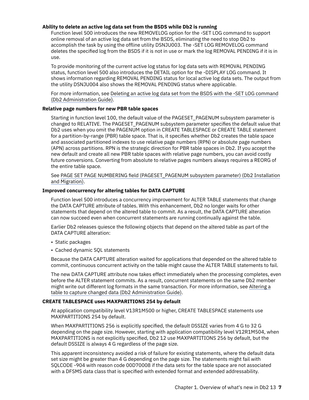### **Ability to delete an active log data set from the BSDS while Db2 is running**

Function level 500 introduces the new REMOVELOG option for the -SET LOG command to support online removal of an active log data set from the BSDS, eliminating the need to stop Db2 to accomplish the task by using the offline utility DSNJU003. The -SET LOG REMOVELOG command deletes the specified log from the BSDS if it is not in use or mark the log REMOVAL PENDING if it is in use.

To provide monitoring of the current active log status for log data sets with REMOVAL PENDING status, function level 500 also introduces the DETAIL option for the -DISPLAY LOG command. It shows information regarding REMOVAL PENDING status for local active log data sets. The output from the utility DSNJU004 also shows the REMOVAL PENDING status where applicable.

For more information, see [Deleting an active log data set from the BSDS with the -SET LOG command](https://www.ibm.com/docs/en/SSEPEK_13.0.0/admin/src/tpc/db2z_deletingactivelogds.html) [\(Db2 Administration Guide\).](https://www.ibm.com/docs/en/SSEPEK_13.0.0/admin/src/tpc/db2z_deletingactivelogds.html)

### **Relative page numbers for new PBR table spaces**

Starting in function level 100, the default value of the PAGESET\_PAGENUM subsystem parameter is changed to RELATIVE. The PAGESET\_PAGENUM subsystem parameter specifies the default value that Db2 uses when you omit the PAGENUM option in CREATE TABLESPACE or CREATE TABLE statement for a partition-by-range (PBR) table space. That is, it specifies whether Db2 creates the table space and associated partitioned indexes to use relative page numbers (RPN) or absolute page numbers (APN) across partitions. RPN is the strategic direction for PBR table spaces in Db2. If you accept the new default and create all new PBR table spaces with relative page numbers, you can avoid costly future conversions. Converting from absolute to relative pages numbers always requires a REORG of the entire table space.

See [PAGE SET PAGE NUMBERING field \(PAGESET\\_PAGENUM subsystem parameter\) \(Db2 Installation](https://www.ibm.com/docs/en/SSEPEK_13.0.0/inst/src/tpc/db2z_ipf_pagesetpagenum.html) [and Migration\).](https://www.ibm.com/docs/en/SSEPEK_13.0.0/inst/src/tpc/db2z_ipf_pagesetpagenum.html)

### **Improved concurrency for altering tables for DATA CAPTURE**

Function level 500 introduces a concurrency improvement for ALTER TABLE statements that change the DATA CAPTURE attribute of tables. With this enhancement, Db2 no longer waits for other statements that depend on the altered table to commit. As a result, the DATA CAPTURE alteration can now succeed even when concurrent statements are running continually against the table.

Earlier Db2 releases quiesce the following objects that depend on the altered table as part of the DATA CAPTURE alteration:

- Static packages
- Cached dynamic SQL statements

Because the DATA CAPTURE alteration waited for applications that depended on the altered table to commit, continuous concurrent activity on the table might cause the ALTER TABLE statements to fail.

The new DATA CAPTURE attribute now takes effect immediately when the processing completes, even before the ALTER statement commits. As a result, concurrent statements on the same Db2 member might write out different log formats in the same transaction. For more information, see [Altering a](https://www.ibm.com/docs/en/SSEPEK_13.0.0/admin/src/tpc/db2z_altertablefordatacapture.html) [table to capture changed data \(Db2 Administration Guide\).](https://www.ibm.com/docs/en/SSEPEK_13.0.0/admin/src/tpc/db2z_altertablefordatacapture.html)

### **CREATE TABLESPACE uses MAXPARITIONS 254 by default**

At application compatibility level V13R1M500 or higher, CREATE TABLESPACE statements use MAXPARTITIONS 254 by default.

When MAXPARTITIONS 256 is explicitly specified, the default DSSIZE varies from 4 G to 32 G depending on the page size. However, starting with application compatibility level V12R1M504, when MAXPARTITIONS is not explicitly specified, Db2 12 use MAXPARTITIONS 256 by default, but the default DSSIZE is always 4 G regardless of the page size.

This apparent inconsistency avoided a risk of failure for existing statements, where the default data set size might be greater than 4 G depending on the page size. The statements might fail with SQLCODE -904 with reason code 00D70008 if the data sets for the table space are not associated with a DFSMS data class that is specified with extended format and extended addressability.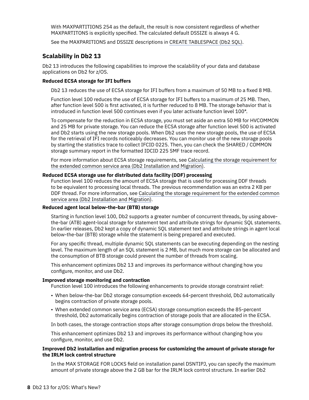<span id="page-13-0"></span>With MAXPARTITIONS 254 as the default, the result is now consistent regardless of whether MAXPARTITONS is explicitly specified. The calculated default DSSIZE is always 4 G.

See the MAXPARITIONS and DSSIZE descriptions in [CREATE TABLESPACE \(Db2 SQL\)](https://www.ibm.com/docs/en/SSEPEK_13.0.0/sqlref/src/tpc/db2z_sql_createtablespace.html).

## **Scalability in Db2 13**

Db2 13 introduces the following capabilities to improve the scalability of your data and database applications on Db2 for z/OS.

### **Reduced ECSA storage for IFI buffers**

Db2 13 reduces the use of ECSA storage for IFI buffers from a maximum of 50 MB to a fixed 8 MB.

Function level 100 reduces the use of ECSA storage for IFI buffers to a maximum of 25 MB. Then, after function level 500 is first activated, it is further reduced to 8 MB. The storage behavior that is introduced in function level 500 continues even if you later activate function level 100\*.

To compensate for the reduction in ECSA storage, you must set aside an extra 50 MB for HVCOMMON and 25 MB for private storage. You can reduce the ECSA storage after function level 500 is activated and Db2 starts using the new storage pools. When Db2 uses the new storage pools, the use of ECSA for the retrieval of IFI records noticeably decreases. You can monitor use of the new storage pools by starting the statistics trace to collect IFCID 0225. Then, you can check the SHARED / COMMON storage summary report in the formatted IDCID 225 SMF trace record.

For more information about ECSA storage requirements, see [Calculating the storage requirement for](https://www.ibm.com/docs/en/SSEPEK_13.0.0/inst/src/tpc/db2z_calcecsastgreq.html) [the extended common service area \(Db2 Installation and Migration\)](https://www.ibm.com/docs/en/SSEPEK_13.0.0/inst/src/tpc/db2z_calcecsastgreq.html).

### **Reduced ECSA storage use for distributed data facility (DDF) processing**

Function level 100 reduces the amount of ECSA storage that is used for processing DDF threads to be equivalent to processing local threads. The previous recommendation was an extra 2 KB per DDF thread. For more information, see [Calculating the storage requirement for the extended common](https://www.ibm.com/docs/en/SSEPEK_13.0.0/inst/src/tpc/db2z_calcecsastgreq.html) [service area \(Db2 Installation and Migration\)](https://www.ibm.com/docs/en/SSEPEK_13.0.0/inst/src/tpc/db2z_calcecsastgreq.html).

### **Reduced agent local below-the-bar (BTB) storage**

Starting in function level 100, Db2 supports a greater number of concurrent threads, by using abovethe-bar (ATB) agent-local storage for statement text and attribute strings for dynamic SQL statements. In earlier releases, Db2 kept a copy of dynamic SQL statement text and attribute strings in agent local below-the-bar (BTB) storage while the statement is being prepared and executed.

For any specific thread, multiple dynamic SQL statements can be executing depending on the nesting level. The maximum length of an SQL statement is 2 MB, but much more storage can be allocated and the consumption of BTB storage could prevent the number of threads from scaling.

This enhancement optimizes Db2 13 and improves its performance without changing how you configure, monitor, and use Db2.

### **Improved storage monitoring and contraction**

Function level 100 introduces the following enhancements to provide storage constraint relief:

- When below-the-bar Db2 storage consumption exceeds 64-percent threshold, Db2 automatically begins contraction of private storage pools.
- When extended common service area (ECSA) storage consumption exceeds the 85-percent threshold, Db2 automatically begins contraction of storage pools that are allocated in the ECSA.

In both cases, the storage contraction stops after storage consumption drops below the threshold.

This enhancement optimizes Db2 13 and improves its performance without changing how you configure, monitor, and use Db2.

### **Improved Db2 installation and migration process for customizing the amount of private storage for the IRLM lock control structure**

In the MAX STORAGE FOR LOCKS field on installation panel DSNTIPJ, you can specify the maximum amount of private storage above the 2 GB bar for the IRLM lock control structure. In earlier Db2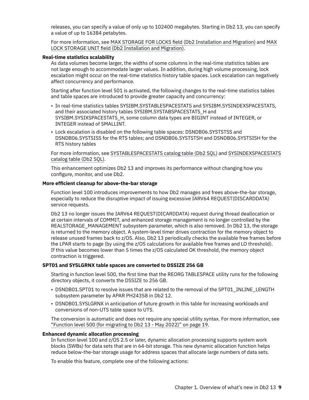releases, you can specify a value of only up to 102400 megabytes. Starting in Db2 13, you can specify a value of up to 16384 petabytes.

For more information, see [MAX STORAGE FOR LOCKS field \(Db2 Installation and Migration\)](https://www.ibm.com/docs/en/SSEPEK_13.0.0/inst/src/tpc/db2z_ipf_maxstorageforlocks.html) and [MAX](https://www.ibm.com/docs/en/SSEPEK_13.0.0/inst/src/tpc/db2z_ipf_maxlockstorageunit.html) [LOCK STORAGE UNIT field \(Db2 Installation and Migration\)](https://www.ibm.com/docs/en/SSEPEK_13.0.0/inst/src/tpc/db2z_ipf_maxlockstorageunit.html).

### **Real-time statistics scalability**

As data volumes become larger, the widths of some columns in the real-time statistics tables are not large enough to accommodate larger values. In addition, during high volume processing, lock escalation might occur on the real-time statistics history table spaces. Lock escalation can negatively affect concurrency and performance.

Starting after function level 501 is activated, the following changes to the real-time statistics tables and table spaces are introduced to provide greater capacity and concurrency:

- In real-time statistics tables SYSIBM.SYSTABLESPACESTATS and SYSIBM.SYSINDEXSPACESTATS, and their associated history tables SYSIBM.SYSTABSPACESTATS\_H and SYSIBM.SYSIXSPACESTATS\_H, some column data types are BIGINT instead of INTEGER, or INTEGER instead of SMALLINT.
- Lock escalation is disabled on the following table spaces: DSNDB06.SYSTSTSS and DSNDB06.SYSTSISS for the RTS tables; and DSNDB06.SYSTSTSH and DSNDB06.SYSTSISH for the RTS history tables

For more information, see [SYSTABLESPACESTATS catalog table \(Db2 SQL\)](https://www.ibm.com/docs/en/SSEPEK_13.0.0/cattab/src/tpc/db2z_sysibmsystablespacestatstable.html) and [SYSINDEXSPACESTATS](https://www.ibm.com/docs/en/SSEPEK_13.0.0/cattab/src/tpc/db2z_sysibmsysindexspacestatstable.html) [catalog table \(Db2 SQL\).](https://www.ibm.com/docs/en/SSEPEK_13.0.0/cattab/src/tpc/db2z_sysibmsysindexspacestatstable.html)

This enhancement optimizes Db2 13 and improves its performance without changing how you configure, monitor, and use Db2.

### **More efficient cleanup for above-the-bar storage**

Function level 100 introduces improvements to how Db2 manages and frees above-the-bar storage, especially to reduce the disruptive impact of issuing excessive IARV64 REQUEST(DISCARDDATA) service requests.

Db2 13 no longer issues the IARV64 REQUEST(DICARDDATA) request during thread deallocation or at certain intervals of COMMIT, and enhanced storage management is no longer controlled by the REALSTORAGE\_MANAGEMENT subsystem parameter, which is also removed. In Db2 13, the storage is returned to the memory object. A system-level timer drives contraction for the memory object to release unused frames back to z/OS. Also, Db2 13 periodically checks the available free frames before the LPAR starts to page (by using the z/OS calculations for available free frames and LO threshold). If this value becomes lower than 5 times the z/OS calculated OK threshold, the memory object contraction is triggered.

### **SPT01 and SYSLGRNX table spaces are converted to DSSIZE 256 GB**

Starting in function level 500, the first time that the REORG TABLESPACE utility runs for the following directory objects, it converts the DSSIZE to 256 GB.

- DSNDB01.SPT01 to resolve issues that are related to the removal of the SPT01\_INLINE\_LENGTH subsystem parameter by APAR PH24358 in Db2 12.
- DSNDB01.SYSLGRNX in anticipation of future growth in this table for increasing workloads and conversions of non-UTS table space to UTS.

The conversion is automatic and does not require any special utility syntax. For more information, see ["Function level 500 \(for migrating to Db2 13 - May 2022\)" on page 19](#page-24-0).

### **Enhanced dynamic allocation processing**

In function level 100 and z/OS 2.5 or later, dynamic allocation processing supports system work blocks (SWBs) for data sets that are in 64-bit storage. This new dynamic allocation function helps reduce below-the-bar storage usage for address spaces that allocate large numbers of data sets.

To enable this feature, complete one of the following actions: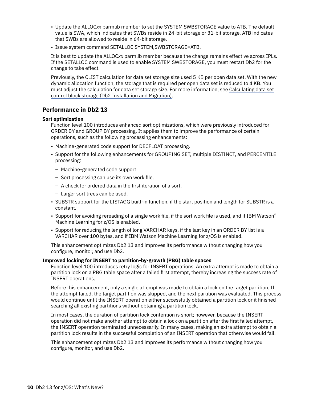- <span id="page-15-0"></span>• Update the ALLOC*xx* parmlib member to set the SYSTEM SWBSTORAGE value to ATB. The default value is SWA, which indicates that SWBs reside in 24-bit storage or 31-bit storage. ATB indicates that SWBs are allowed to reside in 64-bit storage.
- Issue system command SETALLOC SYSTEM,SWBSTORAGE=ATB.

It is best to update the ALLOC*xx* parmlib member because the change remains effective across IPLs. If the SETALLOC command is used to enable SYSTEM SWBSTORAGE, you must restart Db2 for the change to take effect.

Previously, the CLIST calculation for data set storage size used 5 KB per open data set. With the new dynamic allocation function, the storage that is required per open data set is reduced to 4 KB. You must adjust the calculation for data set storage size. For more information, see [Calculating data set](https://www.ibm.com/docs/en/SSEPEK_13.0.0/inst/src/tpc/db2z_calcdsctrlblockstg.html) [control block storage \(Db2 Installation and Migration\)](https://www.ibm.com/docs/en/SSEPEK_13.0.0/inst/src/tpc/db2z_calcdsctrlblockstg.html).

## **Performance in Db2 13**

### **Sort optimization**

Function level 100 introduces enhanced sort optimizations, which were previously introduced for ORDER BY and GROUP BY processing. It applies them to improve the performance of certain operations, such as the following processing enhancements:

- Machine-generated code support for DECFLOAT processing.
- Support for the following enhancements for GROUPING SET, multiple DISTINCT, and PERCENTILE processing:
	- Machine-generated code support.
	- Sort processing can use its own work file.
	- A check for ordered data in the first iteration of a sort.
	- Larger sort trees can be used.
- SUBSTR support for the LISTAGG built-in function, if the start position and length for SUBSTR is a constant.
- Support for avoiding rereading of a single work file, if the sort work file is used, and if IBM Watson $^{\circ}$ Machine Learning for z/OS is enabled.
- Support for reducing the length of long VARCHAR keys, if the last key in an ORDER BY list is a VARCHAR over 100 bytes, and if IBM Watson Machine Learning for z/OS is enabled.

This enhancement optimizes Db2 13 and improves its performance without changing how you configure, monitor, and use Db2.

### **Improved locking for INSERT to partition-by-growth (PBG) table spaces**

Function level 100 introduces retry logic for INSERT operations. An extra attempt is made to obtain a partition lock on a PBG table space after a failed first attempt, thereby increasing the success rate of INSERT operations.

Before this enhancement, only a single attempt was made to obtain a lock on the target partition. If the attempt failed, the target partition was skipped, and the next partition was evaluated. This process would continue until the INSERT operation either successfully obtained a partition lock or it finished searching all existing partitions without obtaining a partition lock.

In most cases, the duration of partition lock contention is short; however, because the INSERT operation did not make another attempt to obtain a lock on a partition after the first failed attempt, the INSERT operation terminated unnecessarily. In many cases, making an extra attempt to obtain a partition lock results in the successful completion of an INSERT operation that otherwise would fail.

This enhancement optimizes Db2 13 and improves its performance without changing how you configure, monitor, and use Db2.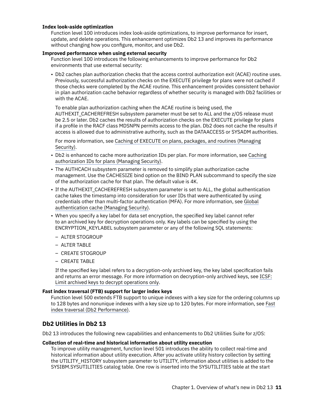### <span id="page-16-0"></span>**Index look-aside optimization**

Function level 100 introduces index look-aside optimizations, to improve performance for insert, update, and delete operations. This enhancement optimizes Db2 13 and improves its performance without changing how you configure, monitor, and use Db2.

### **Improved performance when using external security**

Function level 100 introduces the following enhancements to improve performance for Db2 environments that use external security:

• Db2 caches plan authorization checks that the access control authorization exit (ACAE) routine uses. Previously, successful authorization checks on the EXECUTE privilege for plans were not cached if those checks were completed by the ACAE routine. This enhancement provides consistent behavior in plan authorization cache behavior regardless of whether security is managed with Db2 facilities or with the ACAE.

To enable plan authorization caching when the ACAE routine is being used, the AUTHEXIT\_CACHEREFRESH subsystem parameter must be set to ALL and the z/OS release must be 2.5 or later. Db2 caches the results of authorization checks on the EXECUTE privilege for plans if a profile in the RACF class MDSNPN permits access to the plan. Db2 does not cache the results if access is allowed due to administrative authority, such as the DATAACCESS or SYSADM authorities.

For more information, see [Caching of EXECUTE on plans, packages, and routines \(Managing](https://www.ibm.com/docs/en/SSEPEK_13.0.0/seca/src/tpc/db2z_executecache.html) [Security\).](https://www.ibm.com/docs/en/SSEPEK_13.0.0/seca/src/tpc/db2z_executecache.html)

- Db2 is enhanced to cache more authorization IDs per plan. For more information, see [Caching](https://www.ibm.com/docs/en/SSEPEK_13.0.0/seca/src/tpc/db2z_cacheid4plan.html) [authorization IDs for plans \(Managing Security\).](https://www.ibm.com/docs/en/SSEPEK_13.0.0/seca/src/tpc/db2z_cacheid4plan.html)
- The AUTHCACH subsystem parameter is removed to simplify plan authorization cache management. Use the CACHESIZE bind option on the BIND PLAN subcommand to specify the size of the authorization cache for that plan. The default value is 4K.
- If the AUTHEXIT CACHEREFRESH subsystem parameter is set to ALL, the global authentication cache takes the timestamp into consideration for user IDs that were authenticated by using credentials other than multi-factor authentication (MFA). For more information, see [Global](https://www.ibm.com/docs/en/SSEPEK_13.0.0/seca/src/tpc/db2z_globalauthcache.html) [authentication cache \(Managing Security\).](https://www.ibm.com/docs/en/SSEPEK_13.0.0/seca/src/tpc/db2z_globalauthcache.html)
- When you specify a key label for data set encryption, the specified key label cannot refer to an archived key for decryption operations only. Key labels can be specified by using the ENCRYPTION\_KEYLABEL subsystem parameter or any of the following SQL statements:
	- ALTER STOGROUP
	- ALTER TABLE
	- CREATE STOGROUP
	- CREATE TABLE

If the specified key label refers to a decryption-only archived key, the key label specification fails and returns an error message. For more information on decryption-only archived keys, see [ICSF:](https://www.ibm.com/docs/en/zos/2.5.0?topic=icsf-limit-archived-keys-decrypt-operations-only) [Limit archived keys to decrypt operations only.](https://www.ibm.com/docs/en/zos/2.5.0?topic=icsf-limit-archived-keys-decrypt-operations-only)

### **Fast index traversal (FTB) support for larger index keys**

Function level 500 extends FTB support to unique indexes with a key size for the ordering columns up to 128 bytes and nonunique indexes with a key size up to 120 bytes. For more information, see [Fast](https://www.ibm.com/docs/en/SSEPEK_13.0.0/perf/src/tpc/db2z_fastindextraversal.html) [index traversal \(Db2 Performance\).](https://www.ibm.com/docs/en/SSEPEK_13.0.0/perf/src/tpc/db2z_fastindextraversal.html)

### **Db2 Utilities in Db2 13**

Db2 13 introduces the following new capabilities and enhancements to Db2 Utilities Suite for z/OS:

### **Collection of real-time and historical information about utility execution**

To improve utility management, function level 501 introduces the ability to collect real-time and historical information about utility execution. After you activate utility history collection by setting the UTILITY\_HISTORY subsystem parameter to UTILITY, information about utilities is added to the SYSIBM.SYSUTILITIES catalog table. One row is inserted into the SYSUTILITIES table at the start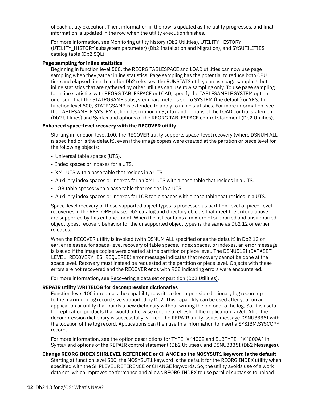of each utility execution. Then, information in the row is updated as the utility progresses, and final information is updated in the row when the utility execution finishes.

For more information, see [Monitoring utility history \(Db2 Utilities\)](https://www.ibm.com/docs/en/SSEPEK_13.0.0/ugref/src/tpc/db2z_utilhistory.html), [UTILITY HISTORY](https://www.ibm.com/docs/en/SSEPEK_13.0.0/inst/src/tpc/db2z_ipf_utilhistory.html) [\(UTILITY\\_HISTORY subsystem parameter\) \(Db2 Installation and Migration\)](https://www.ibm.com/docs/en/SSEPEK_13.0.0/inst/src/tpc/db2z_ipf_utilhistory.html), and [SYSUTILITIES](https://www.ibm.com/docs/en/SSEPEK_13.0.0/cattab/src/tpc/db2z_sysibmsysutilitiestable.html) [catalog table \(Db2 SQL\).](https://www.ibm.com/docs/en/SSEPEK_13.0.0/cattab/src/tpc/db2z_sysibmsysutilitiestable.html)

### **Page sampling for inline statistics**

Beginning in function level 500, the REORG TABLESPACE and LOAD utilities can now use page sampling when they gather inline statistics. Page sampling has the potential to reduce both CPU time and elapsed time. In earlier Db2 releases, the RUNSTATS utility can use page sampling, but inline statistics that are gathered by other utilities can use row sampling only. To use page sampling for inline statistics with REORG TABLESPACE or LOAD, specify the TABLESAMPLE SYSTEM option or ensure that the STATPGSAMP subsystem parameter is set to SYSTEM (the default) or YES. In function level 500, STATPGSAMP is extended to apply to inline statistics. For more information, see the TABLESAMPLE SYSTEM option description in [Syntax and options of the LOAD control statement](https://www.ibm.com/docs/en/SSEPEK_13.0.0/ugref/src/tpc/db2z_loadsyntax.html) [\(Db2 Utilities\)](https://www.ibm.com/docs/en/SSEPEK_13.0.0/ugref/src/tpc/db2z_loadsyntax.html) and [Syntax and options of the REORG TABLESPACE control statement \(Db2 Utilities\).](https://www.ibm.com/docs/en/SSEPEK_13.0.0/ugref/src/tpc/db2z_reorgtablespacesyntax.html)

### **Enhanced space-level recovery with the RECOVER utility**

Starting in function level 100, the RECOVER utility supports space-level recovery (where DSNUM ALL is specified or is the default), even if the image copies were created at the partition or piece level for the following objects:

- Universal table spaces (UTS).
- Index spaces or indexes for a UTS.
- XML UTS with a base table that resides in a UTS.
- Auxiliary index spaces or indexes for an XML UTS with a base table that resides in a UTS.
- LOB table spaces with a base table that resides in a UTS.
- Auxiliary index spaces or indexes for LOB table spaces with a base table that resides in a UTS.

Space-level recovery of these supported object types is processed as partition-level or piece-level recoveries in the RESTORE phase. Db2 catalog and directory objects that meet the criteria above are supported by this enhancement. When the list contains a mixture of supported and unsupported object types, recovery behavior for the unsupported object types is the same as Db2 12 or earlier releases.

When the RECOVER utility is invoked (with DSNUM ALL specified or as the default) in Db2 12 or earlier releases, for space-level recovery of table spaces, index spaces, or indexes, an error message is issued if the image copies were created at the partition or piece level. The DSNU512I (DATASET LEVEL RECOVERY IS REQUIRED) error message indicates that recovery cannot be done at the space level. Recovery must instead be requested at the partition or piece level. Objects with these errors are not recovered and the RECOVER ends with RC8 indicating errors were encountered.

For more information, see [Recovering a data set or partition \(Db2 Utilities\)](https://www.ibm.com/docs/en/SSEPEK_13.0.0/ugref/src/tpc/db2z_recoverdatasetorpartition.html).

### **REPAIR utility WRITELOG for decompression dictionaries**

Function level 100 introduces the capability to write a decompression dictionary log record up to the maximum log record size supported by Db2. This capability can be used after you run an application or utility that builds a new dictionary without writing the old one to the log. So, it is useful for replication products that would otherwise require a refresh of the replication target. After the decompression dictionary is successfully written, the REPAIR utility issues message DSNU3335I with the location of the log record. Applications can then use this information to insert a SYSIBM.SYSCOPY record.

For more information, see the option descriptions for TYPE X'4002 and SUBTYPE 'X'000A' in [Syntax and options of the REPAIR control statement \(Db2 Utilities\)](https://www.ibm.com/docs/en/SSEPEK_13.0.0/ugref/src/tpc/db2z_repairsyntax.html), and [DSNU3335I \(Db2 Messages\)](https://www.ibm.com/docs/en/SSEPEK_13.0.0/msgs/src/tpc/dsnu3335i.html).

### **Change REORG INDEX SHRLEVEL REFERENCE or CHANGE so the NOSYSUT1 keyword is the default** Starting at function level 500, the NOSYSUT1 keyword is the default for the REORG INDEX utility when specified with the SHRLEVEL REFERENCE or CHANGE keywords. So, the utility avoids use of a work data set, which improves performance and allows REORG INDEX to use parallel subtasks to unload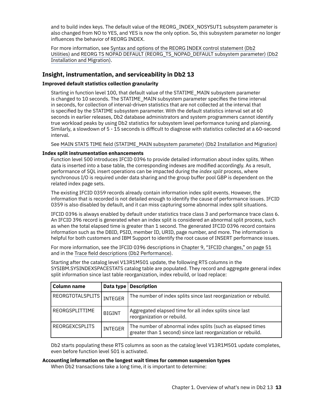<span id="page-18-0"></span>and to build index keys. The default value of the REORG\_INDEX\_NOSYSUT1 subsystem parameter is also changed from NO to YES, and YES is now the only option. So, this subsystem parameter no longer influences the behavior of REORG INDEX.

For more information, see [Syntax and options of the REORG INDEX control statement \(Db2](https://www.ibm.com/docs/en/SSEPEK_13.0.0/ugref/src/tpc/db2z_reorgindexsyntax.html) [Utilities\)](https://www.ibm.com/docs/en/SSEPEK_13.0.0/ugref/src/tpc/db2z_reorgindexsyntax.html) and [REORG TS NOPAD DEFAULT \(REORG\\_TS\\_NOPAD\\_DEFAULT subsystem parameter\) \(Db2](https://www.ibm.com/docs/en/SSEPEK_13.0.0/inst/src/tpc/db2z_ipf_reorgtsnopaddefault.html) [Installation and Migration\)](https://www.ibm.com/docs/en/SSEPEK_13.0.0/inst/src/tpc/db2z_ipf_reorgtsnopaddefault.html).

## **Insight, instrumentation, and serviceability in Db2 13**

### **Improved default statistics collection granularity**

Starting in function level 100, that default value of the STATIME\_MAIN subsystem parameter is changed to 10 seconds. The STATIME\_MAIN subsystem parameter specifies the time interval in seconds, for collection of interval-driven statistics that are not collected at the interval that is specified by the STATIME subsystem parameter. With the default statistics interval set at 60 seconds in earlier releases, Db2 database administrators and system programmers cannot identify true workload peaks by using Db2 statistics for subsystem level performance tuning and planning. Similarly, a slowdown of 5 - 15 seconds is difficult to diagnose with statistics collected at a 60-second interval.

See [MAIN STATS TIME field \(STATIME\\_MAIN subsystem parameter\) \(Db2 Installation and Migration\)](https://www.ibm.com/docs/en/SSEPEK_13.0.0/inst/src/tpc/db2z_ipf_statimemain.html)

### **Index split instrumentation enhancements**

Function level 500 introduces IFCID 0396 to provide detailed information about index splits. When data is inserted into a base table, the corresponding indexes are modified accordingly. As a result, performance of SQL insert operations can be impacted during the *index split* process, where synchronous I/O is required under data sharing and the group buffer pool GBP is dependent on the related index page sets.

The existing IFCID 0359 records already contain information index split events. However, the information that is recorded is not detailed enough to identify the cause of performance issues. IFCID 0359 is also disabled by default, and it can miss capturing some abnormal index split situations.

IFCID 0396 is always enabled by default under statistics trace class 3 and performance trace class 6. An IFCID 396 record is generated when an index split is considered an abnormal split process, such as when the total elapsed time is greater than 1 second. The generated IFCID 0396 record contains information such as the DBID, PSID, member ID, URID, page number, and more. The information is helpful for both customers and IBM Support to identify the root cause of INSERT performance issues.

For more information, see the IFCID 0396 descriptions in [Chapter 9, "IFCID changes," on page 51](#page-56-0) and in the [Trace field descriptions \(Db2 Performance\).](https://www.ibm.com/docs/en/SSEPEK_13.0.0/perf/src/tpc/db2z_tracefields.html)

Starting after the catalog level V13R1M501 update, the following RTS columns in the SYSIBM.SYSINDEXSPACESTATS catalog table are populated. They record and aggregate general index split information since last table reorganization, index rebuild, or load replace:

| <b>Column name</b>          | Data type'    | <b>Description</b>                                                                                                         |
|-----------------------------|---------------|----------------------------------------------------------------------------------------------------------------------------|
| (REORGTOTALSPLITS   INTEGER |               | The number of index splits since last reorganization or rebuild.                                                           |
| REORGSPLITTIME              | <b>BIGINT</b> | Aggregated elapsed time for all index splits since last<br>reorganization or rebuild.                                      |
| <b>REORGEXCSPLITS</b>       | INTEGER       | The number of abnormal index splits (such as elapsed times<br>greater than 1 second) since last reorganization or rebuild. |

Db2 starts populating these RTS columns as soon as the catalog level V13R1M501 update completes, even before function level 501 is activated.

### **Accounting information on the longest wait times for common suspension types**

When Db2 transactions take a long time, it is important to determine: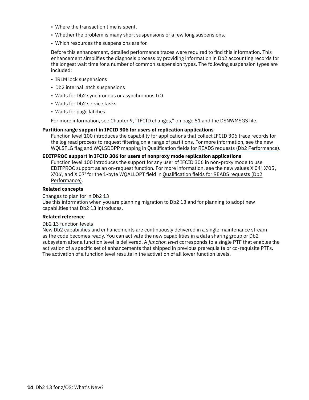- Where the transaction time is spent.
- Whether the problem is many short suspensions or a few long suspensions.
- Which resources the suspensions are for.

Before this enhancement, detailed performance traces were required to find this information. This enhancement simplifies the diagnosis process by providing information in Db2 accounting records for the longest wait time for a number of common suspension types. The following suspension types are included:

- IRLM lock suspensions
- Db2 internal latch suspensions
- Waits for Db2 synchronous or asynchronous I/O
- Waits for Db2 service tasks
- Waits for page latches

For more information, see [Chapter 9, "IFCID changes," on page 51](#page-56-0) and the DSNWMSGS file.

### **Partition range support in IFCID 306 for users of replication applications**

Function level 100 introduces the capability for applications that collect IFCID 306 trace records for the log read process to request filtering on a range of partitions. For more information, see the new WQLSFLG flag and WQLSDBPP mapping in Qualification [fields for READS requests \(Db2 Performance\)](https://www.ibm.com/docs/en/SSEPEK_13.0.0/perf/src/tpc/db2z_quals4ifireadsrequests.html).

### **EDITPROC support in IFCID 306 for users of nonproxy mode replication applications**

Function level 100 introduces the support for any user of IFCID 306 in non-proxy mode to use EDITPROC support as an on-request function. For more information, see the new values X'04', X'05', X'06', and X'07' for the 1-byte WQALLOPT field in Qualification [fields for READS requests \(Db2](https://www.ibm.com/docs/en/SSEPEK_13.0.0/perf/src/tpc/db2z_quals4ifireadsrequests.html) [Performance\)](https://www.ibm.com/docs/en/SSEPEK_13.0.0/perf/src/tpc/db2z_quals4ifireadsrequests.html).

### **Related concepts**

### [Changes to plan for in Db2 13](#page-38-0)

Use this information when you are planning migration to Db2 13 and for planning to adopt new capabilities that Db2 13 introduces.

### **Related reference**

### [Db2 13 function levels](#page-20-0)

New Db2 capabilities and enhancements are continuously delivered in a single maintenance stream as the code becomes ready. You can activate the new capabilities in a data sharing group or Db2 subsystem after a function level is delivered. A *function level* corresponds to a single PTF that enables the activation of a specific set of enhancements that shipped in previous prerequisite or co-requisite PTFs. The activation of a function level results in the activation of all lower function levels.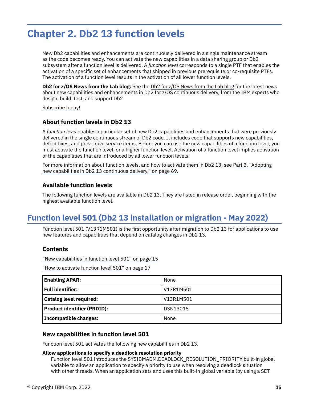# <span id="page-20-0"></span>**Chapter 2. Db2 13 function levels**

New Db2 capabilities and enhancements are continuously delivered in a single maintenance stream as the code becomes ready. You can activate the new capabilities in a data sharing group or Db2 subsystem after a function level is delivered. A *function level* corresponds to a single PTF that enables the activation of a specific set of enhancements that shipped in previous prerequisite or co-requisite PTFs. The activation of a function level results in the activation of all lower function levels.

**Db2 for z/OS News from the Lab blog:** See the [Db2 for z/OS News from the Lab blog](https://community.ibm.com/community/user/hybriddatamanagement/communities/community-home/recent-community-blogs?communitykey=621c2a2a-01f9-4b57-992f-36ed7432e3bb) for the latest news about new capabilities and enhancements in Db2 for z/OS continuous delivery, from the IBM experts who design, build, test, and support Db2

[Subscribe today!](https://community.ibm.com/community/user/hybriddatamanagement/viewdocument/db2znews-blog-subscribe?CommunityKey=621c2a2a-01f9-4b57-992f-36ed7432e3bb)

## **About function levels in Db2 13**

A *function level* enables a particular set of new Db2 capabilities and enhancements that were previously delivered in the single continuous stream of Db2 code. It includes code that supports new capabilities, defect fixes, and preventive service items. Before you can use the new capabilities of a function level, you must activate the function level, or a higher function level. Activation of a function level implies activation of the capabilities that are introduced by all lower function levels.

For more information about function levels, and how to activate them in Db2 13, see [Part 3, "Adopting](#page-74-0) [new capabilities in Db2 13 continuous delivery," on page 69.](#page-74-0)

## **Available function levels**

The following function levels are available in Db2 13. They are listed in release order, beginning with the highest available function level.

## **Function level 501 (Db2 13 installation or migration - May 2022)**

Function level 501 (V13R1M501) is the first opportunity after migration to Db2 13 for applications to use new features and capabilities that depend on catalog changes in Db2 13.

### **Contents**

"New capabilities in function level 501" on page 15

["How to activate function level 501" on page 17](#page-22-0)

| <b>Enabling APAR:</b>              | None      |
|------------------------------------|-----------|
| <b>Full identifier:</b>            | V13R1M501 |
| <b>Catalog level required:</b>     | V13R1M501 |
| <b>Product identifier (PRDID):</b> | DSN13015  |
| <b>Incompatible changes:</b>       | None      |

## **New capabilities in function level 501**

Function level 501 activates the following new capabilities in Db2 13.

### **Allow applications to specify a deadlock resolution priority**

Function level 501 introduces the SYSIBMADM.DEADLOCK\_RESOLUTION\_PRIORITY built-in global variable to allow an application to specify a priority to use when resolving a deadlock situation with other threads. When an application sets and uses this built-in global variable (by using a SET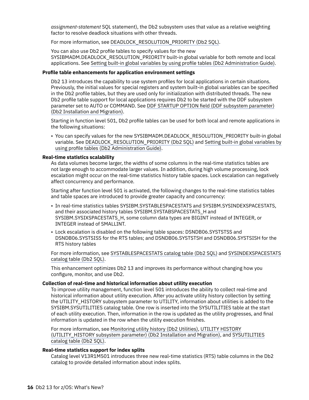*assignment-statement* SQL statement), the Db2 subsystem uses that value as a relative weighting factor to resolve deadlock situations with other threads.

For more information, see [DEADLOCK\\_RESOLUTION\\_PRIORITY \(Db2 SQL\)](https://www.ibm.com/docs/en/SSEPEK_13.0.0/sqlref/src/tpc/db2z_bigv_deadlockresolutionpriority.html).

You can also use Db2 profile tables to specify values for the new SYSIBMADM.DEADLOCK\_RESOLUTION\_PRIORITY built-in global variable for both remote and local applications. See [Setting built-in global variables by using profile tables \(Db2 Administration Guide\)](https://www.ibm.com/docs/en/SSEPEK_13.0.0/admin/src/tpc/db2z_settingglobalvariablesprofiles.html).

### **Profile table enhancements for application environment settings**

Db2 13 introduces the capability to use system profiles for local applications in certain situations. Previously, the initial values for special registers and system built-in global variables can be specified in the Db2 profile tables, but they are used only for initialization with distributed threads. The new Db2 profile table support for local applications requires Db2 to be started with the DDF subsystem parameter set to AUTO or COMMAND. See [DDF STARTUP OPTION field \(DDF subsystem parameter\)](https://www.ibm.com/docs/en/SSEPEK_13.0.0/inst/src/tpc/db2z_ipf_ddf.html) [\(Db2 Installation and Migration\).](https://www.ibm.com/docs/en/SSEPEK_13.0.0/inst/src/tpc/db2z_ipf_ddf.html)

Starting in function level 501, Db2 profile tables can be used for both local and remote applications in the following situations:

• You can specify values for the new SYSIBMADM.DEADLOCK\_RESOLUTION\_PRIORITY built-in global variable. See [DEADLOCK\\_RESOLUTION\\_PRIORITY \(Db2 SQL\)](https://www.ibm.com/docs/en/SSEPEK_13.0.0/sqlref/src/tpc/db2z_bigv_deadlockresolutionpriority.html) and [Setting built-in global variables by](https://www.ibm.com/docs/en/SSEPEK_13.0.0/admin/src/tpc/db2z_settingglobalvariablesprofiles.html) [using profile tables \(Db2 Administration Guide\).](https://www.ibm.com/docs/en/SSEPEK_13.0.0/admin/src/tpc/db2z_settingglobalvariablesprofiles.html)

### **Real-time statistics scalability**

As data volumes become larger, the widths of some columns in the real-time statistics tables are not large enough to accommodate larger values. In addition, during high volume processing, lock escalation might occur on the real-time statistics history table spaces. Lock escalation can negatively affect concurrency and performance.

Starting after function level 501 is activated, the following changes to the real-time statistics tables and table spaces are introduced to provide greater capacity and concurrency:

- In real-time statistics tables SYSIBM.SYSTABLESPACESTATS and SYSIBM.SYSINDEXSPACESTATS, and their associated history tables SYSIBM.SYSTABSPACESTATS\_H and SYSIBM.SYSIXSPACESTATS\_H, some column data types are BIGINT instead of INTEGER, or INTEGER instead of SMALLINT.
- Lock escalation is disabled on the following table spaces: DSNDB06.SYSTSTSS and DSNDB06.SYSTSISS for the RTS tables; and DSNDB06.SYSTSTSH and DSNDB06.SYSTSISH for the RTS history tables

For more information, see [SYSTABLESPACESTATS catalog table \(Db2 SQL\)](https://www.ibm.com/docs/en/SSEPEK_13.0.0/cattab/src/tpc/db2z_sysibmsystablespacestatstable.html) and [SYSINDEXSPACESTATS](https://www.ibm.com/docs/en/SSEPEK_13.0.0/cattab/src/tpc/db2z_sysibmsysindexspacestatstable.html) [catalog table \(Db2 SQL\).](https://www.ibm.com/docs/en/SSEPEK_13.0.0/cattab/src/tpc/db2z_sysibmsysindexspacestatstable.html)

This enhancement optimizes Db2 13 and improves its performance without changing how you configure, monitor, and use Db2.

### **Collection of real-time and historical information about utility execution**

To improve utility management, function level 501 introduces the ability to collect real-time and historical information about utility execution. After you activate utility history collection by setting the UTILITY HISTORY subsystem parameter to UTILITY, information about utilities is added to the SYSIBM.SYSUTILITIES catalog table. One row is inserted into the SYSUTILITIES table at the start of each utility execution. Then, information in the row is updated as the utility progresses, and final information is updated in the row when the utility execution finishes.

For more information, see [Monitoring utility history \(Db2 Utilities\)](https://www.ibm.com/docs/en/SSEPEK_13.0.0/ugref/src/tpc/db2z_utilhistory.html), [UTILITY HISTORY](https://www.ibm.com/docs/en/SSEPEK_13.0.0/inst/src/tpc/db2z_ipf_utilhistory.html) [\(UTILITY\\_HISTORY subsystem parameter\) \(Db2 Installation and Migration\)](https://www.ibm.com/docs/en/SSEPEK_13.0.0/inst/src/tpc/db2z_ipf_utilhistory.html), and [SYSUTILITIES](https://www.ibm.com/docs/en/SSEPEK_13.0.0/cattab/src/tpc/db2z_sysibmsysutilitiestable.html) [catalog table \(Db2 SQL\).](https://www.ibm.com/docs/en/SSEPEK_13.0.0/cattab/src/tpc/db2z_sysibmsysutilitiestable.html)

### **Real-time statistics support for index splits**

Catalog level V13R1M501 introduces three new real-time statistics (RTS) table columns in the Db2 catalog to provide detailed information about index splits.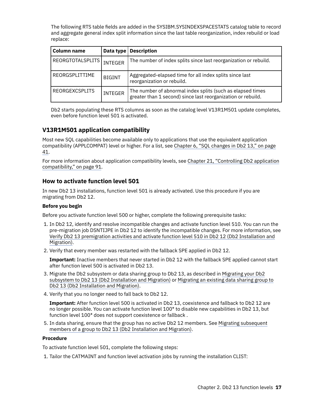<span id="page-22-0"></span>The following RTS table fields are added in the SYSIBM.SYSINDEXSPACESTATS catalog table to record and aggregate general index split information since the last table reorganization, index rebuild or load replace:

| <b>Column</b> name    |                | Data type   Description                                                                                                    |
|-----------------------|----------------|----------------------------------------------------------------------------------------------------------------------------|
| REORGTOTALSPLITS      | INTEGER        | The number of index splits since last reorganization or rebuild.                                                           |
| REORGSPLITTIME        | <b>BIGINT</b>  | Aggregated-elapsed time for all index splits since last<br>reorganization or rebuild.                                      |
| <b>REORGEXCSPLITS</b> | <b>INTEGER</b> | The number of abnormal index splits (such as elapsed times<br>greater than 1 second) since last reorganization or rebuild. |

Db2 starts populating these RTS columns as soon as the catalog level V13R1M501 update completes, even before function level 501 is activated.

## **V13R1M501 application compatibility**

Most new SQL capabilities become available only to applications that use the equivalent application compatibility (APPLCOMPAT) level or higher. For a list, see [Chapter 6, "SQL changes in Db2 13," on page](#page-46-0) [41.](#page-46-0)

For more information about application compatibility levels, see [Chapter 21, "Controlling Db2 application](#page-96-0) [compatibility," on page 91.](#page-96-0)

## **How to activate function level 501**

In new Db2 13 installations, function level 501 is already activated. Use this procedure if you are migrating from Db2 12.

### **Before you begin**

Before you activate function level 500 or higher, complete the following prerequisite tasks:

- 1. In Db2 12, identify and resolve incompatible changes and activate function level 510. You can run the pre-migration job DSNTIJPE in Db2 12 to identify the incompatible changes. For more information, see [Verify Db2 13 premigration activities and activate function level 510 in Db2 12 \(Db2 Installation and](https://www.ibm.com/docs/en/SSEPEK_13.0.0/inst/src/tpc/db2z_verifypremigrate.html) [Migration\).](https://www.ibm.com/docs/en/SSEPEK_13.0.0/inst/src/tpc/db2z_verifypremigrate.html)
- 2. Verify that every member was restarted with the fallback SPE applied in Db2 12.

**Important:** Inactive members that never started in Db2 12 with the fallback SPE applied cannot start after function level 500 is activated in Db2 13.

- 3. Migrate the Db2 subsystem or data sharing group to Db2 13, as described in [Migrating your Db2](https://www.ibm.com/docs/en/SSEPEK_13.0.0/inst/src/tpc/db2z_migr2newr.html) [subsystem to Db2 13 \(Db2 Installation and Migration\)](https://www.ibm.com/docs/en/SSEPEK_13.0.0/inst/src/tpc/db2z_migr2newr.html) or [Migrating an existing data sharing group to](https://www.ibm.com/docs/en/SSEPEK_13.0.0/inst/src/tpc/db2z_migrateexistdsgroup.html) [Db2 13 \(Db2 Installation and Migration\)](https://www.ibm.com/docs/en/SSEPEK_13.0.0/inst/src/tpc/db2z_migrateexistdsgroup.html).
- 4. Verify that you no longer need to fall back to Db2 12.

**Important:** After function level 500 is activated in Db2 13, coexistence and fallback to Db2 12 are no longer possible. You can activate function level 100\* to disable new capabilities in Db2 13, but function level 100\* does not support coexistence or fallback .

5. In data sharing, ensure that the group has no active Db2 12 members. See [Migrating subsequent](https://www.ibm.com/docs/en/SSEPEK_13.0.0/inst/src/tpc/db2z_migratesubsequentmembers.html) [members of a group to Db2 13 \(Db2 Installation and Migration\).](https://www.ibm.com/docs/en/SSEPEK_13.0.0/inst/src/tpc/db2z_migratesubsequentmembers.html)

### **Procedure**

To activate function level 501, complete the following steps:

1. Tailor the CATMAINT and function level activation jobs by running the installation CLIST: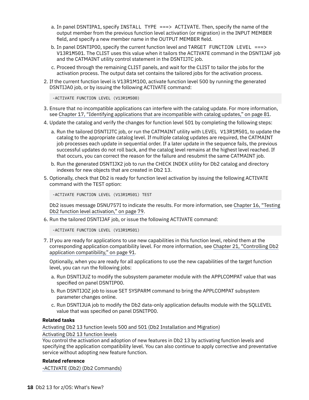- a. In panel DSNTIPA1, specify INSTALL TYPE ===> ACTIVATE. Then, specify the name of the output member from the previous function level activation (or migration) in the INPUT MEMBER field, and specify a new member name in the OUTPUT MEMBER field.
- b. In panel DSNTIP00, specify the current function level and TARGET FUNCTION LEVEL ===> V13R1M501. The CLIST uses this value when it tailors the ACTIVATE command in the DSNTIJAF job and the CATMAINT utility control statement in the DSNTIJTC job.
- c. Proceed through the remaining CLIST panels, and wait for the CLIST to tailor the jobs for the activation process. The output data set contains the tailored jobs for the activation process.
- 2. If the current function level is V13R1M100, activate function level 500 by running the generated DSNTIJA0 job, or by issuing the following ACTIVATE command:

-ACTIVATE FUNCTION LEVEL (V13R1M500)

- 3. Ensure that no incompatible applications can interfere with the catalog update. For more information, see [Chapter 17, "Identifying applications that are incompatible with catalog updates," on page 81.](#page-86-0)
- 4. Update the catalog and verify the changes for function level 501 by completing the following steps:
	- a. Run the tailored DSNTIJTC job, or run the CATMAINT utility with LEVEL V13R1M501, to update the catalog to the appropriate catalog level. If multiple catalog updates are required, the CATMAINT job processes each update in sequential order. If a later update in the sequence fails, the previous successful updates do not roll back, and the catalog level remains at the highest level reached. If that occurs, you can correct the reason for the failure and resubmit the same CATMAINT job.
	- b. Run the generated DSNTIJX2 job to run the CHECK INDEX utility for Db2 catalog and directory indexes for new objects that are created in Db2 13.
- 5. Optionally, check that Db2 is ready for function level activation by issuing the following ACTIVATE command with the TEST option:

-ACTIVATE FUNCTION LEVEL (V13R1M501) TEST

Db2 issues message DSNU757I to indicate the results. For more information, see [Chapter 16, "Testing](#page-84-0) [Db2 function level activation," on page 79.](#page-84-0)

6. Run the tailored DSNTIJAF job, or issue the following ACTIVATE command:

-ACTIVATE FUNCTION LEVEL (V13R1M501)

7. If you are ready for applications to use new capabilities in this function level, rebind them at the corresponding application compatibility level. For more information, see [Chapter 21, "Controlling Db2](#page-96-0) [application compatibility," on page 91](#page-96-0).

Optionally, when you are ready for all applications to use the new capabilities of the target function level, you can run the following jobs:

- a. Run DSNTIJUZ to modify the subsystem parameter module with the APPLCOMPAT value that was specified on panel DSNTIP00.
- b. Run DSNTIJOZ job to issue SET SYSPARM command to bring the APPLCOMPAT subsystem parameter changes online.
- c. Run DSNTIJUA job to modify the Db2 data-only application defaults module with the SQLLEVEL value that was specified on panel DSNITP00.

### **Related tasks**

[Activating Db2 13 function levels 500 and 501 \(Db2 Installation and Migration\)](https://www.ibm.com/docs/en/SSEPEK_13.0.0/inst/src/tpc/db2z_activateflmigrate.html)

[Activating Db2 13 function levels](#page-88-0)

You control the activation and adoption of new features in Db2 13 by activating function levels and specifying the application compatibility level. You can also continue to apply corrective and preventative service without adopting new feature function.

### **Related reference**

[-ACTIVATE \(Db2\) \(Db2 Commands\)](https://www.ibm.com/docs/en/SSEPEK_13.0.0/comref/src/tpc/db2z_cmd_activate.html)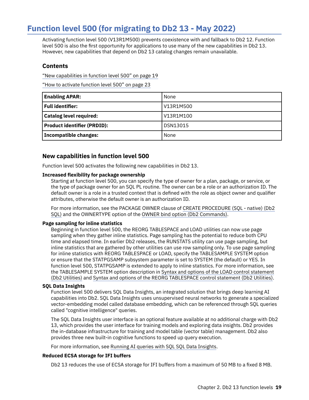## <span id="page-24-0"></span>**Function level 500 (for migrating to Db2 13 - May 2022)**

Activating function level 500 (V13R1M500) prevents coexistence with and fallback to Db2 12. Function level 500 is also the first opportunity for applications to use many of the new capabilities in Db2 13. However, new capabilities that depend on Db2 13 catalog changes remain unavailable.

### **Contents**

"New capabilities in function level 500" on page 19

["How to activate function level 500" on page 23](#page-28-0)

| <b>Enabling APAR:</b>              | None      |
|------------------------------------|-----------|
| <b>Full identifier:</b>            | V13R1M500 |
| <b>Catalog level required:</b>     | V13R1M100 |
| <b>Product identifier (PRDID):</b> | DSN13015  |
| <b>Incompatible changes:</b>       | None      |

## **New capabilities in function level 500**

Function level 500 activates the following new capabilities in Db2 13.

### **Increased flexibility for package ownership**

Starting at function level 500, you can specify the type of owner for a plan, package, or service, or the type of package owner for an SQL PL routine. The owner can be a role or an authorization ID. The default owner is a role in a trusted context that is defined with the role as object owner and qualifier attributes, otherwise the default owner is an authorization ID.

For more information, see the PACKAGE OWNER clause of [CREATE PROCEDURE \(SQL - native\) \(Db2](https://www.ibm.com/docs/en/SSEPEK_13.0.0/sqlref/src/tpc/db2z_sql_createproceduresqlnative.html) [SQL\)](https://www.ibm.com/docs/en/SSEPEK_13.0.0/sqlref/src/tpc/db2z_sql_createproceduresqlnative.html) and the OWNERTYPE option of the [OWNER bind option \(Db2 Commands\)](https://www.ibm.com/docs/en/SSEPEK_13.0.0/comref/src/tpc/db2z_bindoptowner.html).

### **Page sampling for inline statistics**

Beginning in function level 500, the REORG TABLESPACE and LOAD utilities can now use page sampling when they gather inline statistics. Page sampling has the potential to reduce both CPU time and elapsed time. In earlier Db2 releases, the RUNSTATS utility can use page sampling, but inline statistics that are gathered by other utilities can use row sampling only. To use page sampling for inline statistics with REORG TABLESPACE or LOAD, specify the TABLESAMPLE SYSTEM option or ensure that the STATPGSAMP subsystem parameter is set to SYSTEM (the default) or YES. In function level 500, STATPGSAMP is extended to apply to inline statistics. For more information, see the TABLESAMPLE SYSTEM option description in [Syntax and options of the LOAD control statement](https://www.ibm.com/docs/en/SSEPEK_13.0.0/ugref/src/tpc/db2z_loadsyntax.html) [\(Db2 Utilities\)](https://www.ibm.com/docs/en/SSEPEK_13.0.0/ugref/src/tpc/db2z_loadsyntax.html) and [Syntax and options of the REORG TABLESPACE control statement \(Db2 Utilities\).](https://www.ibm.com/docs/en/SSEPEK_13.0.0/ugref/src/tpc/db2z_reorgtablespacesyntax.html)

### **SQL Data Insights**

Function level 500 delivers SQL Data Insights, an integrated solution that brings deep learning AI capabilities into Db2. SQL Data Insights uses unsupervised neural networks to generate a specialized vector-embedding model called database embedding, which can be referenced through SQL queries called "cognitive intelligence" queries.

The SQL Data Insights user interface is an optional feature available at no additional charge with Db2 13, which provides the user interface for training models and exploring data insights. Db2 provides the in-database infrastructure for training and model table (vector table) management. Db2 also provides three new built-in cognitive functions to speed up query execution.

For more information, see [Running AI queries with SQL SQL Data Insights.](https://www.ibm.com/docs/en/db2-for-zos/13?topic=SSEPEK_13.0.0/sqldi/src/tpc/sqldi_overview.html)

### **Reduced ECSA storage for IFI buffers**

Db2 13 reduces the use of ECSA storage for IFI buffers from a maximum of 50 MB to a fixed 8 MB.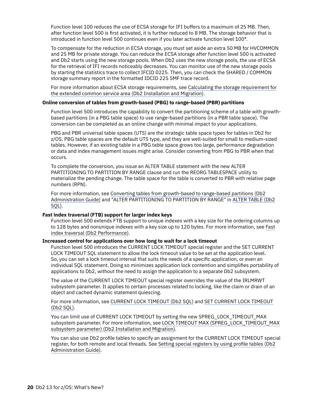Function level 100 reduces the use of ECSA storage for IFI buffers to a maximum of 25 MB. Then, after function level 500 is first activated, it is further reduced to 8 MB. The storage behavior that is introduced in function level 500 continues even if you later activate function level 100\*.

To compensate for the reduction in ECSA storage, you must set aside an extra 50 MB for HVCOMMON and 25 MB for private storage. You can reduce the ECSA storage after function level 500 is activated and Db2 starts using the new storage pools. When Db2 uses the new storage pools, the use of ECSA for the retrieval of IFI records noticeably decreases. You can monitor use of the new storage pools by starting the statistics trace to collect IFCID 0225. Then, you can check the SHARED / COMMON storage summary report in the formatted IDCID 225 SMF trace record.

For more information about ECSA storage requirements, see [Calculating the storage requirement for](https://www.ibm.com/docs/en/SSEPEK_13.0.0/inst/src/tpc/db2z_calcecsastgreq.html) [the extended common service area \(Db2 Installation and Migration\)](https://www.ibm.com/docs/en/SSEPEK_13.0.0/inst/src/tpc/db2z_calcecsastgreq.html).

### **Online conversion of tables from growth-based (PBG) to range-based (PBR) partitions**

Function level 500 introduces the capability to convert the partitioning scheme of a table with growthbased partitions (in a PBG table space) to use range-based partitions (in a PBR table space). The conversion can be completed as an online change with minimal impact to your applications.

PBG and PBR universal table spaces (UTS) are the strategic table space types for tables in Db2 for z/OS. PBG table spaces are the default UTS type, and they are well-suited for small to medium-sized tables. However, if an existing table in a PBG table space grows too large, performance degradation or data and index management issues might arise. Consider converting from PBG to PBR when that occurs.

To complete the conversion, you issue an ALTER TABLE statement with the new ALTER PARTITIONING TO PARTITION BY RANGE clause and run the REORG TABLESPACE utility to materialize the pending change. The table space for the table is converted to PBR with relative page numbers (RPN).

For more information, see [Converting tables from growth-based to range-based partitions \(Db2](https://www.ibm.com/docs/en/SSEPEK_13.0.0/admin/src/tpc/db2z_convertpbgtabletopbr.html) [Administration Guide\)](https://www.ibm.com/docs/en/SSEPEK_13.0.0/admin/src/tpc/db2z_convertpbgtabletopbr.html) and "ALTER PARTITIONING TO PARTITION BY RANGE" in [ALTER TABLE \(Db2](https://www.ibm.com/docs/en/SSEPEK_13.0.0/sqlref/src/tpc/db2z_sql_altertable.html) [SQL\)](https://www.ibm.com/docs/en/SSEPEK_13.0.0/sqlref/src/tpc/db2z_sql_altertable.html).

### **Fast index traversal (FTB) support for larger index keys**

Function level 500 extends FTB support to unique indexes with a key size for the ordering columns up to 128 bytes and nonunique indexes with a key size up to 120 bytes. For more information, see [Fast](https://www.ibm.com/docs/en/SSEPEK_13.0.0/perf/src/tpc/db2z_fastindextraversal.html) [index traversal \(Db2 Performance\).](https://www.ibm.com/docs/en/SSEPEK_13.0.0/perf/src/tpc/db2z_fastindextraversal.html)

### **Increased control for applications over how long to wait for a lock timeout**

Function level 500 introduces the CURRENT LOCK TIMEOUT special register and the SET CURRENT LOCK TIMEOUT SQL statement to allow the lock timeout value to be set at the application level. So, you can set a lock timeout interval that suits the needs of a specific application, or even an individual SQL statement. Doing so minimizes application lock contention and simplifies portability of applications to Db2, without the need to assign the application to a separate Db2 subsystem.

The value of the CURRENT LOCK TIMEOUT special register overrides the value of the IRLMRWT subsystem parameter. It applies to certain processes related to locking, like the claim or drain of an object and cached dynamic statement quiescing.

For more information, see [CURRENT LOCK TIMEOUT \(Db2 SQL\)](https://www.ibm.com/docs/en/SSEPEK_13.0.0/sqlref/src/tpc/db2z_currentlocktimeout.html) and [SET CURRENT LOCK TIMEOUT](https://www.ibm.com/docs/en/SSEPEK_13.0.0/sqlref/src/tpc/db2z_sql_setcurrentlocktimeout.html) [\(Db2 SQL\)](https://www.ibm.com/docs/en/SSEPEK_13.0.0/sqlref/src/tpc/db2z_sql_setcurrentlocktimeout.html).

You can limit use of CURRENT LOCK TIMEOUT by setting the new SPREG\_LOCK\_TIMEOUT\_MAX subsystem parameter. For more information, see [LOCK TIMEOUT MAX \(SPREG\\_LOCK\\_TIMEOUT\\_MAX](https://www.ibm.com/docs/en/SSEPEK_13.0.0/inst/src/tpc/db2z_ipf_spregltom.html) [subsystem parameter\) \(Db2 Installation and Migration\)](https://www.ibm.com/docs/en/SSEPEK_13.0.0/inst/src/tpc/db2z_ipf_spregltom.html).

You can also use Db2 profile tables to specify an assignment for the CURRENT LOCK TIMEOUT special register, for both remote and local threads. See [Setting special registers by using profile tables \(Db2](https://www.ibm.com/docs/en/SSEPEK_13.0.0/admin/src/tpc/db2z_settingspecialregisterprofiles.html) [Administration Guide\)](https://www.ibm.com/docs/en/SSEPEK_13.0.0/admin/src/tpc/db2z_settingspecialregisterprofiles.html).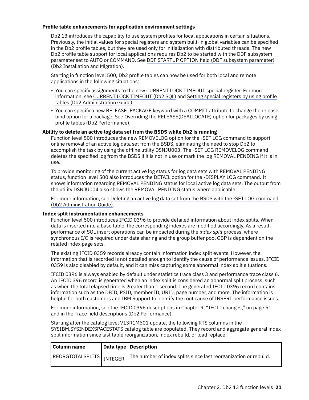### **Profile table enhancements for application environment settings**

Db2 13 introduces the capability to use system profiles for local applications in certain situations. Previously, the initial values for special registers and system built-in global variables can be specified in the Db2 profile tables, but they are used only for initialization with distributed threads. The new Db2 profile table support for local applications requires Db2 to be started with the DDF subsystem parameter set to AUTO or COMMAND. See [DDF STARTUP OPTION field \(DDF subsystem parameter\)](https://www.ibm.com/docs/en/SSEPEK_13.0.0/inst/src/tpc/db2z_ipf_ddf.html) [\(Db2 Installation and Migration\).](https://www.ibm.com/docs/en/SSEPEK_13.0.0/inst/src/tpc/db2z_ipf_ddf.html)

Starting in function level 500, Db2 profile tables can now be used for both local and remote applications in the following situations:

- You can specify assignments to the new CURRENT LOCK TIMEOUT special register. For more information, see [CURRENT LOCK TIMEOUT \(Db2 SQL\)](https://www.ibm.com/docs/en/SSEPEK_13.0.0/sqlref/src/tpc/db2z_currentlocktimeout.html) and [Setting special registers by using profile](https://www.ibm.com/docs/en/SSEPEK_13.0.0/admin/src/tpc/db2z_settingspecialregisterprofiles.html) [tables \(Db2 Administration Guide\)](https://www.ibm.com/docs/en/SSEPEK_13.0.0/admin/src/tpc/db2z_settingspecialregisterprofiles.html).
- You can specify a new RELEASE\_PACKAGE keyword with a COMMIT attribute to change the release bind option for a package. See [Overriding the RELEASE\(DEALLOCATE\) option for packages by using](https://www.ibm.com/docs/en/SSEPEK_13.0.0/perf/src/tpc/db2z_releasepackageprofiles.html) [profile tables \(Db2 Performance\)](https://www.ibm.com/docs/en/SSEPEK_13.0.0/perf/src/tpc/db2z_releasepackageprofiles.html).

### **Ability to delete an active log data set from the BSDS while Db2 is running**

Function level 500 introduces the new REMOVELOG option for the -SET LOG command to support online removal of an active log data set from the BSDS, eliminating the need to stop Db2 to accomplish the task by using the offline utility DSNJU003. The -SET LOG REMOVELOG command deletes the specified log from the BSDS if it is not in use or mark the log REMOVAL PENDING if it is in use.

To provide monitoring of the current active log status for log data sets with REMOVAL PENDING status, function level 500 also introduces the DETAIL option for the -DISPLAY LOG command. It shows information regarding REMOVAL PENDING status for local active log data sets. The output from the utility DSNJU004 also shows the REMOVAL PENDING status where applicable.

For more information, see [Deleting an active log data set from the BSDS with the -SET LOG command](https://www.ibm.com/docs/en/SSEPEK_13.0.0/admin/src/tpc/db2z_deletingactivelogds.html) [\(Db2 Administration Guide\).](https://www.ibm.com/docs/en/SSEPEK_13.0.0/admin/src/tpc/db2z_deletingactivelogds.html)

### **Index split instrumentation enhancements**

Function level 500 introduces IFCID 0396 to provide detailed information about index splits. When data is inserted into a base table, the corresponding indexes are modified accordingly. As a result, performance of SQL insert operations can be impacted during the *index split* process, where synchronous I/O is required under data sharing and the group buffer pool GBP is dependent on the related index page sets.

The existing IFCID 0359 records already contain information index split events. However, the information that is recorded is not detailed enough to identify the cause of performance issues. IFCID 0359 is also disabled by default, and it can miss capturing some abnormal index split situations.

IFCID 0396 is always enabled by default under statistics trace class 3 and performance trace class 6. An IFCID 396 record is generated when an index split is considered an abnormal split process, such as when the total elapsed time is greater than 1 second. The generated IFCID 0396 record contains information such as the DBID, PSID, member ID, URID, page number, and more. The information is helpful for both customers and IBM Support to identify the root cause of INSERT performance issues.

For more information, see the IFCID 0396 descriptions in [Chapter 9, "IFCID changes," on page 51](#page-56-0) and in the [Trace field descriptions \(Db2 Performance\).](https://www.ibm.com/docs/en/SSEPEK_13.0.0/perf/src/tpc/db2z_tracefields.html)

Starting after the catalog level V13R1M501 update, the following RTS columns in the SYSIBM.SYSINDEXSPACESTATS catalog table are populated. They record and aggregate general index split information since last table reorganization, index rebuild, or load replace:

| Column name                | l Data type   Description                                        |
|----------------------------|------------------------------------------------------------------|
| REORGTOTALSPLITS   INTEGER | The number of index splits since last reorganization or rebuild. |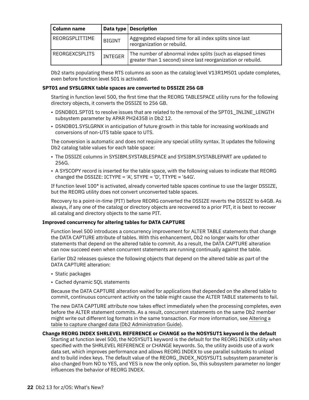| <b>Column name</b>    |                | Data type   Description                                                                                                    |
|-----------------------|----------------|----------------------------------------------------------------------------------------------------------------------------|
| REORGSPLITTIME        | <b>BIGINT</b>  | Aggregated elapsed time for all index splits since last<br>reorganization or rebuild.                                      |
| <b>REORGEXCSPLITS</b> | <b>INTEGER</b> | The number of abnormal index splits (such as elapsed times<br>greater than 1 second) since last reorganization or rebuild. |

Db2 starts populating these RTS columns as soon as the catalog level V13R1M501 update completes, even before function level 501 is activated.

### **SPT01 and SYSLGRNX table spaces are converted to DSSIZE 256 GB**

Starting in function level 500, the first time that the REORG TABLESPACE utility runs for the following directory objects, it converts the DSSIZE to 256 GB.

- DSNDB01.SPT01 to resolve issues that are related to the removal of the SPT01\_INLINE\_LENGTH subsystem parameter by APAR PH24358 in Db2 12.
- DSNDB01.SYSLGRNX in anticipation of future growth in this table for increasing workloads and conversions of non-UTS table space to UTS.

The conversion is automatic and does not require any special utility syntax. It updates the following Db2 catalog table values for each table space:

- The DSSIZE columns in SYSIBM.SYSTABLESPACE and SYSIBM.SYSTABLEPART are updated to 256G.
- A SYSCOPY record is inserted for the table space, with the following values to indicate that REORG changed the DSSIZE: ICTYPE = 'A', STYPE = 'D', TTYPE = '64G'.

If function level 100\* is activated, already converted table spaces continue to use the larger DSSIZE, but the REORG utility does not convert unconverted table spaces.

Recovery to a point-in-time (PIT) before REORG converted the DSSIZE reverts the DSSIZE to 64GB. As always, if any one of the catalog or directory objects are recovered to a prior PIT, it is best to recover all catalog and directory objects to the same PIT.

### **Improved concurrency for altering tables for DATA CAPTURE**

Function level 500 introduces a concurrency improvement for ALTER TABLE statements that change the DATA CAPTURE attribute of tables. With this enhancement, Db2 no longer waits for other statements that depend on the altered table to commit. As a result, the DATA CAPTURE alteration can now succeed even when concurrent statements are running continually against the table.

Earlier Db2 releases quiesce the following objects that depend on the altered table as part of the DATA CAPTURE alteration:

- Static packages
- Cached dynamic SQL statements

Because the DATA CAPTURE alteration waited for applications that depended on the altered table to commit, continuous concurrent activity on the table might cause the ALTER TABLE statements to fail.

The new DATA CAPTURE attribute now takes effect immediately when the processing completes, even before the ALTER statement commits. As a result, concurrent statements on the same Db2 member might write out different log formats in the same transaction. For more information, see [Altering a](https://www.ibm.com/docs/en/SSEPEK_13.0.0/admin/src/tpc/db2z_altertablefordatacapture.html) [table to capture changed data \(Db2 Administration Guide\).](https://www.ibm.com/docs/en/SSEPEK_13.0.0/admin/src/tpc/db2z_altertablefordatacapture.html)

### **Change REORG INDEX SHRLEVEL REFERENCE or CHANGE so the NOSYSUT1 keyword is the default** Starting at function level 500, the NOSYSUT1 keyword is the default for the REORG INDEX utility when specified with the SHRLEVEL REFERENCE or CHANGE keywords. So, the utility avoids use of a work data set, which improves performance and allows REORG INDEX to use parallel subtasks to unload and to build index keys. The default value of the REORG\_INDEX\_NOSYSUT1 subsystem parameter is also changed from NO to YES, and YES is now the only option. So, this subsystem parameter no longer influences the behavior of REORG INDEX.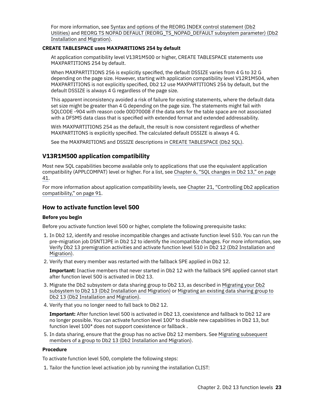<span id="page-28-0"></span>For more information, see [Syntax and options of the REORG INDEX control statement \(Db2](https://www.ibm.com/docs/en/SSEPEK_13.0.0/ugref/src/tpc/db2z_reorgindexsyntax.html) [Utilities\)](https://www.ibm.com/docs/en/SSEPEK_13.0.0/ugref/src/tpc/db2z_reorgindexsyntax.html) and [REORG TS NOPAD DEFAULT \(REORG\\_TS\\_NOPAD\\_DEFAULT subsystem parameter\) \(Db2](https://www.ibm.com/docs/en/SSEPEK_13.0.0/inst/src/tpc/db2z_ipf_reorgtsnopaddefault.html) [Installation and Migration\)](https://www.ibm.com/docs/en/SSEPEK_13.0.0/inst/src/tpc/db2z_ipf_reorgtsnopaddefault.html).

### **CREATE TABLESPACE uses MAXPARITIONS 254 by default**

At application compatibility level V13R1M500 or higher, CREATE TABLESPACE statements use MAXPARTITIONS 254 by default.

When MAXPARTITIONS 256 is explicitly specified, the default DSSIZE varies from 4 G to 32 G depending on the page size. However, starting with application compatibility level V12R1M504, when MAXPARTITIONS is not explicitly specified, Db2 12 use MAXPARTITIONS 256 by default, but the default DSSIZE is always 4 G regardless of the page size.

This apparent inconsistency avoided a risk of failure for existing statements, where the default data set size might be greater than 4 G depending on the page size. The statements might fail with SQLCODE -904 with reason code 00D70008 if the data sets for the table space are not associated with a DFSMS data class that is specified with extended format and extended addressability.

With MAXPARTITIONS 254 as the default, the result is now consistent regardless of whether MAXPARTITONS is explicitly specified. The calculated default DSSIZE is always 4 G.

See the MAXPARITIONS and DSSIZE descriptions in [CREATE TABLESPACE \(Db2 SQL\)](https://www.ibm.com/docs/en/SSEPEK_13.0.0/sqlref/src/tpc/db2z_sql_createtablespace.html).

## **V13R1M500 application compatibility**

Most new SQL capabilities become available only to applications that use the equivalent application compatibility (APPLCOMPAT) level or higher. For a list, see [Chapter 6, "SQL changes in Db2 13," on page](#page-46-0) [41.](#page-46-0)

For more information about application compatibility levels, see [Chapter 21, "Controlling Db2 application](#page-96-0) [compatibility," on page 91.](#page-96-0)

## **How to activate function level 500**

### **Before you begin**

Before you activate function level 500 or higher, complete the following prerequisite tasks:

- 1. In Db2 12, identify and resolve incompatible changes and activate function level 510. You can run the pre-migration job DSNTIJPE in Db2 12 to identify the incompatible changes. For more information, see [Verify Db2 13 premigration activities and activate function level 510 in Db2 12 \(Db2 Installation and](https://www.ibm.com/docs/en/SSEPEK_13.0.0/inst/src/tpc/db2z_verifypremigrate.html) [Migration\).](https://www.ibm.com/docs/en/SSEPEK_13.0.0/inst/src/tpc/db2z_verifypremigrate.html)
- 2. Verify that every member was restarted with the fallback SPE applied in Db2 12.

**Important:** Inactive members that never started in Db2 12 with the fallback SPE applied cannot start after function level 500 is activated in Db2 13.

- 3. Migrate the Db2 subsystem or data sharing group to Db2 13, as described in [Migrating your Db2](https://www.ibm.com/docs/en/SSEPEK_13.0.0/inst/src/tpc/db2z_migr2newr.html) [subsystem to Db2 13 \(Db2 Installation and Migration\)](https://www.ibm.com/docs/en/SSEPEK_13.0.0/inst/src/tpc/db2z_migr2newr.html) or [Migrating an existing data sharing group to](https://www.ibm.com/docs/en/SSEPEK_13.0.0/inst/src/tpc/db2z_migrateexistdsgroup.html) [Db2 13 \(Db2 Installation and Migration\)](https://www.ibm.com/docs/en/SSEPEK_13.0.0/inst/src/tpc/db2z_migrateexistdsgroup.html).
- 4. Verify that you no longer need to fall back to Db2 12.

**Important:** After function level 500 is activated in Db2 13, coexistence and fallback to Db2 12 are no longer possible. You can activate function level 100\* to disable new capabilities in Db2 13, but function level 100\* does not support coexistence or fallback .

5. In data sharing, ensure that the group has no active Db2 12 members. See [Migrating subsequent](https://www.ibm.com/docs/en/SSEPEK_13.0.0/inst/src/tpc/db2z_migratesubsequentmembers.html) [members of a group to Db2 13 \(Db2 Installation and Migration\).](https://www.ibm.com/docs/en/SSEPEK_13.0.0/inst/src/tpc/db2z_migratesubsequentmembers.html)

### **Procedure**

To activate function level 500, complete the following steps:

1. Tailor the function level activation job by running the installation CLIST: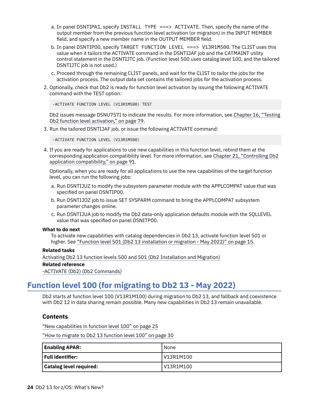- <span id="page-29-0"></span>a. In panel DSNTIPA1, specify INSTALL TYPE ===> ACTIVATE. Then, specify the name of the output member from the previous function level activation (or migration) in the INPUT MEMBER field, and specify a new member name in the OUTPUT MEMBER field.
- b. In panel DSNTIP00, specify TARGET FUNCTION LEVEL ===> V13R1M500. The CLIST uses this value when it tailors the ACTIVATE command in the DSNTIJAF job and the CATMAINT utility control statement in the DSNTIJTC job. (Function level 500 uses catalog level 100, and the tailored DSNTIJTC job is not used.)
- c. Proceed through the remaining CLIST panels, and wait for the CLIST to tailor the jobs for the activation process. The output data set contains the tailored jobs for the activation process.
- 2. Optionally, check that Db2 is ready for function level activation by issuing the following ACTIVATE command with the TEST option:

-ACTIVATE FUNCTION LEVEL (V13R1M500) TEST

Db2 issues message DSNU757I to indicate the results. For more information, see [Chapter 16, "Testing](#page-84-0) [Db2 function level activation," on page 79.](#page-84-0)

3. Run the tailored DSNTIJAF job, or issue the following ACTIVATE command:

-ACTIVATE FUNCTION LEVEL (V13R1M500)

4. If you are ready for applications to use new capabilities in this function level, rebind them at the corresponding application compatibility level. For more information, see [Chapter 21, "Controlling Db2](#page-96-0) [application compatibility," on page 91](#page-96-0).

Optionally, when you are ready for all applications to use the new capabilities of the target function level, you can run the following jobs:

- a. Run DSNTIJUZ to modify the subsystem parameter module with the APPLCOMPAT value that was specified on panel DSNTIP00.
- b. Run DSNTIJOZ job to issue SET SYSPARM command to bring the APPLCOMPAT subsystem parameter changes online.
- c. Run DSNTIJUA job to modify the Db2 data-only application defaults module with the SQLLEVEL value that was specified on panel DSNITP00.

### **What to do next**

To activate new capabilities with catalog dependencies in Db2 13, activate function level 501 or higher. See ["Function level 501 \(Db2 13 installation or migration - May 2022\)" on page 15.](#page-20-0)

### **Related tasks**

[Activating Db2 13 function levels 500 and 501 \(Db2 Installation and Migration\)](https://www.ibm.com/docs/en/SSEPEK_13.0.0/inst/src/tpc/db2z_activateflmigrate.html)

### **Related reference**

[-ACTIVATE \(Db2\) \(Db2 Commands\)](https://www.ibm.com/docs/en/SSEPEK_13.0.0/comref/src/tpc/db2z_cmd_activate.html)

## **Function level 100 (for migrating to Db2 13 - May 2022)**

Db2 starts at function level 100 (V13R1M100) during migration to Db2 13, and fallback and coexistence with Db2 12 in data sharing remain possible. Many new capabilities in Db2 13 remain unavailable.

### **Contents**

["New capabilities in function level 100" on page 25](#page-30-0)

["How to migrate to Db2 13 function level 100" on page 30](#page-35-0)

| <b>Enabling APAR:</b>          | None        |
|--------------------------------|-------------|
| Full identifier:               | l V13R1M100 |
| <b>Catalog level required:</b> | V13R1M100   |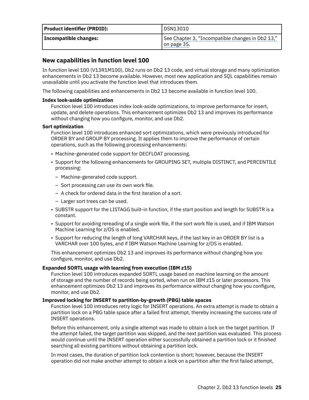<span id="page-30-0"></span>

| Product identifier (PRDID): | l DSN13010                                                      |
|-----------------------------|-----------------------------------------------------------------|
| Incompatible changes:       | See Chapter 3, "Incompatible changes in Db2 13,"<br>on page 35. |

## **New capabilities in function level 100**

In function level 100 (V13R1M100), Db2 runs on Db2 13 code, and virtual storage and many optimization enhancements in Db2 13 become available. However, most new application and SQL capabilities remain unavailable until you activate the function level that introduces them.

The following capabilities and enhancements in Db2 13 become available in function level 100.

### **Index look-aside optimization**

Function level 100 introduces index look-aside optimizations, to improve performance for insert, update, and delete operations. This enhancement optimizes Db2 13 and improves its performance without changing how you configure, monitor, and use Db2.

### **Sort optimization**

Function level 100 introduces enhanced sort optimizations, which were previously introduced for ORDER BY and GROUP BY processing. It applies them to improve the performance of certain operations, such as the following processing enhancements:

- Machine-generated code support for DECFLOAT processing.
- Support for the following enhancements for GROUPING SET, multiple DISTINCT, and PERCENTILE processing:
	- Machine-generated code support.
	- Sort processing can use its own work file.
	- A check for ordered data in the first iteration of a sort.
	- Larger sort trees can be used.
- SUBSTR support for the LISTAGG built-in function, if the start position and length for SUBSTR is a constant.
- Support for avoiding rereading of a single work file, if the sort work file is used, and if IBM Watson Machine Learning for z/OS is enabled.
- Support for reducing the length of long VARCHAR keys, if the last key in an ORDER BY list is a VARCHAR over 100 bytes, and if IBM Watson Machine Learning for z/OS is enabled.

This enhancement optimizes Db2 13 and improves its performance without changing how you configure, monitor, and use Db2.

### **Expanded SORTL usage with learning from execution (IBM z15)**

Function level 100 introduces expanded SORTL usage based on machine learning on the amount of storage and the number of records being sorted, when run on IBM z15 or later processors. This enhancement optimizes Db2 13 and improves its performance without changing how you configure, monitor, and use Db2.

### **Improved locking for INSERT to partition-by-growth (PBG) table spaces**

Function level 100 introduces retry logic for INSERT operations. An extra attempt is made to obtain a partition lock on a PBG table space after a failed first attempt, thereby increasing the success rate of INSERT operations.

Before this enhancement, only a single attempt was made to obtain a lock on the target partition. If the attempt failed, the target partition was skipped, and the next partition was evaluated. This process would continue until the INSERT operation either successfully obtained a partition lock or it finished searching all existing partitions without obtaining a partition lock.

In most cases, the duration of partition lock contention is short; however, because the INSERT operation did not make another attempt to obtain a lock on a partition after the first failed attempt,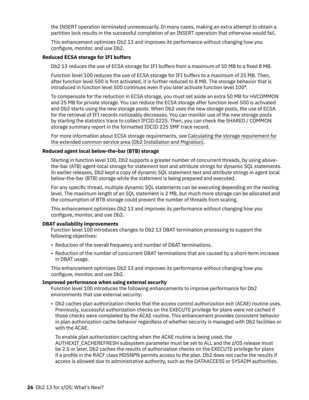the INSERT operation terminated unnecessarily. In many cases, making an extra attempt to obtain a partition lock results in the successful completion of an INSERT operation that otherwise would fail.

This enhancement optimizes Db2 13 and improves its performance without changing how you configure, monitor, and use Db2.

### **Reduced ECSA storage for IFI buffers**

Db2 13 reduces the use of ECSA storage for IFI buffers from a maximum of 50 MB to a fixed 8 MB.

Function level 100 reduces the use of ECSA storage for IFI buffers to a maximum of 25 MB. Then, after function level 500 is first activated, it is further reduced to 8 MB. The storage behavior that is introduced in function level 500 continues even if you later activate function level 100\*.

To compensate for the reduction in ECSA storage, you must set aside an extra 50 MB for HVCOMMON and 25 MB for private storage. You can reduce the ECSA storage after function level 500 is activated and Db2 starts using the new storage pools. When Db2 uses the new storage pools, the use of ECSA for the retrieval of IFI records noticeably decreases. You can monitor use of the new storage pools by starting the statistics trace to collect IFCID 0225. Then, you can check the SHARED / COMMON storage summary report in the formatted IDCID 225 SMF trace record.

For more information about ECSA storage requirements, see [Calculating the storage requirement for](https://www.ibm.com/docs/en/SSEPEK_13.0.0/inst/src/tpc/db2z_calcecsastgreq.html) [the extended common service area \(Db2 Installation and Migration\)](https://www.ibm.com/docs/en/SSEPEK_13.0.0/inst/src/tpc/db2z_calcecsastgreq.html).

### **Reduced agent local below-the-bar (BTB) storage**

Starting in function level 100, Db2 supports a greater number of concurrent threads, by using abovethe-bar (ATB) agent-local storage for statement text and attribute strings for dynamic SQL statements. In earlier releases, Db2 kept a copy of dynamic SQL statement text and attribute strings in agent local below-the-bar (BTB) storage while the statement is being prepared and executed.

For any specific thread, multiple dynamic SQL statements can be executing depending on the nesting level. The maximum length of an SQL statement is 2 MB, but much more storage can be allocated and the consumption of BTB storage could prevent the number of threads from scaling.

This enhancement optimizes Db2 13 and improves its performance without changing how you configure, monitor, and use Db2.

### **DBAT availability improvements**

Function level 100 introduces changes to Db2 13 DBAT termination processing to support the following objectives:

- Reduction of the overall frequency and number of DBAT terminations.
- Reduction of the number of concurrent DBAT terminations that are caused by a short-term increase in DBAT usage.

This enhancement optimizes Db2 13 and improves its performance without changing how you configure, monitor, and use Db2.

### **Improved performance when using external security**

Function level 100 introduces the following enhancements to improve performance for Db2 environments that use external security:

• Db2 caches plan authorization checks that the access control authorization exit (ACAE) routine uses. Previously, successful authorization checks on the EXECUTE privilege for plans were not cached if those checks were completed by the ACAE routine. This enhancement provides consistent behavior in plan authorization cache behavior regardless of whether security is managed with Db2 facilities or with the ACAE.

To enable plan authorization caching when the ACAE routine is being used, the AUTHEXIT\_CACHEREFRESH subsystem parameter must be set to ALL and the z/OS release must be 2.5 or later. Db2 caches the results of authorization checks on the EXECUTE privilege for plans if a profile in the RACF class MDSNPN permits access to the plan. Db2 does not cache the results if access is allowed due to administrative authority, such as the DATAACCESS or SYSADM authorities.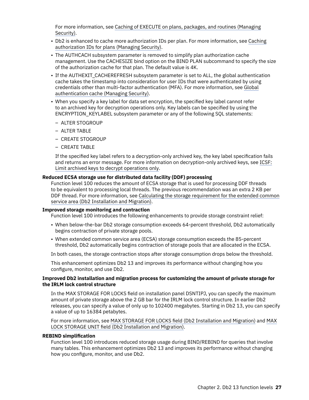For more information, see [Caching of EXECUTE on plans, packages, and routines \(Managing](https://www.ibm.com/docs/en/SSEPEK_13.0.0/seca/src/tpc/db2z_executecache.html) [Security\).](https://www.ibm.com/docs/en/SSEPEK_13.0.0/seca/src/tpc/db2z_executecache.html)

- Db2 is enhanced to cache more authorization IDs per plan. For more information, see [Caching](https://www.ibm.com/docs/en/SSEPEK_13.0.0/seca/src/tpc/db2z_cacheid4plan.html) [authorization IDs for plans \(Managing Security\).](https://www.ibm.com/docs/en/SSEPEK_13.0.0/seca/src/tpc/db2z_cacheid4plan.html)
- The AUTHCACH subsystem parameter is removed to simplify plan authorization cache management. Use the CACHESIZE bind option on the BIND PLAN subcommand to specify the size of the authorization cache for that plan. The default value is 4K.
- If the AUTHEXIT\_CACHEREFRESH subsystem parameter is set to ALL, the global authentication cache takes the timestamp into consideration for user IDs that were authenticated by using credentials other than multi-factor authentication (MFA). For more information, see [Global](https://www.ibm.com/docs/en/SSEPEK_13.0.0/seca/src/tpc/db2z_globalauthcache.html) [authentication cache \(Managing Security\).](https://www.ibm.com/docs/en/SSEPEK_13.0.0/seca/src/tpc/db2z_globalauthcache.html)
- When you specify a key label for data set encryption, the specified key label cannot refer to an archived key for decryption operations only. Key labels can be specified by using the ENCRYPTION\_KEYLABEL subsystem parameter or any of the following SQL statements:
	- ALTER STOGROUP
	- ALTER TABLE
	- CREATE STOGROUP
	- CREATE TABLE

If the specified key label refers to a decryption-only archived key, the key label specification fails and returns an error message. For more information on decryption-only archived keys, see [ICSF:](https://www.ibm.com/docs/en/zos/2.5.0?topic=icsf-limit-archived-keys-decrypt-operations-only) [Limit archived keys to decrypt operations only.](https://www.ibm.com/docs/en/zos/2.5.0?topic=icsf-limit-archived-keys-decrypt-operations-only)

### **Reduced ECSA storage use for distributed data facility (DDF) processing**

Function level 100 reduces the amount of ECSA storage that is used for processing DDF threads to be equivalent to processing local threads. The previous recommendation was an extra 2 KB per DDF thread. For more information, see [Calculating the storage requirement for the extended common](https://www.ibm.com/docs/en/SSEPEK_13.0.0/inst/src/tpc/db2z_calcecsastgreq.html) [service area \(Db2 Installation and Migration\)](https://www.ibm.com/docs/en/SSEPEK_13.0.0/inst/src/tpc/db2z_calcecsastgreq.html).

### **Improved storage monitoring and contraction**

Function level 100 introduces the following enhancements to provide storage constraint relief:

- When below-the-bar Db2 storage consumption exceeds 64-percent threshold, Db2 automatically begins contraction of private storage pools.
- When extended common service area (ECSA) storage consumption exceeds the 85-percent threshold, Db2 automatically begins contraction of storage pools that are allocated in the ECSA.

In both cases, the storage contraction stops after storage consumption drops below the threshold.

This enhancement optimizes Db2 13 and improves its performance without changing how you configure, monitor, and use Db2.

### **Improved Db2 installation and migration process for customizing the amount of private storage for the IRLM lock control structure**

In the MAX STORAGE FOR LOCKS field on installation panel DSNTIPJ, you can specify the maximum amount of private storage above the 2 GB bar for the IRLM lock control structure. In earlier Db2 releases, you can specify a value of only up to 102400 megabytes. Starting in Db2 13, you can specify a value of up to 16384 petabytes.

For more information, see [MAX STORAGE FOR LOCKS field \(Db2 Installation and Migration\)](https://www.ibm.com/docs/en/SSEPEK_13.0.0/inst/src/tpc/db2z_ipf_maxstorageforlocks.html) and [MAX](https://www.ibm.com/docs/en/SSEPEK_13.0.0/inst/src/tpc/db2z_ipf_maxlockstorageunit.html) [LOCK STORAGE UNIT field \(Db2 Installation and Migration\)](https://www.ibm.com/docs/en/SSEPEK_13.0.0/inst/src/tpc/db2z_ipf_maxlockstorageunit.html).

### **REBIND simplification**

Function level 100 introduces reduced storage usage during BIND/REBIND for queries that involve many tables. This enhancement optimizes Db2 13 and improves its performance without changing how you configure, monitor, and use Db2.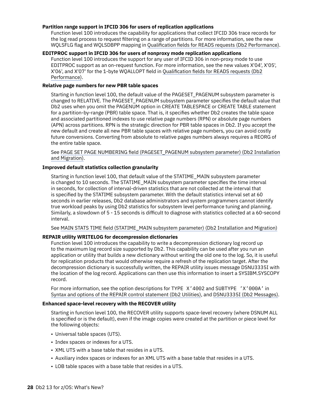### **Partition range support in IFCID 306 for users of replication applications**

Function level 100 introduces the capability for applications that collect IFCID 306 trace records for the log read process to request filtering on a range of partitions. For more information, see the new WQLSFLG flag and WQLSDBPP mapping in Qualification [fields for READS requests \(Db2 Performance\)](https://www.ibm.com/docs/en/SSEPEK_13.0.0/perf/src/tpc/db2z_quals4ifireadsrequests.html).

### **EDITPROC support in IFCID 306 for users of nonproxy mode replication applications**

Function level 100 introduces the support for any user of IFCID 306 in non-proxy mode to use EDITPROC support as an on-request function. For more information, see the new values X'04', X'05', X'06', and X'07' for the 1-byte WQALLOPT field in Qualification [fields for READS requests \(Db2](https://www.ibm.com/docs/en/SSEPEK_13.0.0/perf/src/tpc/db2z_quals4ifireadsrequests.html) [Performance\)](https://www.ibm.com/docs/en/SSEPEK_13.0.0/perf/src/tpc/db2z_quals4ifireadsrequests.html).

### **Relative page numbers for new PBR table spaces**

Starting in function level 100, the default value of the PAGESET PAGENUM subsystem parameter is changed to RELATIVE. The PAGESET\_PAGENUM subsystem parameter specifies the default value that Db2 uses when you omit the PAGENUM option in CREATE TABLESPACE or CREATE TABLE statement for a partition-by-range (PBR) table space. That is, it specifies whether Db2 creates the table space and associated partitioned indexes to use relative page numbers (RPN) or absolute page numbers (APN) across partitions. RPN is the strategic direction for PBR table spaces in Db2. If you accept the new default and create all new PBR table spaces with relative page numbers, you can avoid costly future conversions. Converting from absolute to relative pages numbers always requires a REORG of the entire table space.

See [PAGE SET PAGE NUMBERING field \(PAGESET\\_PAGENUM subsystem parameter\) \(Db2 Installation](https://www.ibm.com/docs/en/SSEPEK_13.0.0/inst/src/tpc/db2z_ipf_pagesetpagenum.html) [and Migration\).](https://www.ibm.com/docs/en/SSEPEK_13.0.0/inst/src/tpc/db2z_ipf_pagesetpagenum.html)

## **Improved default statistics collection granularity**

Starting in function level 100, that default value of the STATIME\_MAIN subsystem parameter is changed to 10 seconds. The STATIME\_MAIN subsystem parameter specifies the time interval in seconds, for collection of interval-driven statistics that are not collected at the interval that is specified by the STATIME subsystem parameter. With the default statistics interval set at 60 seconds in earlier releases, Db2 database administrators and system programmers cannot identify true workload peaks by using Db2 statistics for subsystem level performance tuning and planning. Similarly, a slowdown of 5 - 15 seconds is difficult to diagnose with statistics collected at a 60-second interval.

See [MAIN STATS TIME field \(STATIME\\_MAIN subsystem parameter\) \(Db2 Installation and Migration\)](https://www.ibm.com/docs/en/SSEPEK_13.0.0/inst/src/tpc/db2z_ipf_statimemain.html)

### **REPAIR utility WRITELOG for decompression dictionaries**

Function level 100 introduces the capability to write a decompression dictionary log record up to the maximum log record size supported by Db2. This capability can be used after you run an application or utility that builds a new dictionary without writing the old one to the log. So, it is useful for replication products that would otherwise require a refresh of the replication target. After the decompression dictionary is successfully written, the REPAIR utility issues message DSNU3335I with the location of the log record. Applications can then use this information to insert a SYSIBM.SYSCOPY record.

For more information, see the option descriptions for TYPE X'4002 and SUBTYPE 'X'000A' in [Syntax and options of the REPAIR control statement \(Db2 Utilities\)](https://www.ibm.com/docs/en/SSEPEK_13.0.0/ugref/src/tpc/db2z_repairsyntax.html), and [DSNU3335I \(Db2 Messages\)](https://www.ibm.com/docs/en/SSEPEK_13.0.0/msgs/src/tpc/dsnu3335i.html).

### **Enhanced space-level recovery with the RECOVER utility**

Starting in function level 100, the RECOVER utility supports space-level recovery (where DSNUM ALL is specified or is the default), even if the image copies were created at the partition or piece level for the following objects:

- Universal table spaces (UTS).
- Index spaces or indexes for a UTS.
- XML UTS with a base table that resides in a UTS.
- Auxiliary index spaces or indexes for an XML UTS with a base table that resides in a UTS.
- LOB table spaces with a base table that resides in a UTS.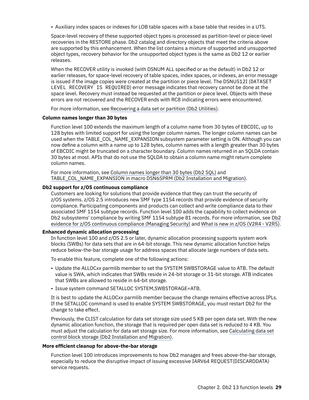• Auxiliary index spaces or indexes for LOB table spaces with a base table that resides in a UTS.

Space-level recovery of these supported object types is processed as partition-level or piece-level recoveries in the RESTORE phase. Db2 catalog and directory objects that meet the criteria above are supported by this enhancement. When the list contains a mixture of supported and unsupported object types, recovery behavior for the unsupported object types is the same as Db2 12 or earlier releases.

When the RECOVER utility is invoked (with DSNUM ALL specified or as the default) in Db2 12 or earlier releases, for space-level recovery of table spaces, index spaces, or indexes, an error message is issued if the image copies were created at the partition or piece level. The DSNU512I (DATASET LEVEL RECOVERY IS REQUIRED) error message indicates that recovery cannot be done at the space level. Recovery must instead be requested at the partition or piece level. Objects with these errors are not recovered and the RECOVER ends with RC8 indicating errors were encountered.

For more information, see [Recovering a data set or partition \(Db2 Utilities\)](https://www.ibm.com/docs/en/SSEPEK_13.0.0/ugref/src/tpc/db2z_recoverdatasetorpartition.html).

### **Column names longer than 30 bytes**

Function level 100 extends the maximum length of a column name from 30 bytes of EBCDIC, up to 128 bytes with limited support for using the longer column names. The longer column names can be used when the TABLE\_COL\_NAME\_EXPANSION subsystem parameter setting is ON. Although you can now define a column with a name up to 128 bytes, column names with a length greater than 30 bytes of EBCDIC might be truncated on a character boundary. Column names returned in an SQLDA contain 30 bytes at most. APIs that do not use the SQLDA to obtain a column name might return complete column names.

For more information, see [Column names longer than 30 bytes \(Db2 SQL\)](https://www.ibm.com/docs/en/SSEPEK_13.0.0/sqlref/src/tpc/db2z_longcolumnnames.html) and [TABLE\\_COL\\_NAME\\_EXPANSION in macro DSN6SPRM \(Db2 Installation and Migration\)](https://www.ibm.com/docs/en/SSEPEK_13.0.0/inst/src/tpc/db2z_ipf_tablecolnameexpansion.html).

### **Db2 support for z/OS continuous compliance**

Customers are looking for solutions that provide evidence that they can trust the security of z/OS systems. z/OS 2.5 introduces new SMF type 1154 records that provide evidence of security compliance. Participating components and products can collect and write compliance data to their associated SMF 1154 subtype records. Function level 100 adds the capability to collect evidence on Db2 subsystems' compliance by writing SMF 1154 subtype 81 records. For more information, see [Db2](https://www.ibm.com/docs/en/SSEPEK_13.0.0/seca/src/tpc/db2z_zcontinuouscompliance.html) [evidence for z/OS continuous compliance \(Managing Security\)](https://www.ibm.com/docs/en/SSEPEK_13.0.0/seca/src/tpc/db2z_zcontinuouscompliance.html) and [What is new in z/OS \(V2R4 - V2R5\)](https://www.ibm.com/docs/en/zos/2.5.0?topic=guide-what-is-new-in-zos-v2r4-v2r5).

### **Enhanced dynamic allocation processing**

In function level 100 and z/OS 2.5 or later, dynamic allocation processing supports system work blocks (SWBs) for data sets that are in 64-bit storage. This new dynamic allocation function helps reduce below-the-bar storage usage for address spaces that allocate large numbers of data sets.

To enable this feature, complete one of the following actions:

- Update the ALLOC*xx* parmlib member to set the SYSTEM SWBSTORAGE value to ATB. The default value is SWA, which indicates that SWBs reside in 24-bit storage or 31-bit storage. ATB indicates that SWBs are allowed to reside in 64-bit storage.
- Issue system command SETALLOC SYSTEM,SWBSTORAGE=ATB.

It is best to update the ALLOC*xx* parmlib member because the change remains effective across IPLs. If the SETALLOC command is used to enable SYSTEM SWBSTORAGE, you must restart Db2 for the change to take effect.

Previously, the CLIST calculation for data set storage size used 5 KB per open data set. With the new dynamic allocation function, the storage that is required per open data set is reduced to 4 KB. You must adjust the calculation for data set storage size. For more information, see [Calculating data set](https://www.ibm.com/docs/en/SSEPEK_13.0.0/inst/src/tpc/db2z_calcdsctrlblockstg.html) [control block storage \(Db2 Installation and Migration\)](https://www.ibm.com/docs/en/SSEPEK_13.0.0/inst/src/tpc/db2z_calcdsctrlblockstg.html).

### **More efficient cleanup for above-the-bar storage**

Function level 100 introduces improvements to how Db2 manages and frees above-the-bar storage, especially to reduce the disruptive impact of issuing excessive IARV64 REQUEST(DISCARDDATA) service requests.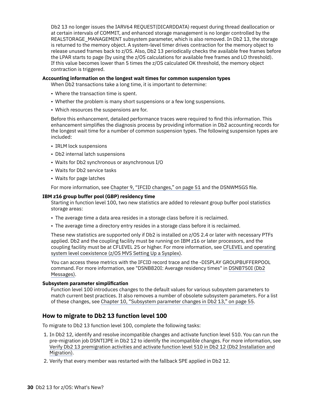<span id="page-35-0"></span>Db2 13 no longer issues the IARV64 REQUEST(DICARDDATA) request during thread deallocation or at certain intervals of COMMIT, and enhanced storage management is no longer controlled by the REALSTORAGE\_MANAGEMENT subsystem parameter, which is also removed. In Db2 13, the storage is returned to the memory object. A system-level timer drives contraction for the memory object to release unused frames back to z/OS. Also, Db2 13 periodically checks the available free frames before the LPAR starts to page (by using the z/OS calculations for available free frames and LO threshold). If this value becomes lower than 5 times the z/OS calculated OK threshold, the memory object contraction is triggered.

### **Accounting information on the longest wait times for common suspension types**

When Db2 transactions take a long time, it is important to determine:

- Where the transaction time is spent.
- Whether the problem is many short suspensions or a few long suspensions.
- Which resources the suspensions are for.

Before this enhancement, detailed performance traces were required to find this information. This enhancement simplifies the diagnosis process by providing information in Db2 accounting records for the longest wait time for a number of common suspension types. The following suspension types are included:

- IRLM lock suspensions
- Db2 internal latch suspensions
- Waits for Db2 synchronous or asynchronous I/O
- Waits for Db2 service tasks
- Waits for page latches

For more information, see [Chapter 9, "IFCID changes," on page 51](#page-56-0) and the DSNWMSGS file.

### **IBM z16 group buffer pool (GBP) residency time**

Starting in function level 100, two new statistics are added to relevant group buffer pool statistics storage areas:

- The average time a data area resides in a storage class before it is reclaimed.
- The average time a directory entry resides in a storage class before it is reclaimed.

These new statistics are supported only if Db2 is installed on z/OS 2.4 or later with necessary PTFs applied. Db2 and the coupling facility must be running on IBM z16 or later processors, and the coupling facility must be at CFLEVEL 25 or higher. For more information, see [CFLEVEL and operating](http://www.ibm.com/support/knowledgecenter/SSLTBW_2.5.0/com.ibm.zos.v2r5.ieaf100/r4cfl.htm) [system level coexistence \(z/OS MVS Setting Up a Sysplex\).](http://www.ibm.com/support/knowledgecenter/SSLTBW_2.5.0/com.ibm.zos.v2r5.ieaf100/r4cfl.htm)

You can access these metrics with the IFCID record trace and the -DISPLAY GROUPBUFFERPOOL command. For more information, see "DSNB820I: Average residency times" in [DSNB750I \(Db2](https://www.ibm.com/docs/en/SSEPEK_13.0.0/msgs/src/tpc/dsnb750i.html) [Messages\).](https://www.ibm.com/docs/en/SSEPEK_13.0.0/msgs/src/tpc/dsnb750i.html)

### **Subsystem parameter simplification**

Function level 100 introduces changes to the default values for various subsystem parameters to match current best practices. It also removes a number of obsolete subsystem parameters. For a list of these changes, see [Chapter 10, "Subsystem parameter changes in Db2 13," on page 55.](#page-60-0)

### **How to migrate to Db2 13 function level 100**

To migrate to Db2 13 function level 100, complete the following tasks:

- 1. In Db2 12, identify and resolve incompatible changes and activate function level 510. You can run the pre-migration job DSNTIJPE in Db2 12 to identify the incompatible changes. For more information, see [Verify Db2 13 premigration activities and activate function level 510 in Db2 12 \(Db2 Installation and](https://www.ibm.com/docs/en/SSEPEK_13.0.0/inst/src/tpc/db2z_verifypremigrate.html) [Migration\).](https://www.ibm.com/docs/en/SSEPEK_13.0.0/inst/src/tpc/db2z_verifypremigrate.html)
- 2. Verify that every member was restarted with the fallback SPE applied in Db2 12.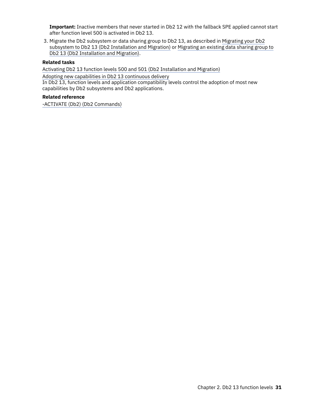**Important:** Inactive members that never started in Db2 12 with the fallback SPE applied cannot start after function level 500 is activated in Db2 13.

3. Migrate the Db2 subsystem or data sharing group to Db2 13, as described in [Migrating your Db2](https://www.ibm.com/docs/en/SSEPEK_13.0.0/inst/src/tpc/db2z_migr2newr.html) [subsystem to Db2 13 \(Db2 Installation and Migration\)](https://www.ibm.com/docs/en/SSEPEK_13.0.0/inst/src/tpc/db2z_migr2newr.html) or [Migrating an existing data sharing group to](https://www.ibm.com/docs/en/SSEPEK_13.0.0/inst/src/tpc/db2z_migrateexistdsgroup.html) [Db2 13 \(Db2 Installation and Migration\)](https://www.ibm.com/docs/en/SSEPEK_13.0.0/inst/src/tpc/db2z_migrateexistdsgroup.html).

#### **Related tasks**

[Activating Db2 13 function levels 500 and 501 \(Db2 Installation and Migration\)](https://www.ibm.com/docs/en/SSEPEK_13.0.0/inst/src/tpc/db2z_activateflmigrate.html)

[Adopting new capabilities in Db2 13 continuous delivery](#page-74-0)

In Db2 13, function levels and application compatibility levels control the adoption of most new capabilities by Db2 subsystems and Db2 applications.

### **Related reference**

[-ACTIVATE \(Db2\) \(Db2 Commands\)](https://www.ibm.com/docs/en/SSEPEK_13.0.0/comref/src/tpc/db2z_cmd_activate.html)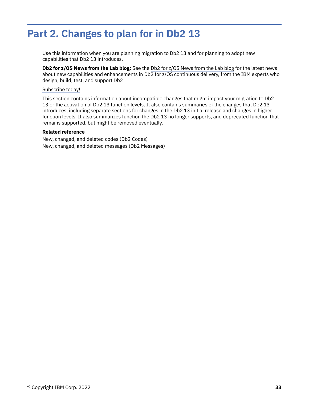# <span id="page-38-0"></span>**Part 2. Changes to plan for in Db2 13**

Use this information when you are planning migration to Db2 13 and for planning to adopt new capabilities that Db2 13 introduces.

**Db2 for z/OS News from the Lab blog:** See the [Db2 for z/OS News from the Lab blog](https://community.ibm.com/community/user/hybriddatamanagement/communities/community-home/recent-community-blogs?communitykey=621c2a2a-01f9-4b57-992f-36ed7432e3bb) for the latest news about new capabilities and enhancements in Db2 for z/OS continuous delivery, from the IBM experts who design, build, test, and support Db2

#### [Subscribe today!](https://community.ibm.com/community/user/hybriddatamanagement/viewdocument/db2znews-blog-subscribe?CommunityKey=621c2a2a-01f9-4b57-992f-36ed7432e3bb)

This section contains information about incompatible changes that might impact your migration to Db2 13 or the activation of Db2 13 function levels. It also contains summaries of the changes that Db2 13 introduces, including separate sections for changes in the Db2 13 initial release and changes in higher function levels. It also summarizes function the Db2 13 no longer supports, and deprecated function that remains supported, but might be removed eventually.

#### **Related reference**

[New, changed, and deleted codes \(Db2 Codes\)](https://www.ibm.com/docs/en/SSEPEK_13.0.0/codes/src/tpc/db2z_codeschangelist.html) [New, changed, and deleted messages \(Db2 Messages\)](https://www.ibm.com/docs/en/SSEPEK_13.0.0/msgs/src/tpc/db2z_msgschangelist.html)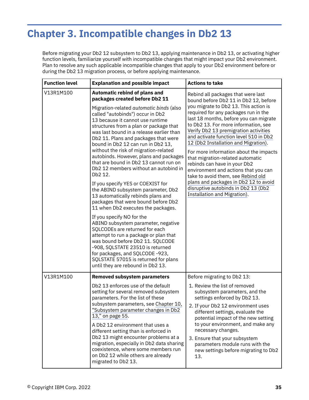# <span id="page-40-0"></span>**Chapter 3. Incompatible changes in Db2 13**

Before migrating your Db2 12 subsystem to Db2 13, applying maintenance in Db2 13, or activating higher function levels, familiarize yourself with incompatible changes that might impact your Db2 environment. Plan to resolve any such applicable incompatible changes that apply to your Db2 environment before or during the Db2 13 migration process, or before applying maintenance.

| <b>Function level</b> | <b>Explanation and possible impact</b>                                                                                                                                                                                                                                                                                                                                                                                                                                                                                                                                                                                                                                                                                                                                                                                                                                                                                                                                                                                                                                       | <b>Actions to take</b>                                                                                                                                                                                                                                                                                                                                                                                                                                                                                                                                                                                                                                                                |
|-----------------------|------------------------------------------------------------------------------------------------------------------------------------------------------------------------------------------------------------------------------------------------------------------------------------------------------------------------------------------------------------------------------------------------------------------------------------------------------------------------------------------------------------------------------------------------------------------------------------------------------------------------------------------------------------------------------------------------------------------------------------------------------------------------------------------------------------------------------------------------------------------------------------------------------------------------------------------------------------------------------------------------------------------------------------------------------------------------------|---------------------------------------------------------------------------------------------------------------------------------------------------------------------------------------------------------------------------------------------------------------------------------------------------------------------------------------------------------------------------------------------------------------------------------------------------------------------------------------------------------------------------------------------------------------------------------------------------------------------------------------------------------------------------------------|
| V13R1M100             | Automatic rebind of plans and<br>packages created before Db2 11<br>Migration-related automatic binds (also<br>called "autobinds") occur in Db2<br>13 because it cannot use runtime<br>structures from a plan or package that<br>was last bound in a release earlier than<br>Db2 11. Plans and packages that were<br>bound in Db2 12 can run in Db2 13,<br>without the risk of migration-related<br>autobinds. However, plans and packages<br>that are bound in Db2 13 cannot run on<br>Db2 12 members without an autobind in<br>Db2 12.<br>If you specify YES or COEXIST for<br>the ABIND subsystem parameter, Db2<br>13 automatically rebinds plans and<br>packages that were bound before Db2<br>11 when Db2 executes the packages.<br>If you specify NO for the<br>ABIND subsystem parameter, negative<br>SQLCODEs are returned for each<br>attempt to run a package or plan that<br>was bound before Db2 11. SQLCODE<br>-908, SQLSTATE 23510 is returned<br>for packages, and SQLCODE -923,<br>SQLSTATE 57015 is returned for plans<br>until they are rebound in Db2 13. | Rebind all packages that were last<br>bound before Db2 11 in Db2 12, before<br>you migrate to Db2 13. This action is<br>required for any packages run in the<br>last 18 months, before you can migrate<br>to Db2 13. For more information, see<br>Verify Db2 13 premigration activities<br>and activate function level 510 in Db2<br>12 (Db2 Installation and Migration).<br>For more information about the impacts<br>that migration-related automatic<br>rebinds can have in your Db2<br>environment and actions that you can<br>take to avoid them, see Rebind old<br>plans and packages in Db2 12 to avoid<br>disruptive autobinds in Db2 13 (Db2<br>Installation and Migration). |
| V13R1M100             | <b>Removed subsystem parameters</b>                                                                                                                                                                                                                                                                                                                                                                                                                                                                                                                                                                                                                                                                                                                                                                                                                                                                                                                                                                                                                                          | Before migrating to Db2 13:                                                                                                                                                                                                                                                                                                                                                                                                                                                                                                                                                                                                                                                           |
|                       | Db2 13 enforces use of the default<br>setting for several removed subsystem<br>parameters. For the list of these<br>subsystem parameters, see Chapter 10,<br>"Subsystem parameter changes in Db2<br>13," on page 55.<br>A Db2 12 environment that uses a<br>different setting than is enforced in<br>Db2 13 might encounter problems at a<br>migration, especially in Db2 data sharing<br>coexistence, where some members run<br>on Db2 12 while others are already<br>migrated to Db2 13.                                                                                                                                                                                                                                                                                                                                                                                                                                                                                                                                                                                   | 1. Review the list of removed<br>subsystem parameters, and the<br>settings enforced by Db2 13.<br>2. If your Db2 12 environment uses<br>different settings, evaluate the<br>potential impact of the new setting<br>to your environment, and make any<br>necessary changes.<br>3. Ensure that your subsystem<br>parameters module runs with the<br>new settings before migrating to Db2<br>13.                                                                                                                                                                                                                                                                                         |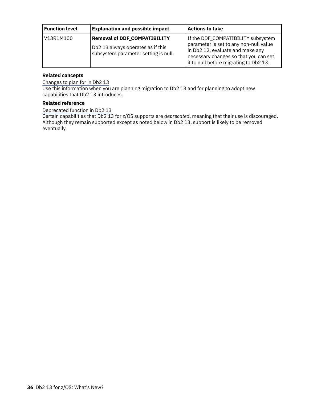| <b>Function level</b> | <b>Explanation and possible impact</b>                                                                           | <b>Actions to take</b>                                                                                                                                                                              |
|-----------------------|------------------------------------------------------------------------------------------------------------------|-----------------------------------------------------------------------------------------------------------------------------------------------------------------------------------------------------|
| V13R1M100             | <b>Removal of DDF COMPATIBILITY</b><br>Db2 13 always operates as if this<br>subsystem parameter setting is null. | If the DDF COMPATIBILITY subsystem<br>parameter is set to any non-null value<br>in Db2 12, evaluate and make any<br>necessary changes so that you can set<br>it to null before migrating to Db2 13. |

#### **Related concepts**

[Changes to plan for in Db2 13](#page-38-0)

Use this information when you are planning migration to Db2 13 and for planning to adopt new capabilities that Db2 13 introduces.

### **Related reference**

[Deprecated function in Db2 13](#page-70-0)

Certain capabilities that Db2 13 for z/OS supports are *deprecated*, meaning that their use is discouraged. Although they remain supported except as noted below in Db2 13, support is likely to be removed eventually.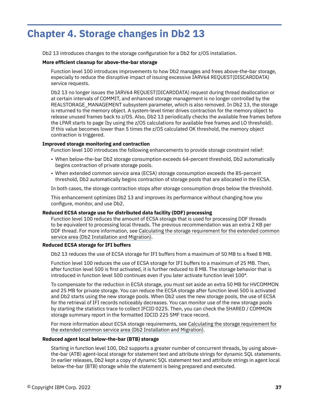# **Chapter 4. Storage changes in Db2 13**

Db2 13 introduces changes to the storage configuration for a Db2 for z/OS installation.

#### **More efficient cleanup for above-the-bar storage**

Function level 100 introduces improvements to how Db2 manages and frees above-the-bar storage, especially to reduce the disruptive impact of issuing excessive IARV64 REQUEST(DISCARDDATA) service requests.

Db2 13 no longer issues the IARV64 REQUEST(DICARDDATA) request during thread deallocation or at certain intervals of COMMIT, and enhanced storage management is no longer controlled by the REALSTORAGE\_MANAGEMENT subsystem parameter, which is also removed. In Db2 13, the storage is returned to the memory object. A system-level timer drives contraction for the memory object to release unused frames back to z/OS. Also, Db2 13 periodically checks the available free frames before the LPAR starts to page (by using the z/OS calculations for available free frames and LO threshold). If this value becomes lower than 5 times the z/OS calculated OK threshold, the memory object contraction is triggered.

#### **Improved storage monitoring and contraction**

Function level 100 introduces the following enhancements to provide storage constraint relief:

- When below-the-bar Db2 storage consumption exceeds 64-percent threshold, Db2 automatically begins contraction of private storage pools.
- When extended common service area (ECSA) storage consumption exceeds the 85-percent threshold, Db2 automatically begins contraction of storage pools that are allocated in the ECSA.

In both cases, the storage contraction stops after storage consumption drops below the threshold.

This enhancement optimizes Db2 13 and improves its performance without changing how you configure, monitor, and use Db2.

#### **Reduced ECSA storage use for distributed data facility (DDF) processing**

Function level 100 reduces the amount of ECSA storage that is used for processing DDF threads to be equivalent to processing local threads. The previous recommendation was an extra 2 KB per DDF thread. For more information, see [Calculating the storage requirement for the extended common](https://www.ibm.com/docs/en/SSEPEK_13.0.0/inst/src/tpc/db2z_calcecsastgreq.html) [service area \(Db2 Installation and Migration\)](https://www.ibm.com/docs/en/SSEPEK_13.0.0/inst/src/tpc/db2z_calcecsastgreq.html).

#### **Reduced ECSA storage for IFI buffers**

Db2 13 reduces the use of ECSA storage for IFI buffers from a maximum of 50 MB to a fixed 8 MB.

Function level 100 reduces the use of ECSA storage for IFI buffers to a maximum of 25 MB. Then, after function level 500 is first activated, it is further reduced to 8 MB. The storage behavior that is introduced in function level 500 continues even if you later activate function level 100\*.

To compensate for the reduction in ECSA storage, you must set aside an extra 50 MB for HVCOMMON and 25 MB for private storage. You can reduce the ECSA storage after function level 500 is activated and Db2 starts using the new storage pools. When Db2 uses the new storage pools, the use of ECSA for the retrieval of IFI records noticeably decreases. You can monitor use of the new storage pools by starting the statistics trace to collect IFCID 0225. Then, you can check the SHARED / COMMON storage summary report in the formatted IDCID 225 SMF trace record.

For more information about ECSA storage requirements, see [Calculating the storage requirement for](https://www.ibm.com/docs/en/SSEPEK_13.0.0/inst/src/tpc/db2z_calcecsastgreq.html) [the extended common service area \(Db2 Installation and Migration\)](https://www.ibm.com/docs/en/SSEPEK_13.0.0/inst/src/tpc/db2z_calcecsastgreq.html).

#### **Reduced agent local below-the-bar (BTB) storage**

Starting in function level 100, Db2 supports a greater number of concurrent threads, by using abovethe-bar (ATB) agent-local storage for statement text and attribute strings for dynamic SQL statements. In earlier releases, Db2 kept a copy of dynamic SQL statement text and attribute strings in agent local below-the-bar (BTB) storage while the statement is being prepared and executed.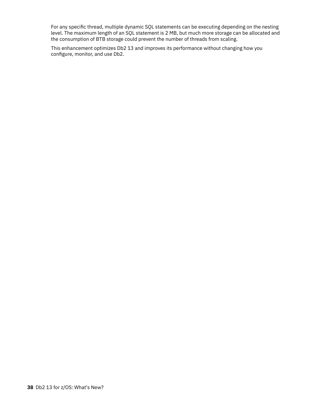For any specific thread, multiple dynamic SQL statements can be executing depending on the nesting level. The maximum length of an SQL statement is 2 MB, but much more storage can be allocated and the consumption of BTB storage could prevent the number of threads from scaling.

This enhancement optimizes Db2 13 and improves its performance without changing how you configure, monitor, and use Db2.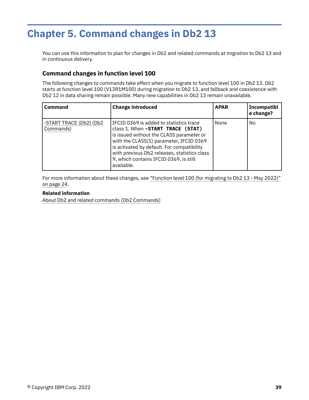# **Chapter 5. Command changes in Db2 13**

You can use this information to plan for changes in Db2 and related commands at migration to Db2 13 and in continuous delivery.

## **Command changes in function level 100**

The following changes to commands take effect when you migrate to function level 100 in Db2 13. Db2 starts at function level 100 (V13R1M100) during migration to Db2 13, and fallback and coexistence with Db2 12 in data sharing remain possible. Many new capabilities in Db2 13 remain unavailable.

| <b>Command</b>                       | <b>Change introduced</b>                                                                                                                                                                                                                                                                                                   | <b>APAR</b> | <b>Incompatibl</b><br>e change? |
|--------------------------------------|----------------------------------------------------------------------------------------------------------------------------------------------------------------------------------------------------------------------------------------------------------------------------------------------------------------------------|-------------|---------------------------------|
| -START TRACE (Db2) (Db2<br>Commands) | IFCID 0369 is added to statistics trace<br>class 1. When - START TRACE (STAT)<br>is issued without the CLASS parameter or<br>with the CLASS(1) parameter, IFCID 0369<br>is activated by default. For compatibility<br>with previous Db2 releases, statistics class<br>9, which contains IFCID 0369, is still<br>available. | None        | No                              |

For more information about these changes, see ["Function level 100 \(for migrating to Db2 13 - May 2022\)"](#page-29-0) [on page 24.](#page-29-0)

### **Related information**

[About Db2 and related commands \(Db2 Commands\)](https://www.ibm.com/docs/en/SSEPEK_13.0.0/comref/src/tpc/db2z_commanddescriptions.html)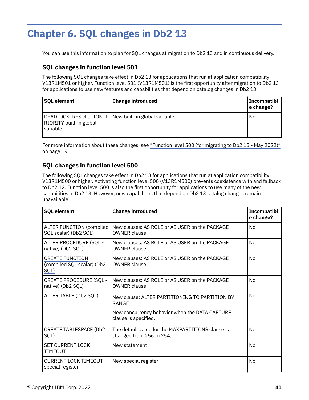# **Chapter 6. SQL changes in Db2 13**

You can use this information to plan for SQL changes at migration to Db2 13 and in continuous delivery.

## **SQL changes in function level 501**

The following SQL changes take effect in Db2 13 for applications that run at application compatibility V13R1M501 or higher. Function level 501 (V13R1M501) is the first opportunity after migration to Db2 13 for applications to use new features and capabilities that depend on catalog changes in Db2 13.

| <b>SQL element</b>                                                                          | <b>Change introduced</b> | Incompatibl<br>e change? |
|---------------------------------------------------------------------------------------------|--------------------------|--------------------------|
| DEADLOCK_RESOLUTION_P   New built-in global variable<br>RIORITY built-in global<br>variable |                          | No                       |
|                                                                                             |                          |                          |

For more information about these changes, see ["Function level 500 \(for migrating to Db2 13 - May 2022\)"](#page-24-0) [on page 19.](#page-24-0)

## **SQL changes in function level 500**

The following SQL changes take effect in Db2 13 for applications that run at application compatibility V13R1M500 or higher. Activating function level 500 (V13R1M500) prevents coexistence with and fallback to Db2 12. Function level 500 is also the first opportunity for applications to use many of the new capabilities in Db2 13. However, new capabilities that depend on Db2 13 catalog changes remain unavailable.

| <b>SQL element</b>                                           | <b>Change introduced</b>                                                                                                          | Incompatibl<br>e change? |
|--------------------------------------------------------------|-----------------------------------------------------------------------------------------------------------------------------------|--------------------------|
| <b>ALTER FUNCTION (compiled</b><br>SQL scalar) (Db2 SQL)     | New clauses: AS ROLE or AS USER on the PACKAGE<br><b>OWNER clause</b>                                                             | <b>No</b>                |
| ALTER PROCEDURE (SQL -<br>native) (Db2 SQL)                  | New clauses: AS ROLE or AS USER on the PACKAGE<br><b>OWNER clause</b>                                                             | N <sub>0</sub>           |
| <b>CREATE FUNCTION</b><br>(compiled SQL scalar) (Db2<br>SQL) | New clauses: AS ROLE or AS USER on the PACKAGE<br><b>OWNER clause</b>                                                             | N <sub>0</sub>           |
| <b>CREATE PROCEDURE (SQL -</b><br>native) (Db2 SQL)          | New clauses: AS ROLE or AS USER on the PACKAGE<br><b>OWNER clause</b>                                                             | No                       |
| ALTER TABLE (Db2 SQL)                                        | New clause: ALTER PARTITIONING TO PARTITION BY<br>RANGE<br>New concurrency behavior when the DATA CAPTURE<br>clause is specified. | No                       |
| <b>CREATE TABLESPACE (Db2</b><br>SQL)                        | The default value for the MAXPARTITIONS clause is<br>changed from 256 to 254.                                                     | No                       |
| <b>SET CURRENT LOCK</b><br>TIMEOUT                           | New statement                                                                                                                     | No                       |
| <b>CURRENT LOCK TIMEOUT</b><br>special register              | New special register                                                                                                              | <b>No</b>                |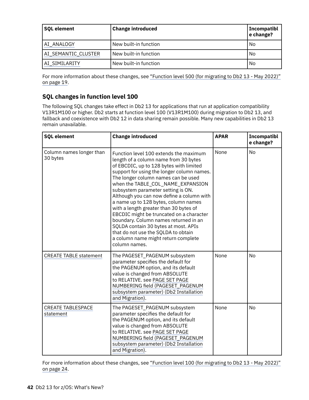| <b>SQL element</b>  | <b>Change introduced</b> | Incompatibl<br>e change? |
|---------------------|--------------------------|--------------------------|
| AI_ANALOGY          | New built-in function    | No                       |
| AI_SEMANTIC_CLUSTER | New built-in function    | No                       |
| AI SIMILARITY       | New built-in function    | No                       |

For more information about these changes, see ["Function level 500 \(for migrating to Db2 13 - May 2022\)"](#page-24-0) [on page 19.](#page-24-0)

# **SQL changes in function level 100**

The following SQL changes take effect in Db2 13 for applications that run at application compatibility V13R1M100 or higher. Db2 starts at function level 100 (V13R1M100) during migration to Db2 13, and fallback and coexistence with Db2 12 in data sharing remain possible. Many new capabilities in Db2 13 remain unavailable.

| <b>SQL element</b>                    | <b>Change introduced</b>                                                                                                                                                                                                                                                                                                                                                                                                                                                                                                                                                                                                                              | <b>APAR</b> | <b>Incompatibl</b><br>e change? |
|---------------------------------------|-------------------------------------------------------------------------------------------------------------------------------------------------------------------------------------------------------------------------------------------------------------------------------------------------------------------------------------------------------------------------------------------------------------------------------------------------------------------------------------------------------------------------------------------------------------------------------------------------------------------------------------------------------|-------------|---------------------------------|
| Column names longer than<br>30 bytes  | Function level 100 extends the maximum<br>length of a column name from 30 bytes<br>of EBCDIC, up to 128 bytes with limited<br>support for using the longer column names.<br>The longer column names can be used<br>when the TABLE_COL_NAME_EXPANSION<br>subsystem parameter setting is ON.<br>Although you can now define a column with<br>a name up to 128 bytes, column names<br>with a length greater than 30 bytes of<br>EBCDIC might be truncated on a character<br>boundary. Column names returned in an<br>SQLDA contain 30 bytes at most. APIs<br>that do not use the SQLDA to obtain<br>a column name might return complete<br>column names. | None        | <b>No</b>                       |
| <b>CREATE TABLE statement</b>         | The PAGESET_PAGENUM subsystem<br>parameter specifies the default for<br>the PAGENUM option, and its default<br>value is changed from ABSOLUTE<br>to RELATIVE. see PAGE SET PAGE<br>NUMBERING field (PAGESET_PAGENUM<br>subsystem parameter) (Db2 Installation<br>and Migration).                                                                                                                                                                                                                                                                                                                                                                      | None        | <b>No</b>                       |
| <b>CREATE TABLESPACE</b><br>statement | The PAGESET_PAGENUM subsystem<br>parameter specifies the default for<br>the PAGENUM option, and its default<br>value is changed from ABSOLUTE<br>to RELATIVE. see PAGE SET PAGE<br>NUMBERING field (PAGESET_PAGENUM<br>subsystem parameter) (Db2 Installation<br>and Migration).                                                                                                                                                                                                                                                                                                                                                                      | None        | <b>No</b>                       |

For more information about these changes, see ["Function level 100 \(for migrating to Db2 13 - May 2022\)"](#page-29-0) [on page 24.](#page-29-0)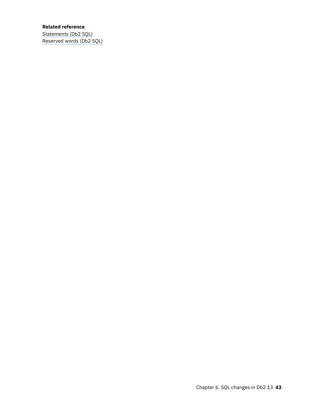## **Related reference**

[Statements \(Db2 SQL\)](https://www.ibm.com/docs/en/SSEPEK_13.0.0/sqlref/src/tpc/db2z_sql_statementsintro.html) [Reserved words \(Db2 SQL\)](https://www.ibm.com/docs/en/SSEPEK_13.0.0/sqlref/src/tpc/db2z_reservedwords.html)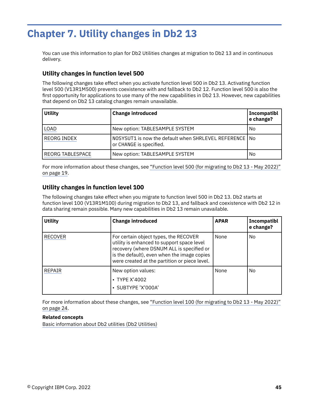# **Chapter 7. Utility changes in Db2 13**

You can use this information to plan for Db2 Utilities changes at migration to Db2 13 and in continuous delivery.

## **Utility changes in function level 500**

The following changes take effect when you activate function level 500 in Db2 13. Activating function level 500 (V13R1M500) prevents coexistence with and fallback to Db2 12. Function level 500 is also the first opportunity for applications to use many of the new capabilities in Db2 13. However, new capabilities that depend on Db2 13 catalog changes remain unavailable.

| <b>Utility</b>   | <b>Change introduced</b>                                                            | Incompatibl<br>e change? |
|------------------|-------------------------------------------------------------------------------------|--------------------------|
| LOAD             | New option: TABLESAMPLE SYSTEM                                                      | No                       |
| REORG INDEX      | NOSYSUT1 is now the default when SHRLEVEL REFERENCE   No<br>or CHANGE is specified. |                          |
| REORG TABLESPACE | New option: TABLESAMPLE SYSTEM                                                      | No                       |

For more information about these changes, see ["Function level 500 \(for migrating to Db2 13 - May 2022\)"](#page-24-0) [on page 19.](#page-24-0)

## **Utility changes in function level 100**

The following changes take effect when you migrate to function level 500 in Db2 13. Db2 starts at function level 100 (V13R1M100) during migration to Db2 13, and fallback and coexistence with Db2 12 in data sharing remain possible. Many new capabilities in Db2 13 remain unavailable.

| <b>Utility</b> | <b>Change introduced</b>                                                                                                                                                                                                         | <b>APAR</b> | <b>Incompatibl</b><br>e change? |
|----------------|----------------------------------------------------------------------------------------------------------------------------------------------------------------------------------------------------------------------------------|-------------|---------------------------------|
| <b>RECOVER</b> | For certain object types, the RECOVER<br>utility is enhanced to support space level<br>recovery (where DSNUM ALL is specified or<br>is the default), even when the image copies<br>were created at the partition or piece level. | None        | No                              |
| REPAIR         | New option values:<br>• TYPE X'4002<br>• SUBTYPE 'X'000A'                                                                                                                                                                        | None        | No                              |

For more information about these changes, see ["Function level 100 \(for migrating to Db2 13 - May 2022\)"](#page-29-0) [on page 24.](#page-29-0)

### **Related concepts**

[Basic information about Db2 utilities \(Db2 Utilities\)](https://www.ibm.com/docs/en/SSEPEK_13.0.0/ugref/src/tpc/db2z_introutilities.html)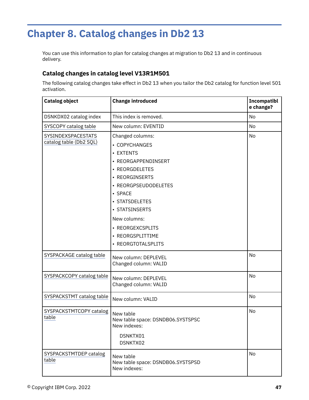# **Chapter 8. Catalog changes in Db2 13**

You can use this information to plan for catalog changes at migration to Db2 13 and in continuous delivery.

# **Catalog changes in catalog level V13R1M501**

The following catalog changes take effect in Db2 13 when you tailor the Db2 catalog for function level 501 activation.

| <b>Catalog object</b>                                                                             | <b>Change introduced</b>                                       | <b>Incompatibl</b><br>e change? |
|---------------------------------------------------------------------------------------------------|----------------------------------------------------------------|---------------------------------|
| DSNKDX02 catalog index                                                                            | This index is removed.                                         | No                              |
| SYSCOPY catalog table                                                                             | New column: EVENTID                                            | No                              |
| SYSINDEXSPACESTATS                                                                                | Changed columns:                                               | No                              |
| catalog table (Db2 SQL)                                                                           | • COPYCHANGES                                                  |                                 |
|                                                                                                   | • EXTENTS                                                      |                                 |
|                                                                                                   | · REORGAPPENDINSERT                                            |                                 |
|                                                                                                   | • REORGDELETES                                                 |                                 |
|                                                                                                   | • REORGINSERTS                                                 |                                 |
|                                                                                                   | • REORGPSEUDODELETES                                           |                                 |
|                                                                                                   | • SPACE                                                        |                                 |
|                                                                                                   | • STATSDELETES                                                 |                                 |
|                                                                                                   | · STATSINSERTS                                                 |                                 |
|                                                                                                   | New columns:                                                   |                                 |
|                                                                                                   | · REORGEXCSPLITS                                               |                                 |
|                                                                                                   | · REORGSPLITTIME                                               |                                 |
|                                                                                                   | • REORGTOTALSPLITS                                             |                                 |
| SYSPACKAGE catalog table                                                                          | New column: DEPLEVEL<br>Changed column: VALID                  | No                              |
| SYSPACKCOPY catalog table                                                                         | New column: DEPLEVEL<br>Changed column: VALID                  | No                              |
| SYSPACKSTMT catalog table                                                                         | New column: VALID                                              | No                              |
| SYSPACKSTMTCOPY catalog<br>table                                                                  | New table<br>New table space: DSNDB06.SYSTSPSC<br>New indexes: | No                              |
|                                                                                                   | DSNKTX01<br>DSNKTX02                                           |                                 |
| SYSPACKSTMTDEP catalog<br>New table<br>table<br>New table space: DSNDB06.SYSTSPSD<br>New indexes: |                                                                | No                              |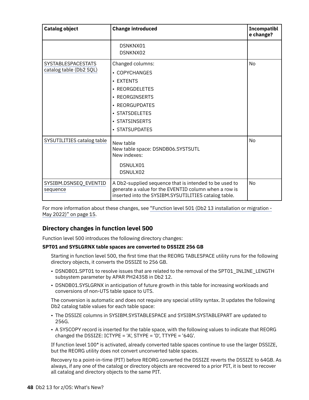| <b>Catalog object</b>                                | <b>Change introduced</b>                                                                                                                                                | <b>Incompatibl</b><br>e change? |
|------------------------------------------------------|-------------------------------------------------------------------------------------------------------------------------------------------------------------------------|---------------------------------|
|                                                      | DSNKNX01<br>DSNKNX02                                                                                                                                                    |                                 |
| <b>SYSTABLESPACESTATS</b><br>catalog table (Db2 SQL) | Changed columns:<br>• COPYCHANGES<br>• EXTENTS<br>• REORGDELETES<br>• REORGINSERTS<br>• REORGUPDATES<br>· STATSDELETES<br>• STATSINSERTS<br>• STATSUPDATES              | No                              |
| SYSUTILITIES catalog table                           | New table<br>New table space: DSNDB06.SYSTSUTL<br>New indexes:<br>DSNULX01<br>DSNULX02                                                                                  | <b>No</b>                       |
| SYSIBM.DSNSEQ_EVENTID<br>sequence                    | A Db2-supplied sequence that is intended to be used to<br>generate a value for the EVENTID column when a row is<br>inserted into the SYSIBM.SYSUTILITIES catalog table. | No                              |

For more information about these changes, see ["Function level 501 \(Db2 13 installation or migration -](#page-20-0) [May 2022\)" on page 15](#page-20-0).

# **Directory changes in function level 500**

Function level 500 introduces the following directory changes:

### **SPT01 and SYSLGRNX table spaces are converted to DSSIZE 256 GB**

Starting in function level 500, the first time that the REORG TABLESPACE utility runs for the following directory objects, it converts the DSSIZE to 256 GB.

- DSNDB01.SPT01 to resolve issues that are related to the removal of the SPT01\_INLINE\_LENGTH subsystem parameter by APAR PH24358 in Db2 12.
- DSNDB01.SYSLGRNX in anticipation of future growth in this table for increasing workloads and conversions of non-UTS table space to UTS.

The conversion is automatic and does not require any special utility syntax. It updates the following Db2 catalog table values for each table space:

- The DSSIZE columns in SYSIBM.SYSTABLESPACE and SYSIBM.SYSTABLEPART are updated to 256G.
- A SYSCOPY record is inserted for the table space, with the following values to indicate that REORG changed the DSSIZE: ICTYPE = 'A', STYPE = 'D', TTYPE = '64G'.

If function level 100\* is activated, already converted table spaces continue to use the larger DSSIZE, but the REORG utility does not convert unconverted table spaces.

Recovery to a point-in-time (PIT) before REORG converted the DSSIZE reverts the DSSIZE to 64GB. As always, if any one of the catalog or directory objects are recovered to a prior PIT, it is best to recover all catalog and directory objects to the same PIT.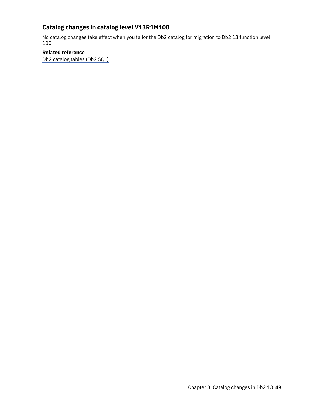# **Catalog changes in catalog level V13R1M100**

No catalog changes take effect when you tailor the Db2 catalog for migration to Db2 13 function level 100.

## **Related reference** [Db2 catalog tables \(Db2 SQL\)](https://www.ibm.com/docs/en/SSEPEK_13.0.0/cattab/src/tpc/db2z_catalogtablesintro.html)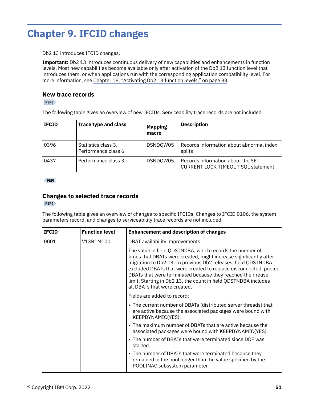# **Chapter 9. IFCID changes**

Db2 13 introduces IFCID changes.

**Important:** Db2 13 introduces continuous delivery of new capabilities and enhancements in function levels. Most new capabilities become available only after activation of the Db2 13 function level that introduces them, or when applications run with the corresponding application compatibility level. For more information, see [Chapter 18, "Activating Db2 13 function levels," on page 83.](#page-88-0)

## **New trace records**

**PSPI** 

The following table gives an overview of new IFCIDs. Serviceability trace records are not included.

| <b>IFCID</b> | <b>Trace type and class</b>                | <b>Mapping</b><br>macro | <b>Description</b>                                                             |
|--------------|--------------------------------------------|-------------------------|--------------------------------------------------------------------------------|
| 0396         | Statistics class 3,<br>Performance class 6 | DSNDQW05                | Records information about abnormal index<br>splits                             |
| 0437         | Performance class 3                        | DSNDQW05                | Records information about the SET<br><b>CURRENT LOCK TIMEOUT SOL statement</b> |

### PSPI

## **Changes to selected trace records**

**PSPI** 

The following table gives an overview of changes to specific IFCIDs. Changes to IFCID 0106, the system parameters record, and changes to serviceability trace records are not included.

| <b>IFCID</b> | <b>Function level</b> | <b>Enhancement and description of changes</b>                                                                                                                                                                                                                                                                                                                                                                                        |  |
|--------------|-----------------------|--------------------------------------------------------------------------------------------------------------------------------------------------------------------------------------------------------------------------------------------------------------------------------------------------------------------------------------------------------------------------------------------------------------------------------------|--|
| 0001         | V13R1M100             | DBAT availability improvements:                                                                                                                                                                                                                                                                                                                                                                                                      |  |
|              |                       | The value in field QDSTNDBA, which records the number of<br>times that DBATs were created, might increase significantly after<br>migration to Db2 13. In previous Db2 releases, field QDSTNDBA<br>excluded DBATs that were created to replace disconnected, pooled<br>DBATs that were terminated because they reached their reuse<br>limit. Starting in Db2 13, the count in field QDSTNDBA includes<br>all DBATs that were created. |  |
|              |                       | Fields are added to record:                                                                                                                                                                                                                                                                                                                                                                                                          |  |
|              |                       | • The current number of DBATs (distributed server threads) that<br>are active because the associated packages were bound with<br>KEEPDYNAMIC(YES).                                                                                                                                                                                                                                                                                   |  |
|              |                       | • The maximum number of DBATs that are active because the<br>associated packages were bound with KEEPDYNAMIC(YES).                                                                                                                                                                                                                                                                                                                   |  |
|              |                       | • The number of DBATs that were terminated since DDF was<br>started.                                                                                                                                                                                                                                                                                                                                                                 |  |
|              |                       | • The number of DBATs that were terminated because they<br>remained in the pool longer than the value specified by the<br>POOLINAC subsystem parameter.                                                                                                                                                                                                                                                                              |  |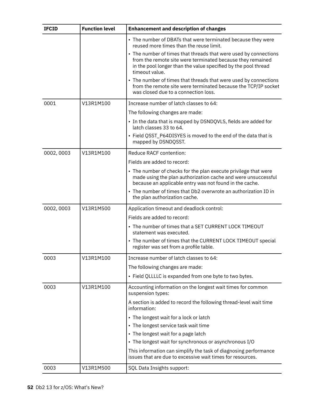| <b>IFCID</b> | <b>Function level</b> | <b>Enhancement and description of changes</b>                                                                                                                                                                      |  |
|--------------|-----------------------|--------------------------------------------------------------------------------------------------------------------------------------------------------------------------------------------------------------------|--|
|              |                       | • The number of DBATs that were terminated because they were<br>reused more times than the reuse limit.                                                                                                            |  |
|              |                       | • The number of times that threads that were used by connections<br>from the remote site were terminated because they remained<br>in the pool longer than the value specified by the pool thread<br>timeout value. |  |
|              |                       | • The number of times that threads that were used by connections<br>from the remote site were terminated because the TCP/IP socket<br>was closed due to a connection loss.                                         |  |
| 0001         | V13R1M100             | Increase number of latch classes to 64:                                                                                                                                                                            |  |
|              |                       | The following changes are made:                                                                                                                                                                                    |  |
|              |                       | • In the data that is mapped by DSNDQVLS, fields are added for<br>latch classes 33 to 64.                                                                                                                          |  |
|              |                       | • Field QSST_P64DISYES is moved to the end of the data that is<br>mapped by DSNDQSST.                                                                                                                              |  |
| 0002, 0003   | V13R1M100             | Reduce RACF contention:                                                                                                                                                                                            |  |
|              |                       | Fields are added to record:                                                                                                                                                                                        |  |
|              |                       | • The number of checks for the plan execute privilege that were<br>made using the plan authorization cache and were unsuccessful<br>because an applicable entry was not found in the cache.                        |  |
|              |                       | • The number of times that Db2 overwrote an authorization ID in<br>the plan authorization cache.                                                                                                                   |  |
| 0002, 0003   | V13R1M500             | Application timeout and deadlock control:                                                                                                                                                                          |  |
|              |                       | Fields are added to record:                                                                                                                                                                                        |  |
|              |                       | • The number of times that a SET CURRENT LOCK TIMEOUT<br>statement was executed.                                                                                                                                   |  |
|              |                       | • The number of times that the CURRENT LOCK TIMEOUT special<br>register was set from a profile table.                                                                                                              |  |
| 0003         | V13R1M100             | Increase number of latch classes to 64:                                                                                                                                                                            |  |
|              |                       | The following changes are made:                                                                                                                                                                                    |  |
|              |                       | • Field QLLLLC is expanded from one byte to two bytes.                                                                                                                                                             |  |
| 0003         | V13R1M100             | Accounting information on the longest wait times for common<br>suspension types:                                                                                                                                   |  |
|              |                       | A section is added to record the following thread-level wait time<br>information:                                                                                                                                  |  |
|              |                       | • The longest wait for a lock or latch                                                                                                                                                                             |  |
|              |                       | • The longest service task wait time                                                                                                                                                                               |  |
|              |                       | • The longest wait for a page latch                                                                                                                                                                                |  |
|              |                       | • The longest wait for synchronous or asynchronous I/O                                                                                                                                                             |  |
|              |                       | This information can simplify the task of diagnosing performance<br>issues that are due to excessive wait times for resources.                                                                                     |  |
| 0003         | V13R1M500             | SQL Data Insights support:                                                                                                                                                                                         |  |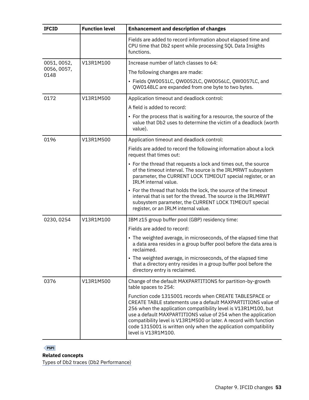| <b>IFCID</b>        | <b>Function level</b> | <b>Enhancement and description of changes</b>                                                                                                                                                                                                                                                                                                                                                                             |  |
|---------------------|-----------------------|---------------------------------------------------------------------------------------------------------------------------------------------------------------------------------------------------------------------------------------------------------------------------------------------------------------------------------------------------------------------------------------------------------------------------|--|
|                     |                       | Fields are added to record information about elapsed time and<br>CPU time that Db2 spent while processing SQL Data Insights<br>functions.                                                                                                                                                                                                                                                                                 |  |
| 0051, 0052,         | V13R1M100             | Increase number of latch classes to 64:                                                                                                                                                                                                                                                                                                                                                                                   |  |
| 0056, 0057,<br>0148 |                       | The following changes are made:                                                                                                                                                                                                                                                                                                                                                                                           |  |
|                     |                       | · Fields QW0051LC, QW0052LC, QW0056LC, QW0057LC, and<br>QW0148LC are expanded from one byte to two bytes.                                                                                                                                                                                                                                                                                                                 |  |
| 0172                | V13R1M500             | Application timeout and deadlock control:                                                                                                                                                                                                                                                                                                                                                                                 |  |
|                     |                       | A field is added to record:                                                                                                                                                                                                                                                                                                                                                                                               |  |
|                     |                       | • For the process that is waiting for a resource, the source of the<br>value that Db2 uses to determine the victim of a deadlock (worth<br>value).                                                                                                                                                                                                                                                                        |  |
| 0196                | V13R1M500             | Application timeout and deadlock control:                                                                                                                                                                                                                                                                                                                                                                                 |  |
|                     |                       | Fields are added to record the following information about a lock<br>request that times out:                                                                                                                                                                                                                                                                                                                              |  |
|                     |                       | • For the thread that requests a lock and times out, the source<br>of the timeout interval. The source is the IRLMRWT subsystem<br>parameter, the CURRENT LOCK TIMEOUT special register, or an<br>IRLM internal value.                                                                                                                                                                                                    |  |
|                     |                       | • For the thread that holds the lock, the source of the timeout<br>interval that is set for the thread. The source is the IRLMRWT<br>subsystem parameter, the CURRENT LOCK TIMEOUT special<br>register, or an IRLM internal value.                                                                                                                                                                                        |  |
| 0230, 0254          | V13R1M100             | IBM z15 group buffer pool (GBP) residency time:                                                                                                                                                                                                                                                                                                                                                                           |  |
|                     |                       | Fields are added to record:                                                                                                                                                                                                                                                                                                                                                                                               |  |
|                     |                       | • The weighted average, in microseconds, of the elapsed time that<br>a data area resides in a group buffer pool before the data area is<br>reclaimed.                                                                                                                                                                                                                                                                     |  |
|                     |                       | • The weighted average, in microseconds, of the elapsed time<br>that a directory entry resides in a group buffer pool before the<br>directory entry is reclaimed.                                                                                                                                                                                                                                                         |  |
| 0376                | V13R1M500             | Change of the default MAXPARTITIONS for partition-by-growth<br>table spaces to 254:                                                                                                                                                                                                                                                                                                                                       |  |
|                     |                       | Function code 1315001 records when CREATE TABLESPACE or<br>CREATE TABLE statements use a default MAXPARTITIONS value of<br>256 when the application compatibility level is V13R1M100, but<br>use a default MAXPARTITIONS value of 254 when the application<br>compatibility level is V13R1M500 or later. A record with function<br>code 1315001 is written only when the application compatibility<br>level is V13R1M100. |  |

PSPI

**Related concepts**

[Types of Db2 traces \(Db2 Performance\)](https://www.ibm.com/docs/en/SSEPEK_13.0.0/perf/src/tpc/db2z_tracetypes.html)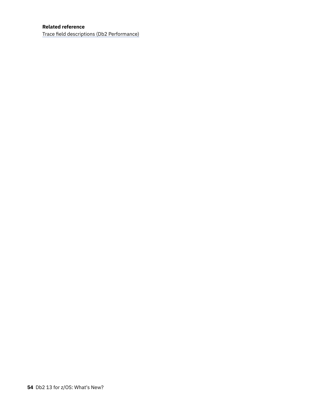### **Related reference**

[Trace field descriptions \(Db2 Performance\)](https://www.ibm.com/docs/en/SSEPEK_13.0.0/perf/src/tpc/db2z_tracefields.html)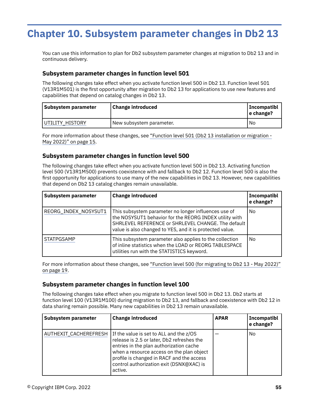# <span id="page-60-0"></span>**Chapter 10. Subsystem parameter changes in Db2 13**

You can use this information to plan for Db2 subsystem parameter changes at migration to Db2 13 and in continuous delivery.

### **Subsystem parameter changes in function level 501**

The following changes take effect when you activate function level 500 in Db2 13. Function level 501 (V13R1M501) is the first opportunity after migration to Db2 13 for applications to use new features and capabilities that depend on catalog changes in Db2 13.

| Subsystem parameter | Change introduced        |    |
|---------------------|--------------------------|----|
| I UTILITY HISTORY   | New subsystem parameter. | No |

For more information about these changes, see ["Function level 501 \(Db2 13 installation or migration -](#page-20-0) [May 2022\)" on page 15](#page-20-0).

### **Subsystem parameter changes in function level 500**

The following changes take effect when you activate function level 500 in Db2 13. Activating function level 500 (V13R1M500) prevents coexistence with and fallback to Db2 12. Function level 500 is also the first opportunity for applications to use many of the new capabilities in Db2 13. However, new capabilities that depend on Db2 13 catalog changes remain unavailable.

| Subsystem parameter  | <b>Change introduced</b>                                                                                                                                                                                                         | Incompatibl<br>e change? |
|----------------------|----------------------------------------------------------------------------------------------------------------------------------------------------------------------------------------------------------------------------------|--------------------------|
| REORG INDEX NOSYSUT1 | This subsystem parameter no longer influences use of<br>the NOSYSUT1 behavior for the REORG INDEX utility with<br>SHRLEVEL REFERENCE or SHRLEVEL CHANGE. The default<br>value is also changed to YES, and it is protected value. | No                       |
| <b>STATPGSAMP</b>    | This subsystem parameter also applies to the collection<br>of inline statistics when the LOAD or REORG TABLESPACE<br>utilities run with the STATISTICS keyword.                                                                  | No.                      |

For more information about these changes, see ["Function level 500 \(for migrating to Db2 13 - May 2022\)"](#page-24-0) [on page 19.](#page-24-0)

### **Subsystem parameter changes in function level 100**

The following changes take effect when you migrate to function level 500 in Db2 13. Db2 starts at function level 100 (V13R1M100) during migration to Db2 13, and fallback and coexistence with Db2 12 in data sharing remain possible. Many new capabilities in Db2 13 remain unavailable.

| <b>Subsystem parameter</b> | <b>Change introduced</b>                                                                                                                                                                                                                                                          | <b>APAR</b> | <b>Incompatibl</b><br>e change? |
|----------------------------|-----------------------------------------------------------------------------------------------------------------------------------------------------------------------------------------------------------------------------------------------------------------------------------|-------------|---------------------------------|
| AUTHEXIT CACHEREFRESH      | If the value is set to ALL and the z/OS<br>release is 2.5 or later, Db2 refreshes the<br>entries in the plan authorization cache<br>when a resource access on the plan object<br>profile is changed in RACF and the access<br>control authorization exit (DSNX@XAC) is<br>active. |             | No.                             |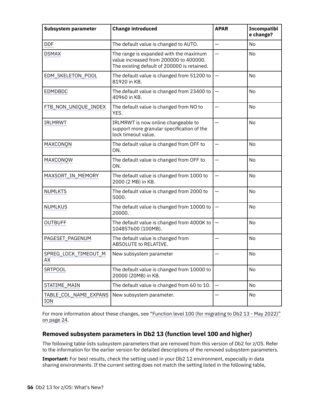| <b>Subsystem parameter</b>   | <b>Change introduced</b>                                                                                                        | <b>APAR</b>     | Incompatibl<br>e change? |
|------------------------------|---------------------------------------------------------------------------------------------------------------------------------|-----------------|--------------------------|
| <b>DDF</b>                   | The default value is changed to AUTO.                                                                                           | $\qquad \qquad$ | No                       |
| <b>DSMAX</b>                 | The range is expanded with the maximum<br>value increased from 200000 to 400000.<br>The existing default of 200000 is retained. |                 | No                       |
| EDM_SKELETON_POOL            | The default value is changed from 51200 to<br>81920 in KB.                                                                      |                 | No                       |
| <b>EDMDBDC</b>               | The default value is changed from 23400 to<br>40960 in KB.                                                                      |                 | No                       |
| FTB_NON_UNIQUE_INDEX         | The default value is changed from NO to<br>YES.                                                                                 |                 | <b>No</b>                |
| <b>IRLMRWT</b>               | IRLMRWT is now online changeable to<br>support more granular specification of the<br>lock timeout value.                        |                 | No                       |
| MAXCONQN                     | The default value is changed from OFF to<br>ON.                                                                                 | —               | No                       |
| MAXCONQW                     | The default value is changed from OFF to<br>ON.                                                                                 |                 | No                       |
| MAXSORT_IN_MEMORY            | The default value is changed from 1000 to<br>2000 (2 MB) in KB.                                                                 |                 | No                       |
| <b>NUMLKTS</b>               | The default value is changed from 2000 to<br>5000.                                                                              | —               | No                       |
| <b>NUMLKUS</b>               | The default value is changed from 10000 to<br>20000.                                                                            |                 | No                       |
| <b>OUTBUFF</b>               | The default value is changed from 4000K to<br>104857600 (100MB).                                                                |                 | No                       |
| PAGESET_PAGENUM              | The default value is changed from<br><b>ABSOLUTE to RELATIVE.</b>                                                               |                 | No                       |
| SPREG_LOCK_TIMEOUT_M<br>AX   | New subsystem parameter                                                                                                         |                 | No                       |
| <b>SRTPOOL</b>               | The default value is changed from 10000 to<br>20000 (20MB) in KB.                                                               |                 | No                       |
| STATIME_MAIN                 | The default value is changed from 60 to 10.                                                                                     |                 | No                       |
| TABLE_COL_NAME_EXPANS<br>ION | New subsystem parameter.                                                                                                        |                 | No                       |

For more information about these changes, see ["Function level 100 \(for migrating to Db2 13 - May 2022\)"](#page-29-0) [on page 24.](#page-29-0)

## **Removed subsystem parameters in Db2 13 (function level 100 and higher)**

The following table lists subsystem parameters that are removed from this version of Db2 for z/OS. Refer to the information for the earlier version for detailed descriptions of the removed subsystem parameters.

Important: For best results, check the setting used in your Db2 12 environment, especially in data sharing environments. If the current setting does not match the setting listed in the following table,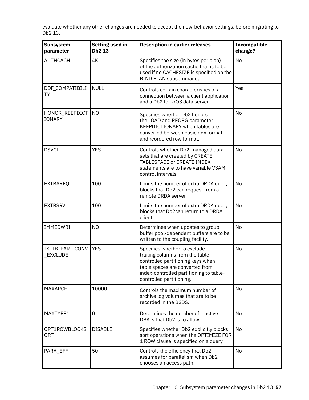evaluate whether any other changes are needed to accept the new-behavior settings, before migrating to Db2 13.

| <b>Subsystem</b><br>parameter   | Setting used in<br>Db2 13 | <b>Description in earlier releases</b>                                                                                                                                                                          | <b>Incompatible</b><br>change? |
|---------------------------------|---------------------------|-----------------------------------------------------------------------------------------------------------------------------------------------------------------------------------------------------------------|--------------------------------|
| <b>AUTHCACH</b>                 | 4K                        | Specifies the size (in bytes per plan)<br>of the authorization cache that is to be<br>used if no CACHESIZE is specified on the<br>BIND PLAN subcommand.                                                         | <b>No</b>                      |
| DDF_COMPATIBILI<br>TΥ           | <b>NULL</b>               | Controls certain characteristics of a<br>connection between a client application<br>and a Db2 for z/OS data server.                                                                                             | Yes                            |
| HONOR_KEEPDICT<br><b>IONARY</b> | <b>NO</b>                 | Specifies whether Db2 honors<br>the LOAD and REORG parameter<br>KEEPDICTIONARY when tables are<br>converted between basic row format<br>and reordered row format.                                               | No                             |
| <b>DSVCI</b>                    | <b>YES</b>                | Controls whether Db2-managed data<br>sets that are created by CREATE<br>TABLESPACE or CREATE INDEX<br>statements are to have variable VSAM<br>control intervals.                                                | No                             |
| <b>EXTRAREQ</b>                 | 100                       | Limits the number of extra DRDA query<br>blocks that Db2 can request from a<br>remote DRDA server.                                                                                                              | No                             |
| <b>EXTRSRV</b>                  | 100                       | Limits the number of extra DRDA query<br>blocks that Db2can return to a DRDA<br>client                                                                                                                          | <b>No</b>                      |
| IMMEDWRI                        | <b>NO</b>                 | Determines when updates to group<br>buffer pool-dependent buffers are to be<br>written to the coupling facility.                                                                                                | No                             |
| IX_TB_PART_CONV<br>_EXCLUDE     | <b>YES</b>                | Specifies whether to exclude<br>trailing columns from the table-<br>controlled partitioning keys when<br>table spaces are converted from<br>index-controlled partitioning to table-<br>controlled partitioning. | No                             |
| <b>MAXARCH</b>                  | 10000                     | Controls the maximum number of<br>archive log volumes that are to be<br>recorded in the BSDS.                                                                                                                   | No                             |
| MAXTYPE1                        | 0                         | Determines the number of inactive<br>DBATs that Db2 is to allow.                                                                                                                                                | No                             |
| OPT1ROWBLOCKS<br><b>ORT</b>     | <b>DISABLE</b>            | <b>No</b><br>Specifies whether Db2 explicitly blocks<br>sort operations when the OPTIMIZE FOR<br>1 ROW clause is specified on a query.                                                                          |                                |
| PARA_EFF                        | 50                        | Controls the efficiency that Db2<br>assumes for parallelism when Db2<br>chooses an access path.                                                                                                                 | No                             |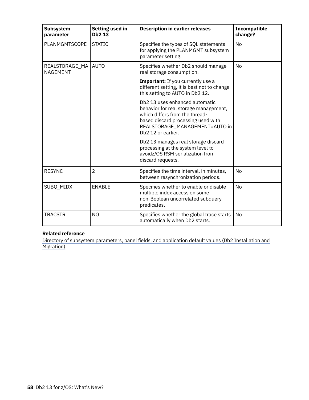| <b>Subsystem</b><br>parameter     | Setting used in<br><b>Db2 13</b> | <b>Description in earlier releases</b>                                                                                                                                                                  | <b>Incompatible</b><br>change? |
|-----------------------------------|----------------------------------|---------------------------------------------------------------------------------------------------------------------------------------------------------------------------------------------------------|--------------------------------|
| <b>PLANMGMTSCOPE</b>              | <b>STATIC</b>                    | Specifies the types of SQL statements<br>for applying the PLANMGMT subsystem<br>parameter setting.                                                                                                      | N <sub>0</sub>                 |
| REALSTORAGE_MA<br><b>NAGEMENT</b> | <b>AUTO</b>                      | Specifies whether Db2 should manage<br>real storage consumption.                                                                                                                                        | No                             |
|                                   |                                  | Important: If you currently use a<br>different setting, it is best not to change<br>this setting to AUTO in Db2 12.                                                                                     |                                |
|                                   |                                  | Db2 13 uses enhanced automatic<br>behavior for real storage management,<br>which differs from the thread-<br>based discard processing used with<br>REALSTORAGE MANAGEMENT=AUTO in<br>Db2 12 or earlier. |                                |
|                                   |                                  | Db2 13 manages real storage discard<br>processing at the system level to<br>avoidz/OS RSM serialization from<br>discard requests.                                                                       |                                |
| <b>RESYNC</b>                     | $\overline{2}$                   | Specifies the time interval, in minutes,<br>between resynchronization periods.                                                                                                                          | No                             |
| SUBQ_MIDX                         | <b>ENABLE</b>                    | Specifies whether to enable or disable<br>multiple index access on some<br>non-Boolean uncorrelated subquery<br>predicates.                                                                             | No                             |
| <b>TRACSTR</b>                    | <b>NO</b>                        | Specifies whether the global trace starts<br>automatically when Db2 starts.                                                                                                                             | No                             |

## **Related reference**

[Directory of subsystem parameters, panel fields, and application default values \(Db2 Installation and](https://www.ibm.com/docs/en/SSEPEK_13.0.0/inst/src/tpc/db2z_zparmdir.html) [Migration\)](https://www.ibm.com/docs/en/SSEPEK_13.0.0/inst/src/tpc/db2z_zparmdir.html)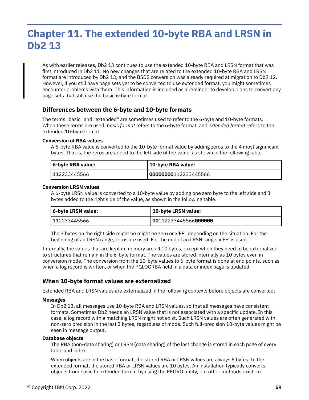# **Chapter 11. The extended 10-byte RBA and LRSN in Db2 13**

As with earlier releases, Db2 13 continues to use the extended 10-byte RBA and LRSN format that was first introduced in Db2 11. No new changes that are related to the extended 10-byte RBA and LRSN format are introduced by Db2 13, and the BSDS conversion was already required at migration to Db2 12. However, if you still have page sets yet to be converted to use extended format, you might sometimes encounter problems with them. This information is included as a reminder to develop plans to convert any page sets that still use the basic 6-byte format.

## **Differences between the 6-byte and 10-byte formats**

The terms "basic" and "extended" are sometimes used to refer to the 6-byte and 10-byte formats. When these terms are used, *basic format* refers to the 6-byte format, and *extended format* refers to the extended 10-byte format.

### **Conversion of RBA values**

A 6-byte RBA value is converted to the 10-byte format value by adding zeros to the 4 most significant bytes. That is, the zeros are added to the left side of the value, as shown in the following table.

| 6-byte RBA value: | 10-byte RBA value:   |  |
|-------------------|----------------------|--|
| 1112233445566     | 00000000112233445566 |  |

### **Conversion LRSN values**

A 6-byte LRSN value is converted to a 10-byte value by adding one zero byte to the left side and 3 bytes added to the right side of the value, as shown in the following table.

| 6-byte LRSN value: | 10-byte LRSN value:    |  |
|--------------------|------------------------|--|
| 112233445566       | 00112233445566000000 l |  |

The 3 bytes on the right side might be might be zero or x'FF', depending on the situation. For the beginning of an LRSN range, zeros are used. For the end of an LRSN range, x'FF' is used.

Internally, the values that are kept in memory are all 10 bytes, except when they need to be externalized to structures that remain in the 6-byte format. The values are stored internally as 10 bytes even in conversion mode. The conversion from the 10-byte values to 6-byte format is done at end points, such as when a log record is written, or when the PGLOGRBA field in a data or index page is updated.

# **When 10-byte format values are externalized**

Extended RBA and LRSN values are externalized in the following contexts before objects are converted:

### **Messages**

In Db2 13, all messages use 10-byte RBA and LRSN values, so that all messages have consistent formats. Sometimes Db2 needs an LRSN value that is not associated with a specific update. In this case, a log record with a matching LRSN might not exist. Such LRSN values are often generated with non-zero precision in the last 3 bytes, regardless of mode. Such full-precision 10-byte values might be seen in message output.

### **Database objects**

The RBA (non-data sharing) or LRSN (data sharing) of the last change is stored in each page of every table and index.

When objects are in the basic format, the stored RBA or LRSN values are always 6 bytes. In the extended format, the stored RBA or LRSN values are 10 bytes. An installation typically converts objects from basic to extended format by using the REORG utility, but other methods exist. In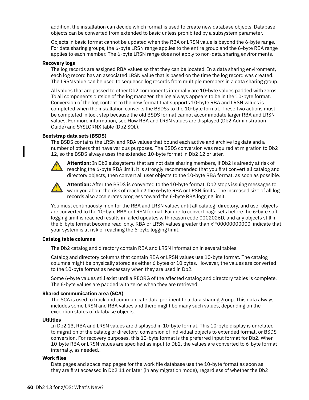addition, the installation can decide which format is used to create new database objects. Database objects can be converted from extended to basic unless prohibited by a subsystem parameter.

Objects in basic format cannot be updated when the RBA or LRSN value is beyond the 6-byte range. For data sharing groups, the 6-byte LRSN range applies to the entire group and the 6-byte RBA range applies to each member. The 6-byte LRSN range does not apply to non-data sharing environments.

#### **Recovery logs**

The log records are assigned RBA values so that they can be located. In a data sharing environment, each log record has an associated LRSN value that is based on the time the log record was created. The LRSN value can be used to sequence log records from multiple members in a data sharing group.

All values that are passed to other Db2 components internally are 10-byte values padded with zeros. To all components outside of the log manager, the log always appears to be in the 10-byte format. Conversion of the log content to the new format that supports 10-byte RBA and LRSN values is completed when the installation converts the BSDSs to the 10-byte format. These two actions must be completed in lock step because the old BSDS format cannot accommodate larger RBA and LRSN values. For more information, see [How RBA and LRSN values are displayed \(Db2 Administration](https://www.ibm.com/docs/en/SSEPEK_13.0.0/admin/src/tpc/db2z_rbalrsnvaluesdisplayed.html) [Guide\)](https://www.ibm.com/docs/en/SSEPEK_13.0.0/admin/src/tpc/db2z_rbalrsnvaluesdisplayed.html) and [SYSLGRNX table \(Db2 SQL\).](https://www.ibm.com/docs/en/SSEPEK_13.0.0/sqlref/src/tpc/db2z_sysibmsyslgrnxtable.html)

#### **Bootstrap data sets (BSDS)**

The BSDS contains the LRSN and RBA values that bound each active and archive log data and a number of others that have various purposes. The BSDS conversion was required at migration to Db2 12, so the BSDS always uses the extended 10-byte format in Db2 12 or later.



**Attention:** In Db2 subsystems that are not data sharing members, if Db2 is already at risk of reaching the 6-byte RBA limit, it is strongly recommended that you first convert all catalog and directory objects, then convert all user objects to the 10-byte RBA format, as soon as possible.



**Attention:** After the BSDS is converted to the 10-byte format, Db2 stops issuing messages to warn you about the risk of reaching the 6-byte RBA or LRSN limits. The increased size of all log records also accelerates progress toward the 6-byte RBA logging limit.

You must continuously monitor the RBA and LRSN values until all catalog, directory, and user objects are converted to the 10-byte RBA or LRSN format. Failure to convert page sets before the 6-byte soft logging limit is reached results in failed updates with reason code 00C2026D, and any objects still in the 6-byte format become read-only. RBA or LRSN values greater than x'F00000000000' indicate that your system is at risk of reaching the 6-byte logging limit.

#### **Catalog table columns**

The Db2 catalog and directory contain RBA and LRSN information in several tables.

Catalog and directory columns that contain RBA or LRSN values use 10-byte format. The catalog columns might be physically stored as either 6 bytes or 10 bytes. However, the values are converted to the 10-byte format as necessary when they are used in Db2.

Some 6-byte values still exist until a REORG of the affected catalog and directory tables is complete. The 6-byte values are padded with zeros when they are retrieved.

#### **Shared communication area (SCA)**

The SCA is used to track and communicate data pertinent to a data sharing group. This data always includes some LRSN and RBA values and there might be many such values, depending on the exception states of database objects.

#### **Utilities**

In Db2 13, RBA and LRSN values are displayed in 10-byte format. This 10-byte display is unrelated to migration of the catalog or directory, conversion of individual objects to extended format, or BSDS conversion. For recovery purposes, this 10-byte format is the preferred input format for Db2. When 10-byte RBA or LRSN values are specified as input to Db2, the values are converted to 6-byte format internally, as needed..

#### **Work files**

Data pages and space map pages for the work file database use the 10-byte format as soon as they are first accessed in Db2 11 or later (in any migration mode), regardless of whether the Db2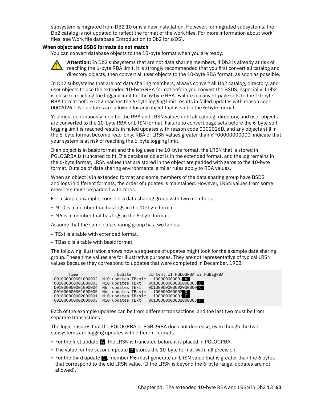subsystem is migrated from DB2 10 or is a new installation. However, for migrated subsystems, the Db2 catalog is not updated to reflect the format of the work files. For more information about work files, see [Work file database \(Introduction to Db2 for z/OS\)](https://www.ibm.com/docs/en/SSEPEK_13.0.0/intro/src/tpc/db2z_workfiledatabase.html).

#### **When object and BSDS formats do not match**

You can convert database objects to the 10-byte format when you are ready.

**Attention:** In Db2 subsystems that are not data sharing members, if Db2 is already at risk of reaching the 6-byte RBA limit, it is strongly recommended that you first convert all catalog and directory objects, then convert all user objects to the 10-byte RBA format, as soon as possible.

In Db2 subsystems that are not data sharing members, always convert all Db2 catalog, directory, and user objects to use the extended 10-byte RBA format before you convert the BSDS, especially if Db2 is close to reaching the logging limit for the 6-byte RBA. Failure to convert page sets to the 10-byte RBA format before Db2 reaches the 6-byte logging limit results in failed updates with reason code 00C2026D. No updates are allowed for any object that is still in the 6-byte format.

You must continuously monitor the RBA and LRSN values until all catalog, directory, and user objects are converted to the 10-byte RBA or LRSN format. Failure to convert page sets before the 6-byte soft logging limit is reached results in failed updates with reason code 00C2026D, and any objects still in the 6-byte format become read-only. RBA or LRSN values greater than x'F00000000000' indicate that your system is at risk of reaching the 6-byte logging limit.

If an object is in basic format and the log uses the 10-byte format, the LRSN that is stored in PGLOGRBA is truncated to fit. If a database object is in the extended format, and the log remains in the 6-byte format, LRSN values that are stored in the object are padded with zeros to the 10-byte format. Outside of data sharing environments, similar rules apply to RBA values.

When an object is in extended format and some members of the data sharing group have BSDS and logs in different formats, the order of updates is maintained. However, LRSN values from some members must be padded with zeros.

For a simple example, consider a data sharing group with two members:

- M10 is a member that has logs in the 10-byte format.
- M6 is a member that has logs in the 6-byte format.

Assume that the same data sharing group has two tables:

- TExt is a table with extended format.
- TBasic is a table with basic format.

The following illustration shows how a sequence of updates might look for the example data sharing group. These time values are for illustrative purposes. They are not representative of typical LRSN values because they correspond to updates that were completed in December, 1908.

| Time               | Update             | Content of PGLOGRBA or PGBigRBA |
|--------------------|--------------------|---------------------------------|
| 001000000001000002 | M10 updates TBasic | 100000000001 Al                 |
| 001000000001000003 | M10 updates TExt   | 00100000000001000003 B          |
| 001000000001000004 | M6 updates TExt    | 00100000000002000000 C          |
| 001000000001000005 | M6 updates TBasic  | 10000000002D                    |
| 001000000002000001 | M10 updates TBasic | 10000000003 E                   |
| 001000000002000003 | M10 updates TExt   | 00100000000002000003            |

Each of the example updates can be from different transactions, and the last two must be from separate transactions.

The logic ensures that the PGLOGRBA or PGBigRBA does not decrease, even though the two subsystems are logging updates with different formats.

- For the first update **A**, the LRSN is truncated before it is placed in PGLOGRBA.
- The value for the second update **B** stores the 10-byte format with full precision.
- For the third update  $\bigcirc$ , member M6 must generate an LRSN value that is greater than the 6 bytes that correspond to the old LRSN value. (If the LRSN is beyond the 6-byte range, updates are not allowed).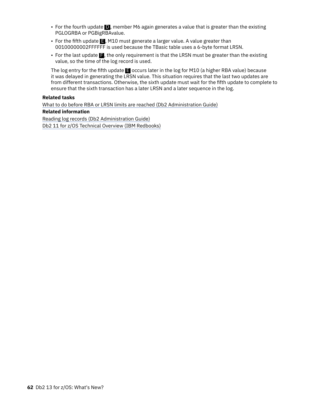- For the fourth update  $\mathbb D$ , member M6 again generates a value that is greater than the existing PGLOGRBA or PGBigRBAvalue.
- For the fifth update  $\blacksquare$ , M10 must generate a larger value. A value greater than 00100000002FFFFFF is used because the TBasic table uses a 6-byte format LRSN.
- For the last update  $\blacksquare$ , the only requirement is that the LRSN must be greater than the existing value, so the time of the log record is used.

The log entry for the fifth update  $\blacksquare$  occurs later in the log for M10 (a higher RBA value) because it was delayed in generating the LRSN value. This situation requires that the last two updates are from different transactions. Otherwise, the sixth update must wait for the fifth update to complete to ensure that the sixth transaction has a later LRSN and a later sequence in the log.

### **Related tasks**

[What to do before RBA or LRSN limits are reached \(Db2 Administration Guide\)](https://www.ibm.com/docs/en/SSEPEK_13.0.0/admin/src/tpc/db2z_rbalrsnlimitsreached.html)

### **Related information**

[Reading log records \(Db2 Administration Guide\)](https://www.ibm.com/docs/en/SSEPEK_13.0.0/admin/src/tpc/db2z_logrecord.html) [Db2 11 for z/OS Technical Overview \(IBM Redbooks\)](http://www.redbooks.ibm.com/abstracts/sg248180.html?Open)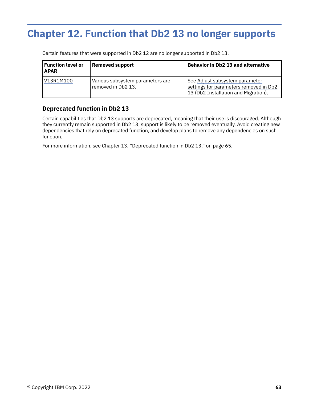# **Chapter 12. Function that Db2 13 no longer supports**

| Function level or<br><b>APAR</b> | <b>Removed support</b>                                 | <b>Behavior in Db2 13 and alternative</b>                                                                        |
|----------------------------------|--------------------------------------------------------|------------------------------------------------------------------------------------------------------------------|
| V13R1M100                        | Various subsystem parameters are<br>removed in Db2 13. | See Adjust subsystem parameter<br>settings for parameters removed in Db2<br>13 (Db2 Installation and Migration). |

Certain features that were supported in Db2 12 are no longer supported in Db2 13.

## **Deprecated function in Db2 13**

Certain capabilities that Db2 13 supports are deprecated, meaning that their use is discouraged. Although they currently remain supported in Db2 13, support is likely to be removed eventually. Avoid creating new dependencies that rely on deprecated function, and develop plans to remove any dependencies on such function.

For more information, see [Chapter 13, "Deprecated function in Db2 13," on page 65](#page-70-0).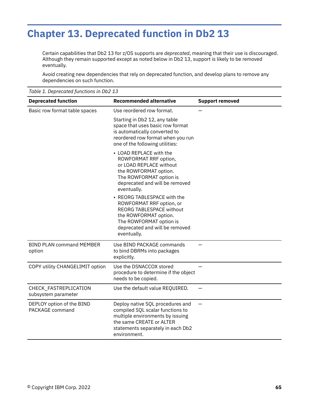# <span id="page-70-0"></span>**Chapter 13. Deprecated function in Db2 13**

Certain capabilities that Db2 13 for z/OS supports are *deprecated*, meaning that their use is discouraged. Although they remain supported except as noted below in Db2 13, support is likely to be removed eventually.

Avoid creating new dependencies that rely on deprecated function, and develop plans to remove any dependencies on such function.

*Table 1. Deprecated functions in Db2 13*

| <b>Deprecated function</b>                   | <b>Recommended alternative</b>                                                                                                                                                                                                                                                                                                                                               | <b>Support removed</b> |
|----------------------------------------------|------------------------------------------------------------------------------------------------------------------------------------------------------------------------------------------------------------------------------------------------------------------------------------------------------------------------------------------------------------------------------|------------------------|
| Basic row format table spaces                | Use reordered row format.                                                                                                                                                                                                                                                                                                                                                    |                        |
|                                              | Starting in Db2 12, any table<br>space that uses basic row format<br>is automatically converted to<br>reordered row format when you run<br>one of the following utilities:                                                                                                                                                                                                   |                        |
|                                              | • LOAD REPLACE with the<br>ROWFORMAT RRF option,<br>or LOAD REPLACE without<br>the ROWFORMAT option.<br>The ROWFORMAT option is<br>deprecated and will be removed<br>eventually.<br>• REORG TABLESPACE with the<br>ROWFORMAT RRF option, or<br>REORG TABLESPACE without<br>the ROWFORMAT option.<br>The ROWFORMAT option is<br>deprecated and will be removed<br>eventually. |                        |
| <b>BIND PLAN command MEMBER</b><br>option    | Use BIND PACKAGE commands<br>to bind DBRMs into packages<br>explicitly.                                                                                                                                                                                                                                                                                                      |                        |
| COPY utility CHANGELIMIT option              | Use the DSNACCOX stored<br>procedure to determine if the object<br>needs to be copied.                                                                                                                                                                                                                                                                                       |                        |
| CHECK_FASTREPLICATION<br>subsystem parameter | Use the default value REQUIRED.                                                                                                                                                                                                                                                                                                                                              |                        |
| DEPLOY option of the BIND<br>PACKAGE command | Deploy native SQL procedures and<br>compiled SQL scalar functions to<br>multiple environments by issuing<br>the same CREATE or ALTER<br>statements separately in each Db2<br>environment.                                                                                                                                                                                    |                        |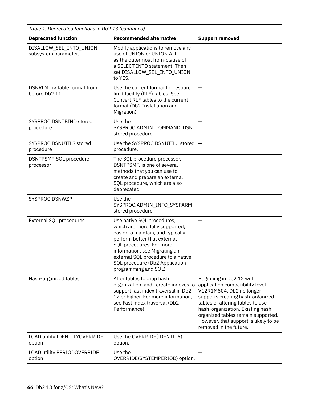*Table 1. Deprecated functions in Db2 13 (continued)*

| <b>Deprecated function</b>                      | <b>Recommended alternative</b>                                                                                                                                                                                                                                                                  | <b>Support removed</b>                                                                                                                                                                                                                                                                                       |
|-------------------------------------------------|-------------------------------------------------------------------------------------------------------------------------------------------------------------------------------------------------------------------------------------------------------------------------------------------------|--------------------------------------------------------------------------------------------------------------------------------------------------------------------------------------------------------------------------------------------------------------------------------------------------------------|
| DISALLOW_SEL_INTO_UNION<br>subsystem parameter. | Modify applications to remove any<br>use of UNION or UNION ALL<br>as the outermost from-clause of<br>a SELECT INTO statement. Then<br>set DISALLOW_SEL_INTO_UNION<br>to YES.                                                                                                                    |                                                                                                                                                                                                                                                                                                              |
| DSNRLMTxx table format from<br>before Db2 11    | Use the current format for resource<br>limit facility (RLF) tables. See<br>Convert RLF tables to the current<br>format (Db2 Installation and<br>Migration).                                                                                                                                     |                                                                                                                                                                                                                                                                                                              |
| SYSPROC.DSNTBIND stored<br>procedure            | Use the<br>SYSPROC.ADMIN_COMMAND_DSN<br>stored procedure.                                                                                                                                                                                                                                       |                                                                                                                                                                                                                                                                                                              |
| SYSPROC.DSNUTILS stored<br>procedure            | Use the SYSPROC.DSNUTILU stored -<br>procedure.                                                                                                                                                                                                                                                 |                                                                                                                                                                                                                                                                                                              |
| DSNTPSMP SQL procedure<br>processor             | The SQL procedure processor,<br>DSNTPSMP, is one of several<br>methods that you can use to<br>create and prepare an external<br>SQL procedure, which are also<br>deprecated.                                                                                                                    |                                                                                                                                                                                                                                                                                                              |
| SYSPROC.DSNWZP                                  | Use the<br>SYSPROC.ADMIN_INFO_SYSPARM<br>stored procedure.                                                                                                                                                                                                                                      |                                                                                                                                                                                                                                                                                                              |
| External SQL procedures                         | Use native SQL procedures,<br>which are more fully supported,<br>easier to maintain, and typically<br>perform better that external<br>SQL procedures. For more<br>information, see Migrating an<br>external SQL procedure to a native<br>SQL procedure (Db2 Application<br>programming and SQL) |                                                                                                                                                                                                                                                                                                              |
| Hash-organized tables                           | Alter tables to drop hash<br>organization, and, create indexes to<br>support fast index traversal in Db2<br>12 or higher. For more information,<br>see Fast index traversal (Db2<br>Performance).                                                                                               | Beginning in Db2 12 with<br>application compatibility level<br>V12R1M504, Db2 no longer<br>supports creating hash-organized<br>tables or altering tables to use<br>hash-organization. Existing hash<br>organized tables remain supported.<br>However, that support is likely to be<br>removed in the future. |
| LOAD utility IDENTITYOVERRIDE<br>option         | Use the OVERRIDE(IDENTITY)<br>option.                                                                                                                                                                                                                                                           |                                                                                                                                                                                                                                                                                                              |
| LOAD utility PERIODOVERRIDE<br>option           | Use the<br>OVERRIDE(SYSTEMPERIOD) option.                                                                                                                                                                                                                                                       |                                                                                                                                                                                                                                                                                                              |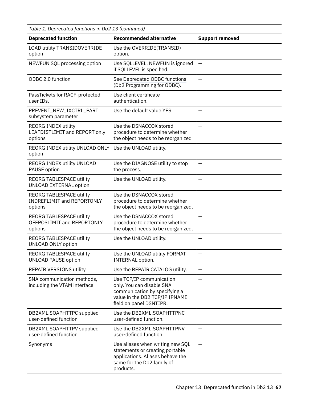*Table 1. Deprecated functions in Db2 13 (continued)*

| <b>Deprecated function</b>                                               | <b>Recommended alternative</b>                                                                                                                      | <b>Support removed</b> |
|--------------------------------------------------------------------------|-----------------------------------------------------------------------------------------------------------------------------------------------------|------------------------|
| LOAD utility TRANSIDOVERRIDE<br>option                                   | Use the OVERRIDE (TRANSID)<br>option.                                                                                                               |                        |
| NEWFUN SQL processing option                                             | Use SQLLEVEL. NEWFUN is ignored<br>if SQLLEVEL is specified.                                                                                        |                        |
| ODBC 2.0 function                                                        | See Deprecated ODBC functions<br>(Db2 Programming for ODBC).                                                                                        |                        |
| PassTickets for RACF-protected<br>user IDs.                              | Use client certificate<br>authentication.                                                                                                           |                        |
| PREVENT_NEW_IXCTRL_PART<br>subsystem parameter                           | Use the default value YES.                                                                                                                          |                        |
| REORG INDEX utility<br>LEAFDISTLIMIT and REPORT only<br>options          | Use the DSNACCOX stored<br>procedure to determine whether<br>the object needs to be reorganized                                                     |                        |
| REORG INDEX utility UNLOAD ONLY Use the UNLOAD utility.<br>option        |                                                                                                                                                     |                        |
| REORG INDEX utility UNLOAD<br>PAUSE option                               | Use the DIAGNOSE utility to stop<br>the process.                                                                                                    |                        |
| REORG TABLESPACE utility<br>UNLOAD EXTERNAL option                       | Use the UNLOAD utility.                                                                                                                             |                        |
| REORG TABLESPACE utility<br><b>INDREFLIMIT and REPORTONLY</b><br>options | Use the DSNACCOX stored<br>procedure to determine whether<br>the object needs to be reorganized.                                                    |                        |
| REORG TABLESPACE utility<br>OFFPOSLIMIT and REPORTONLY<br>options        | Use the DSNACCOX stored<br>procedure to determine whether<br>the object needs to be reorganized.                                                    |                        |
| REORG TABLESPACE utility<br>UNLOAD ONLY option                           | Use the UNLOAD utility.                                                                                                                             |                        |
| <b>REORG TABLESPACE utility</b><br>UNLOAD PAUSE option                   | Use the UNLOAD utility FORMAT<br><b>INTERNAL</b> option.                                                                                            |                        |
| <b>REPAIR VERSIONS utility</b>                                           | Use the REPAIR CATALOG utility.                                                                                                                     |                        |
| SNA communication methods,<br>including the VTAM interface               | Use TCP/IP communication<br>only. You can disable SNA<br>communication by specifying a<br>value in the DB2 TCP/IP IPNAME<br>field on panel DSNTIPR. |                        |
| DB2XML.SOAPHTTPC supplied<br>user-defined function                       | Use the DB2XML.SOAPHTTPNC<br>user-defined function.                                                                                                 |                        |
| DB2XML.SOAPHTTPV supplied<br>user-defined function                       | Use the DB2XML.SOAPHTTPNV<br>user-defined function.                                                                                                 |                        |
| Synonyms                                                                 | Use aliases when writing new SQL<br>statements or creating portable<br>applications. Aliases behave the<br>same for the Db2 family of<br>products.  |                        |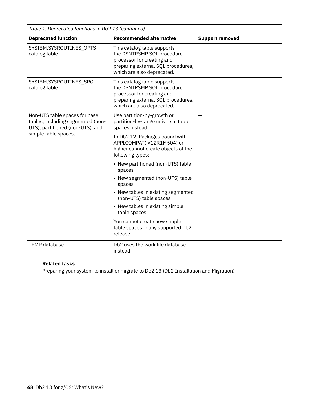*Table 1. Deprecated functions in Db2 13 (continued)*

| <b>Deprecated function</b>                                                                                                     | <b>Recommended alternative</b>                                                                                                                              | <b>Support removed</b> |
|--------------------------------------------------------------------------------------------------------------------------------|-------------------------------------------------------------------------------------------------------------------------------------------------------------|------------------------|
| SYSIBM.SYSROUTINES_OPTS<br>catalog table                                                                                       | This catalog table supports<br>the DSNTPSMP SQL procedure<br>processor for creating and<br>preparing external SQL procedures,<br>which are also deprecated. |                        |
| SYSIBM.SYSROUTINES_SRC<br>catalog table                                                                                        | This catalog table supports<br>the DSNTPSMP SQL procedure<br>processor for creating and<br>preparing external SQL procedures,<br>which are also deprecated. |                        |
| Non-UTS table spaces for base<br>tables, including segmented (non-<br>UTS), partitioned (non-UTS), and<br>simple table spaces. | Use partition-by-growth or<br>partition-by-range universal table<br>spaces instead.                                                                         |                        |
|                                                                                                                                | In Db2 12, Packages bound with<br>APPLCOMPAT(V12R1M504) or<br>higher cannot create objects of the<br>following types:                                       |                        |
|                                                                                                                                | • New partitioned (non-UTS) table<br>spaces                                                                                                                 |                        |
|                                                                                                                                | • New segmented (non-UTS) table<br>spaces                                                                                                                   |                        |
|                                                                                                                                | • New tables in existing segmented<br>(non-UTS) table spaces                                                                                                |                        |
|                                                                                                                                | • New tables in existing simple<br>table spaces                                                                                                             |                        |
|                                                                                                                                | You cannot create new simple<br>table spaces in any supported Db2<br>release.                                                                               |                        |
| <b>TEMP</b> database                                                                                                           | Db2 uses the work file database<br>instead.                                                                                                                 |                        |

#### **Related tasks**

[Preparing your system to install or migrate to Db2 13 \(Db2 Installation and Migration\)](https://www.ibm.com/docs/en/SSEPEK_13.0.0/inst/src/tpc/db2z_preparingyoursystem.html)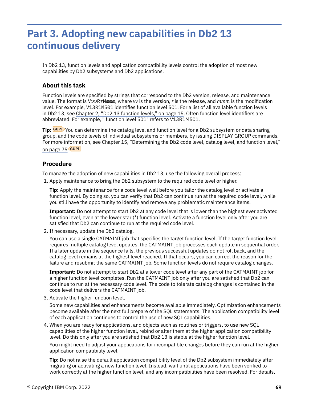# <span id="page-74-0"></span>**Part 3. Adopting new capabilities in Db2 13 continuous delivery**

In Db2 13, function levels and application compatibility levels control the adoption of most new capabilities by Db2 subsystems and Db2 applications.

## **About this task**

Function levels are specified by strings that correspond to the Db2 version, release, and maintenance value. The format is V*vv*R*r*M*mmm*, where *vv* is the version, *r* is the release, and *mmm* is the modification level. For example, V13R1M501 identifies function level 501. For a list of all available function levels in Db2 13, see [Chapter 2, "Db2 13 function levels," on page 15.](#page-20-0) Often function level identifiers are abbreviated. For example, " function level 501" refers to V13R1M501.

**Tip: GUPI** You can determine the catalog level and function level for a Db2 subsystem or data sharing group, and the code levels of individual subsystems or members, by issuing DISPLAY GROUP commands. For more information, see [Chapter 15, "Determining the Db2 code level, catalog level, and function level,"](#page-80-0) [on page 75](#page-80-0) **GUPI**

## **Procedure**

To manage the adoption of new capabilities in Db2 13, use the following overall process:

1. Apply maintenance to bring the Db2 subsystem to the required code level or higher.

**Tip:** Apply the maintenance for a code level well before you tailor the catalog level or activate a function level. By doing so, you can verify that Db2 can continue run at the required code level, while you still have the opportunity to identify and remove any problematic maintenance items.

**Important:** Do not attempt to start Db2 at any code level that is lower than the highest ever activated function level, even at the lower star (\*) function level. Activate a function level only after you are satisfied that Db2 can continue to run at the required code level.

2. If necessary, update the Db2 catalog.

You can use a single CATMAINT job that specifies the target function level. If the target function level requires multiple catalog level updates, the CATMAINT job processes each update in sequential order. If a later update in the sequence fails, the previous successful updates do not roll back, and the catalog level remains at the highest level reached. If that occurs, you can correct the reason for the failure and resubmit the same CATMAINT job. Some function levels do not require catalog changes.

**Important:** Do not attempt to start Db2 at a lower code level after any part of the CATMAINT job for a higher function level completes. Run the CATMAINT job only after you are satisfied that Db2 can continue to run at the necessary code level. The code to tolerate catalog changes is contained in the code level that delivers the CATMAINT job.

3. Activate the higher function level.

Some new capabilities and enhancements become available immediately. Optimization enhancements become available after the next full prepare of the SQL statements. The application compatibility level of each application continues to control the use of new SQL capabilities.

4. When you are ready for applications, and objects such as routines or triggers, to use new SQL capabilities of the higher function level, rebind or alter them at the higher application compatibility level. Do this only after you are satisfied that Db2 13 is stable at the higher function level.

You might need to adjust your applications for incompatible changes before they can run at the higher application compatibility level.

**Tip:** Do not raise the default application compatibility level of the Db2 subsystem immediately after migrating or activating a new function level. Instead, wait until applications have been verified to work correctly at the higher function level, and any incompatibilities have been resolved. For details,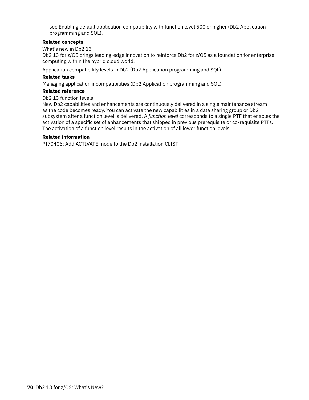see [Enabling default application compatibility with function level 500 or higher \(Db2 Application](https://www.ibm.com/docs/en/SSEPEK_13.0.0/apsg/src/tpc/db2z_enableapplcompatsubsystem.html) [programming and SQL\)](https://www.ibm.com/docs/en/SSEPEK_13.0.0/apsg/src/tpc/db2z_enableapplcompatsubsystem.html).

#### **Related concepts**

[What's new in Db2 13](#page-6-0)

Db2 13 for z/OS brings leading-edge innovation to reinforce Db2 for z/OS as a foundation for enterprise computing within the hybrid cloud world.

[Application compatibility levels in Db2 \(Db2 Application programming and SQL\)](https://www.ibm.com/docs/en/SSEPEK_13.0.0/apsg/src/tpc/db2z_applicationcompatibility.html)

#### **Related tasks**

[Managing application incompatibilities \(Db2 Application programming and SQL\)](https://www.ibm.com/docs/en/SSEPEK_13.0.0/apsg/src/tpc/db2z_identifyincompatapplication.html)

#### **Related reference**

[Db2 13 function levels](#page-20-0)

New Db2 capabilities and enhancements are continuously delivered in a single maintenance stream as the code becomes ready. You can activate the new capabilities in a data sharing group or Db2 subsystem after a function level is delivered. A *function level* corresponds to a single PTF that enables the activation of a specific set of enhancements that shipped in previous prerequisite or co-requisite PTFs. The activation of a function level results in the activation of all lower function levels.

### **Related information**

[PI70406: Add ACTIVATE mode to the Db2 installation CLIST](http://www-01.ibm.com/support/docview.wss?uid=swg1PI70406)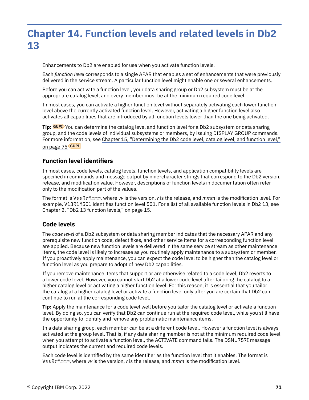# <span id="page-76-0"></span>**Chapter 14. Function levels and related levels in Db2 13**

Enhancements to Db2 are enabled for use when you activate function levels.

Each *function level* corresponds to a single APAR that enables a set of enhancements that were previously delivered in the service stream. A particular function level might enable one or several enhancements.

Before you can activate a function level, your data sharing group or Db2 subsystem must be at the appropriate catalog level, and every member must be at the minimum required code level.

In most cases, you can activate a higher function level without separately activating each lower function level above the currently activated function level. However, activating a higher function level also activates all capabilities that are introduced by all function levels lower than the one being activated.

**Tip: GUPI** You can determine the catalog level and function level for a Db2 subsystem or data sharing group, and the code levels of individual subsystems or members, by issuing DISPLAY GROUP commands. For more information, see [Chapter 15, "Determining the Db2 code level, catalog level, and function level,"](#page-80-0) [on page 75](#page-80-0) **GUPI**

## **Function level identifiers**

In most cases, code levels, catalog levels, function levels, and application compatibility levels are specified in commands and message output by nine-character strings that correspond to the Db2 version, release, and modification value. However, descriptions of function levels in documentation often refer only to the modification part of the values.

The format is V*vv*R*r*M*mmm*, where *vv* is the version, *r* is the release, and *mmm* is the modification level. For example, V13R1M501 identifies function level 501. For a list of all available function levels in Db2 13, see [Chapter 2, "Db2 13 function levels," on page 15](#page-20-0).

## **Code levels**

The *code level* of a Db2 subsystem or data sharing member indicates that the necessary APAR and any prerequisite new function code, defect fixes, and other service items for a corresponding function level are applied. Because new function levels are delivered in the same service stream as other maintenance items, the code level is likely to increase as you routinely apply maintenance to a subsystem or member. If you proactively apply maintenance, you can expect the code level to be higher than the catalog level or function level as you prepare to adopt of new Db2 capabilities.

If you remove maintenance items that support or are otherwise related to a code level, Db2 reverts to a lower code level. However, you cannot start Db2 at a lower code level after tailoring the catalog to a higher catalog level or activating a higher function level. For this reason, it is essential that you tailor the catalog at a higher catalog level or activate a function level only after you are certain that Db2 can continue to run at the corresponding code level.

**Tip:** Apply the maintenance for a code level well before you tailor the catalog level or activate a function level. By doing so, you can verify that Db2 can continue run at the required code level, while you still have the opportunity to identify and remove any problematic maintenance items.

In a data sharing group, each member can be at a different code level. However a function level is always activated at the group level. That is, if any data sharing member is not at the minimum required code level when you attempt to activate a function level, the ACTIVATE command fails. The DSNU757I message output indicates the current and required code levels.

Each code level is identified by the same identifier as the function level that it enables. The format is V*vv*R*r*M*mmm*, where *vv* is the version, *r* is the release, and *mmm* is the modification level.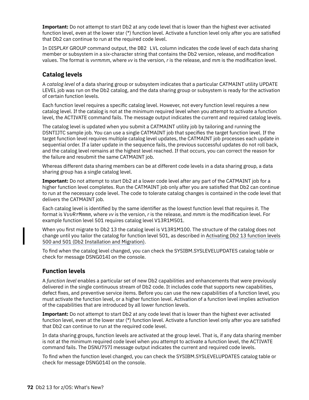**Important:** Do not attempt to start Db2 at any code level that is lower than the highest ever activated function level, even at the lower star (\*) function level. Activate a function level only after you are satisfied that Db2 can continue to run at the required code level.

In DISPLAY GROUP command output, the DB2 LVL column indicates the code level of each data sharing member or subsystem in a six-character string that contains the Db2 version, release, and modification values. The format is *vvrmmm*, where *vv* is the version, *r* is the release, and *mm* is the modification level.

## **Catalog levels**

A *catalog level* of a data sharing group or subsystem indicates that a particular CATMAINT utility UPDATE LEVEL job was run on the Db2 catalog, and the data sharing group or subsystem is ready for the activation of certain function levels.

Each function level requires a specific catalog level. However, not every function level requires a new catalog level. If the catalog is not at the minimum required level when you attempt to activate a function level, the ACTIVATE command fails. The message output indicates the current and required catalog levels.

The catalog level is updated when you submit a CATMAINT utility job by tailoring and running the DSNTIJTC sample job. You can use a single CATMAINT job that specifies the target function level. If the target function level requires multiple catalog level updates, the CATMAINT job processes each update in sequential order. If a later update in the sequence fails, the previous successful updates do not roll back, and the catalog level remains at the highest level reached. If that occurs, you can correct the reason for the failure and resubmit the same CATMAINT job.

Whereas different data sharing members can be at different code levels in a data sharing group, a data sharing group has a single catalog level.

**Important:** Do not attempt to start Db2 at a lower code level after any part of the CATMAINT job for a higher function level completes. Run the CATMAINT job only after you are satisfied that Db2 can continue to run at the necessary code level. The code to tolerate catalog changes is contained in the code level that delivers the CATMAINT job.

Each catalog level is identified by the same identifier as the lowest function level that requires it. The format is V*vv*R*r*M*mmm*, where *vv* is the version, *r* is the release, and *mmm* is the modification level. For example function level 501 requires catalog level V13R1M501.

When you first migrate to Db2 13 the catalog level is V13R1M100. The structure of the catalog does not change until you tailor the catalog for function level 501, as described in [Activating Db2 13 function levels](https://www.ibm.com/docs/en/SSEPEK_13.0.0/inst/src/tpc/db2z_activateflmigrate.html) [500 and 501 \(Db2 Installation and Migration\).](https://www.ibm.com/docs/en/SSEPEK_13.0.0/inst/src/tpc/db2z_activateflmigrate.html)

To find when the catalog level changed, you can check the SYSIBM.SYSLEVELUPDATES catalog table or check for message DSNG014I on the console.

## **Function levels**

A *function level* enables a particular set of new Db2 capabilities and enhancements that were previously delivered in the single continuous stream of Db2 code. It includes code that supports new capabilities, defect fixes, and preventive service items. Before you can use the new capabilities of a function level, you must activate the function level, or a higher function level. Activation of a function level implies activation of the capabilities that are introduced by all lower function levels.

**Important:** Do not attempt to start Db2 at any code level that is lower than the highest ever activated function level, even at the lower star (\*) function level. Activate a function level only after you are satisfied that Db2 can continue to run at the required code level.

In data sharing groups, function levels are activated at the group level. That is, if any data sharing member is not at the minimum required code level when you attempt to activate a function level, the ACTIVATE command fails. The DSNU757I message output indicates the current and required code levels.

To find when the function level changed, you can check the SYSIBM.SYSLEVELUPDATES catalog table or check for message DSNG014I on the console.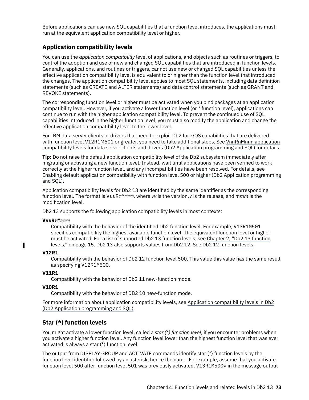Before applications can use new SQL capabilities that a function level introduces, the applications must run at the equivalent application compatibility level or higher.

## **Application compatibility levels**

You can use the *application compatibility* level of applications, and objects such as routines or triggers, to control the adoption and use of new and changed SQL capabilities that are introduced in function levels. Generally, applications, and routines or triggers, cannot use new or changed SQL capabilities unless the effective application compatibility level is equivalent to or higher than the function level that introduced the changes. The application compatibility level applies to most SQL statements, including data definition statements (such as CREATE and ALTER statements) and data control statements (such as GRANT and REVOKE statements).

The corresponding function level or higher must be activated when you bind packages at an application compatibility level. However, if you activate a lower function level (or \* function level), applications can continue to run with the higher application compatibility level. To prevent the continued use of SQL capabilities introduced in the higher function level, you must also modify the application and change the effective application compatibility level to the lower level.

For IBM data server clients or drivers that need to exploit Db2 for z/OS capabilities that are delivered with function level V12R1M501 or greater, you need to take additional steps. See [VnnRnMnnn application](https://www.ibm.com/docs/en/SSEPEK_13.0.0/apsg/src/tpc/db2z_applcompatclients.html) [compatibility levels for data server clients and drivers \(Db2 Application programming and SQL\)](https://www.ibm.com/docs/en/SSEPEK_13.0.0/apsg/src/tpc/db2z_applcompatclients.html) for details.

**Tip:** Do not raise the default application compatibility level of the Db2 subsystem immediately after migrating or activating a new function level. Instead, wait until applications have been verified to work correctly at the higher function level, and any incompatibilities have been resolved. For details, see [Enabling default application compatibility with function level 500 or higher \(Db2 Application programming](https://www.ibm.com/docs/en/SSEPEK_13.0.0/apsg/src/tpc/db2z_enableapplcompatsubsystem.html) [and SQL\)](https://www.ibm.com/docs/en/SSEPEK_13.0.0/apsg/src/tpc/db2z_enableapplcompatsubsystem.html).

Application compatibility levels for Db2 13 are identified by the same identifier as the corresponding function level. The format is V*vv*R*r*M*mmm*, where *vv* is the version, *r* is the release, and *mmm* is the modification level.

Db2 13 supports the following application compatibility levels in most contexts:

#### **V***vv***R***r***M***mmm*

Compatibility with the behavior of the identified Db2 function level. For example, V13R1M501 specifies compatibility the highest available function level. The equivalent function level or higher must be activated. For a list of supported Db2 13 function levels, see [Chapter 2, "Db2 13 function](#page-20-0) [levels," on page 15.](#page-20-0) Db2 13 also supports values from Db2 12. See [Db2 12 function levels.](https://www.ibm.com/docs/en/SSEPEK_12.0.0/wnew/src/tpc/db2z_db2functionlevels.html)

#### **V12R1**

Г

Compatibility with the behavior of Db2 12 function level 500. This value this value has the same result as specifying V12R1M500.

#### **V11R1**

Compatibility with the behavior of Db2 11 new-function mode.

#### **V10R1**

Compatibility with the behavior of DB2 10 new-function mode.

For more information about application compatibility levels, see [Application compatibility levels in Db2](https://www.ibm.com/docs/en/SSEPEK_13.0.0/apsg/src/tpc/db2z_applicationcompatibility.html) [\(Db2 Application programming and SQL\)](https://www.ibm.com/docs/en/SSEPEK_13.0.0/apsg/src/tpc/db2z_applicationcompatibility.html).

### **Star (\*) function levels**

You might activate a lower function level, called a *star (\*) function level*, if you encounter problems when you activate a higher function level. Any function level lower than the highest function level that was ever activated is always a star (\*) function level.

The output from DISPLAY GROUP and ACTIVATE commands identify star (\*) function levels by the function level identifier followed by an asterisk, hence the name. For example, assume that you activate function level 500 after function level 501 was previously activated. V13R1M500\* in the message output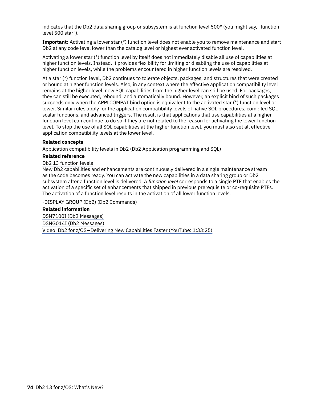indicates that the Db2 data sharing group or subsystem is at function level 500\* (you might say, "function level 500 star").

**Important:** Activating a lower star (\*) function level does not enable you to remove maintenance and start Db2 at any code level lower than the catalog level or highest ever activated function level.

Activating a lower star (\*) function level by itself does not immediately disable all use of capabilities at higher function levels. Instead, it provides flexibility for limiting or disabling the use of capabilities at higher function levels, while the problems encountered in higher function levels are resolved.

At a star (\*) function level, Db2 continues to tolerate objects, packages, and structures that were created or bound at higher function levels. Also, in any context where the effective application compatibility level remains at the higher level, new SQL capabilities from the higher level can still be used. For packages, they can still be executed, rebound, and automatically bound. However, an explicit bind of such packages succeeds only when the APPLCOMPAT bind option is equivalent to the activated star (\*) function level or lower. Similar rules apply for the application compatibility levels of native SQL procedures, compiled SQL scalar functions, and advanced triggers. The result is that applications that use capabilities at a higher function level can continue to do so if they are not related to the reason for activating the lower function level. To stop the use of all SQL capabilities at the higher function level, you must also set all effective application compatibility levels at the lower level.

#### **Related concepts**

[Application compatibility levels in Db2 \(Db2 Application programming and SQL\)](https://www.ibm.com/docs/en/SSEPEK_13.0.0/apsg/src/tpc/db2z_applicationcompatibility.html)

#### **Related reference**

#### [Db2 13 function levels](#page-20-0)

New Db2 capabilities and enhancements are continuously delivered in a single maintenance stream as the code becomes ready. You can activate the new capabilities in a data sharing group or Db2 subsystem after a function level is delivered. A *function level* corresponds to a single PTF that enables the activation of a specific set of enhancements that shipped in previous prerequisite or co-requisite PTFs. The activation of a function level results in the activation of all lower function levels.

[-DISPLAY GROUP \(Db2\) \(Db2 Commands\)](https://www.ibm.com/docs/en/SSEPEK_13.0.0/comref/src/tpc/db2z_cmd_displaygroup.html)

#### **Related information**

[DSN7100I \(Db2 Messages\)](https://www.ibm.com/docs/en/SSEPEK_13.0.0/msgs/src/tpc/dsn7100i.html) [DSNG014I \(Db2 Messages\)](https://www.ibm.com/docs/en/SSEPEK_13.0.0/msgs/src/tpc/dsng014i.html) [Video: Db2 for z/OS—Delivering New Capabilities Faster \(YouTube: 1:33:25\)](https://www.youtube.com/watch?v=9Bw_iJlj9gs)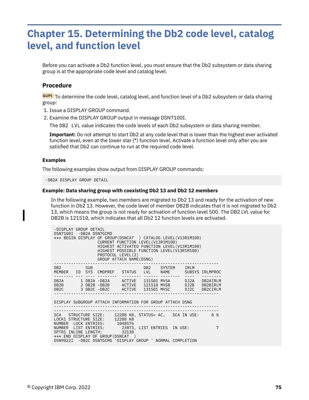## <span id="page-80-0"></span>**Chapter 15. Determining the Db2 code level, catalog level, and function level**

Before you can activate a Db2 function level, you must ensure that the Db2 subsystem or data sharing group is at the appropriate code level and catalog level.

### **Procedure**

**GUPI** To determine the code level, catalog level, and function level of a Db2 subsystem or data sharing group:

- 1. Issue a DISPLAY GROUP command.
- 2. Examine the DISPLAY GROUP output in message DSN7100I.

The DB2 LVL value indicates the code levels of each Db2 subsystem or data sharing member.

**Important:** Do not attempt to start Db2 at any code level that is lower than the highest ever activated function level, even at the lower star (\*) function level. Activate a function level only after you are satisfied that Db2 can continue to run at the required code level.

#### **Examples**

The following examples show output from DISPLAY GROUP commands:

-DB2A DISPLAY GROUP DETAIL

#### **Example: Data sharing group with coexisting Db2 13 and Db2 12 members**

In the following example, two members are migrated to Db2 13 and ready for the activation of new function in Db2 13. However, the code level of member DB2B indicates that it is not migrated to Db2 13, which means the group is not ready for activation of function level 500. The DB2 LVL value for DB2B is 121510, which indicates that all Db2 12 function levels are activated.

| -DISPLAY GROUP DETAIL<br>DSN7100I -DB2A DSN7GCMD<br>*** BEGIN DISPLAY OF GROUP(DSNCAT ) CATALOG LEVEL(V13R1M100)<br>CURRENT FUNCTION LEVEL (V13R1M100)<br>PROTOCOL LEVEL(2)<br>GROUP ATTACH NAME (DSNG) | HIGHEST ACTIVATED FUNCTION LEVEL (V13R1M100)<br>HIGHEST POSSIBLE FUNCTION LEVEL(V13R1M100) |  |
|---------------------------------------------------------------------------------------------------------------------------------------------------------------------------------------------------------|--------------------------------------------------------------------------------------------|--|
| DB2 SUB                                                                                                                                                                                                 | DB2 SYSTEM<br>IRLM                                                                         |  |
| DB2A 1 DB2A - DB2A ACTIVE 131501 MVSA DJ2A DB2AIRLM<br>DB2B 2 DB2B - DB2B ACTIVE 121510 MVSB DJ2B DB2BIRLM<br>DB2C 3 DB2C -DB2C ACTIVE 131501 MVSC DJ2C DB2CIRLM                                        |                                                                                            |  |
| DISPLAY SUBGROUP ATTACH INFORMATION FOR GROUP ATTACH DSNG<br><u></u>                                                                                                                                    |                                                                                            |  |
| SCA STRUCTURE SIZE: 12288 KB, STATUS= AC, SCA IN USE: 8 %<br>LOCK1 STRUCTURE SIZE: 12288 KB<br>NUMBER LOCK ENTRIES: 1048576                                                                             |                                                                                            |  |
| NUMBER LIST ENTRIES: 23073, LIST ENTRIES IN USE:<br>SPT01 INLINE LENGTH: 32138<br>*** END DISPLAY OF GROUP(DSNCAT)<br>DSN9022I -DB2C DSN7GCMD 'DISPLAY GROUP ' NORMAL COMPLETION                        | 7                                                                                          |  |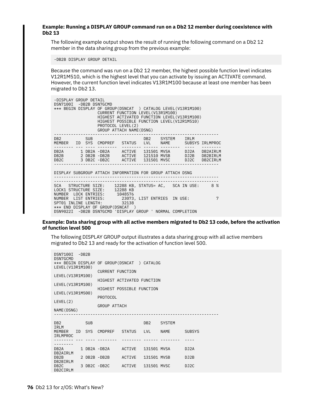#### **Example: Running a DISPLAY GROUP command run on a Db2 12 member during coexistence with Db2 13**

The following example output shows the result of running the following command on a Db2 12 member in the data sharing group from the previous example:

-DB2B DISPLAY GROUP DETAIL

Because the command was run on a Db2 12 member, the highest possible function level indicates V12R1M510, which is the highest level that you can activate by issuing an ACTIVATE command. However, the current function level indicates V13R1M100 because at least one member has been migrated to Db2 13.

| -DISPLAY GROUP DETAIL<br>DSN7100I -DB2B DSN7GCMD                                               | *** BEGIN DISPLAY OF GROUP(DSNCAT) CATALOG LEVEL(V13R1M100)<br>CURRENT FUNCTION LEVEL (V13R1M100)<br>HIGHEST ACTIVATED FUNCTION LEVEL (V13R1M100)<br>HIGHEST POSSIBLE FUNCTION LEVEL (V12R1M510)<br>PROTOCOL LEVEL(2)<br>GROUP ATTACH NAME (DSNG) |            |      |   |
|------------------------------------------------------------------------------------------------|---------------------------------------------------------------------------------------------------------------------------------------------------------------------------------------------------------------------------------------------------|------------|------|---|
| DB2 SUB                                                                                        | MEMBER ID SYS CMDPREF STATUS LVL NAME SUBSYSIRLMPROC                                                                                                                                                                                              | DB2 SYSTEM | IRLM |   |
|                                                                                                | 082A 1 082A - 082A ACTIVE 131501 MVSA 032A DB2AIRLM<br>DB2B 2 0B2B - 0B2B ACTIVE 121510 MVSB 0J2B DB2BIRLM<br>DB2C 3 DB2C -DB2C ACTIVE 131501 MVSC DJ2C DB2CIRLM                                                                                  |            |      |   |
|                                                                                                | DISPLAY SUBGROUP ATTACH INFORMATION FOR GROUP ATTACH DSNG                                                                                                                                                                                         |            |      |   |
| LOCK1 STRUCTURE SIZE: 12288 KB                                                                 | SCA STRUCTURE SIZE: 12288 KB, STATUS= AC, SCA IN USE: 8 %                                                                                                                                                                                         |            |      |   |
| NUMBER LOCK ENTRIES: 1048576<br>SPT01 INLINE LENGTH: 32138<br>*** END DISPLAY OF GROUP(DSNCAT) | NUMBER LIST ENTRIES: 23073, LIST ENTRIES IN USE:                                                                                                                                                                                                  |            |      | 7 |
|                                                                                                | DSN9022I -DB2B DSN7GCMD 'DISPLAY GROUP ' NORMAL COMPLETION                                                                                                                                                                                        |            |      |   |

#### **Example: Data sharing group with all active members migrated to Db2 13 code, before the activation of function level 500**

The following DISPLAY GROUP output illustrates a data sharing group with all active members migrated to Db2 13 and ready for the activation of function level 500.

| DSN7100I<br>DSN7GCMD                   | - DB2B |            |                            |               |                 |               |               |
|----------------------------------------|--------|------------|----------------------------|---------------|-----------------|---------------|---------------|
| *** BEGIN DISPLAY<br>LEVEL (V13R1M100) |        |            | OF GROUP (DSNCAT ) CATALOG |               |                 |               |               |
| LEVEL (V13R1M100)                      |        |            | <b>CURRENT FUNCTION</b>    |               |                 |               |               |
| LEVEL (V13R1M100)                      |        |            | HIGHEST ACTIVATED FUNCTION |               |                 |               |               |
|                                        |        |            | HIGHEST POSSIBLE FUNCTION  |               |                 |               |               |
| LEVEL (V13R1M500)                      |        |            | <b>PROTOCOL</b>            |               |                 |               |               |
| LEVEL(2)                               |        |            | <b>GROUP ATTACH</b>        |               |                 |               |               |
| NAME (DSNG)                            |        |            |                            |               |                 |               |               |
|                                        |        |            |                            |               |                 |               |               |
| DB <sub>2</sub><br>TRI M               |        | <b>SUB</b> |                            |               | DB <sub>2</sub> | <b>SYSTEM</b> |               |
| MEMBER<br>IRLMPROC                     |        | ID SYS     | CMDPREF STATUS LVL         |               |                 | NAME          | <b>SUBSYS</b> |
|                                        |        |            |                            |               |                 |               |               |
| DB <sub>2</sub> A                      |        |            |                            |               |                 |               |               |
| DB2AIRLM                               |        |            | 1 DB2A -DB2A               | <b>ACTIVE</b> | 131501 MVSA     |               | DJ2A          |
| DB <sub>2</sub> B<br>DB2BTRIM          |        |            | 2 DB2B -DB2B               | ACTIVE        | 131501 MVSB     |               | DJ2B          |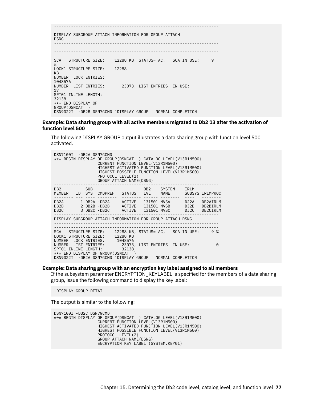```
-------------------------------------------------------------------- 
DISPLAY SUBGROUP ATTACH INFORMATION FOR GROUP ATTACH 
DSNG 
                       -------------------------------------------------------------------- 
-------------------------------------------------------------------- 
SCA STRUCTURE SIZE: 12288 KB, STATUS= AC, SCA IN USE: 9 
0/LOCK1 STRUCTURE SIZE: 12288
KB 
NUMBER LOCK ENTRIES: 
1048576<br>NUMBER LIST ENTRIES:
                            23073, LIST ENTRIES IN USE:
17 
SPT01 INLINE LENGTH: 
32138 
*** END DISPLAY OF 
GROUP(DSNCAT ) 
DSN9022I -DB2B DSN7GCMD 'DISPLAY GROUP ' NORMAL COMPLETION
```
#### **Example: Data sharing group with all active members migrated to Db2 13 after the activation of function level 500**

The following DISPLAY GROUP output illustrates a data sharing group with function level 500 activated.

| DSN7100I -DB2A DSN7GCMD                                     |                                              |          |
|-------------------------------------------------------------|----------------------------------------------|----------|
| *** BEGIN DISPLAY OF GROUP(DSNCAT) CATALOG LEVEL(V13R1M500) |                                              |          |
| CURRENT FUNCTION LEVEL (V13R1M500)                          |                                              |          |
|                                                             | HIGHEST ACTIVATED FUNCTION LEVEL (V13R1M500) |          |
| PROTOCOL LEVEL(2)                                           | HIGHEST POSSIBLE FUNCTION LEVEL (V13R1M500)  |          |
| GROUP ATTACH NAME (DSNG)                                    |                                              |          |
|                                                             |                                              |          |
| DB2 SUB                                                     | DB2 SYSTEM                                   | IRLM     |
|                                                             |                                              |          |
| DB2A 1 DB2A - DB2A ACTIVE 131501 MVSA DJ2A DB2AIRLM         |                                              |          |
| DB2B 2 DB2B - DB2B ACTIVE 131501 MVSB DJ2B DB2BIRLM         |                                              |          |
| DB2C 3 DB2C -DB2C ACTIVE 131501 MVSC DJ2C DB2CIRLM          |                                              |          |
|                                                             |                                              |          |
| DISPLAY SUBGROUP ATTACH INFORMATION FOR GROUP ATTACH DSNG   |                                              |          |
|                                                             |                                              |          |
| SCA STRUCTURE SIZE: 12288 KB, STATUS= AC, SCA IN USE: 9 %   |                                              |          |
| LOCK1 STRUCTURE SIZE: 12288 KB                              |                                              |          |
| NUMBER LOCK ENTRIES: 1048576                                |                                              |          |
| NUMBER LIST ENTRIES: 23073, LIST ENTRIES IN USE:            |                                              | $\Theta$ |
| SPT01 INLINE LENGTH: 32138                                  |                                              |          |
| *** END DISPLAY OF GROUP(DSNCAT)                            |                                              |          |
| DSN9022I -DB2A DSN7GCMD 'DISPLAY GROUP ' NORMAL COMPLETION  |                                              |          |

#### **Example: Data sharing group with an encryption key label assigned to all members**

If the subsystem parameter ENCRYPTION\_KEYLABEL is specified for the members of a data sharing group, issue the following command to display the key label:

-DISPLAY GROUP DETAIL

The output is similar to the following:

DSN7100I -DB2C DSN7GCMD \*\*\* BEGIN DISPLAY OF GROUP(DSNCAT ) CATALOG LEVEL(V13R1M500) CURRENT FUNCTION LEVEL(V13R1M500) HIGHEST ACTIVATED FUNCTION LEVEL(V13R1M500) HIGHEST POSSIBLE FUNCTION LEVEL(V13R1M500) PROTOCOL LEVEL(2) GROUP ATTACH NAME(DSNG) ENCRYPTION KEY LABEL (SYSTEM.KEY01)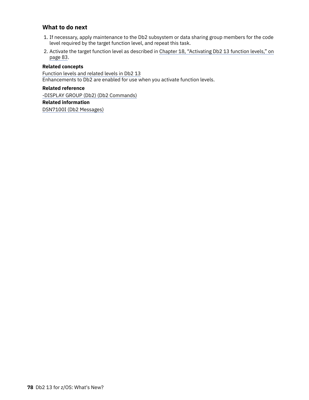## **What to do next**

- 1. If necessary, apply maintenance to the Db2 subsystem or data sharing group members for the code level required by the target function level, and repeat this task.
- 2. Activate the target function level as described in [Chapter 18, "Activating Db2 13 function levels," on](#page-88-0) [page 83](#page-88-0).

#### **Related concepts**

[Function levels and related levels in Db2 13](#page-76-0) Enhancements to Db2 are enabled for use when you activate function levels.

## **Related reference**

[-DISPLAY GROUP \(Db2\) \(Db2 Commands\)](https://www.ibm.com/docs/en/SSEPEK_13.0.0/comref/src/tpc/db2z_cmd_displaygroup.html) **Related information**

[DSN7100I \(Db2 Messages\)](https://www.ibm.com/docs/en/SSEPEK_13.0.0/msgs/src/tpc/dsn7100i.html)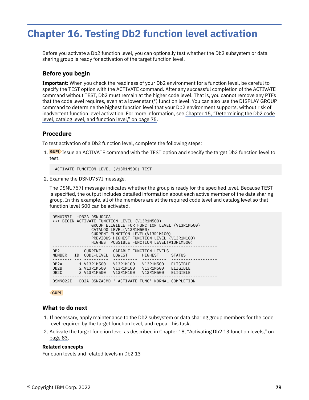## <span id="page-84-0"></span>**Chapter 16. Testing Db2 function level activation**

Before you activate a Db2 function level, you can optionally test whether the Db2 subsystem or data sharing group is ready for activation of the target function level.

### **Before you begin**

**Important:** When you check the readiness of your Db2 environment for a function level, be careful to specify the TEST option with the ACTIVATE command. After any successful completion of the ACTIVATE command without TEST, Db2 must remain at the higher code level. That is, you cannot remove any PTFs that the code level requires, even at a lower star (\*) function level. You can also use the DISPLAY GROUP command to determine the highest function level that your Db2 environment supports, without risk of inadvertent function level activation. For more information, see [Chapter 15, "Determining the Db2 code](#page-80-0) [level, catalog level, and function level," on page 75.](#page-80-0)

### **Procedure**

To test activation of a Db2 function level, complete the following steps:

1. **GUPI** Issue an ACTIVATE command with the TEST option and specify the target Db2 function level to test.

-ACTIVATE FUNCTION LEVEL (V13R1M500) TEST

2. Examine the DSNU757I message.

The DSNU757I message indicates whether the group is ready for the specified level. Because TEST is specified, the output includes detailed information about each active member of the data sharing group. In this example, all of the members are at the required code level and catalog level so that function level 500 can be activated.

| DSNU757I -DB2A DSNUGCCA                                                |  |
|------------------------------------------------------------------------|--|
| *** BEGIN ACTIVATE FUNCTION LEVEL (V13R1M500)                          |  |
| GROUP ELIGIBLE FOR FUNCTION LEVEL (V13R1M500)                          |  |
| CATALOG LEVEL (V13R1M500)                                              |  |
| CURRENT FUNCTION LEVEL (V13R1M100)                                     |  |
| PREVIOUS HIGHEST FUNCTION LEVEL (V13R1M100)                            |  |
| HIGHEST POSSIBLE FUNCTION LEVEL (V13R1M500)                            |  |
|                                                                        |  |
| CURRENT CAPABLE FUNCTION LEVELS<br>DB2                                 |  |
| CODE-LEVEL<br>MEMBER ID<br>LOWEST HIGHEST<br><b>STATUS</b>             |  |
|                                                                        |  |
| V13R1M500<br>ELIGIBLE<br>DB <sub>2</sub> A<br>1 V13R1M500<br>V13R1M100 |  |
| 2 V13R1M500<br>V13R1M100<br>V13R1M500<br>DB <sub>2</sub> B<br>ELIGIBLE |  |
| 3 V13R1M500<br>DB <sub>2C</sub><br>V13R1M100<br>V13R1M500<br>ELIGIBLE  |  |
|                                                                        |  |
| DSN9022I -DB2A DSNZACMD '-ACTIVATE FUNC' NORMAL COMPLETION             |  |

**GUPI**

#### **What to do next**

- 1. If necessary, apply maintenance to the Db2 subsystem or data sharing group members for the code level required by the target function level, and repeat this task.
- 2. Activate the target function level as described in [Chapter 18, "Activating Db2 13 function levels," on](#page-88-0) [page 83](#page-88-0).

#### **Related concepts**

[Function levels and related levels in Db2 13](#page-76-0)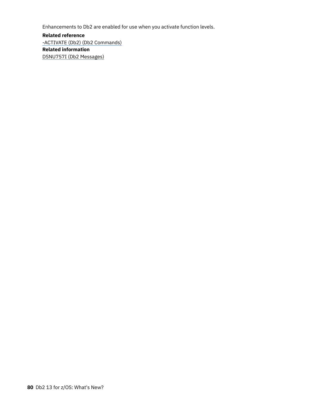Enhancements to Db2 are enabled for use when you activate function levels.

**Related reference** [-ACTIVATE \(Db2\) \(Db2 Commands\)](https://www.ibm.com/docs/en/SSEPEK_13.0.0/comref/src/tpc/db2z_cmd_activate.html) **Related information** [DSNU757I \(Db2 Messages\)](https://www.ibm.com/docs/en/SSEPEK_13.0.0/msgs/src/tpc/dsnu757i.html)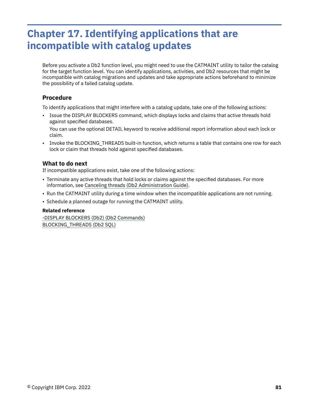## <span id="page-86-0"></span>**Chapter 17. Identifying applications that are incompatible with catalog updates**

Before you activate a Db2 function level, you might need to use the CATMAINT utility to tailor the catalog for the target function level. You can identify applications, activities, and Db2 resources that might be incompatible with catalog migrations and updates and take appropriate actions beforehand to minimize the possibility of a failed catalog update.

## **Procedure**

To identify applications that might interfere with a catalog update, take one of the following actions:

• Issue the DISPLAY BLOCKERS command, which displays locks and claims that active threads hold against specified databases.

You can use the optional DETAIL keyword to receive additional report information about each lock or claim.

• Invoke the BLOCKING\_THREADS built-in function, which returns a table that contains one row for each lock or claim that threads hold against specified databases.

## **What to do next**

If incompatible applications exist, take one of the following actions:

- Terminate any active threads that hold locks or claims against the specified databases. For more information, see [Canceling threads \(Db2 Administration Guide\)](https://www.ibm.com/docs/en/SSEPEK_13.0.0/admin/src/tpc/db2z_cancelthreads.html).
- Run the CATMAINT utility during a time window when the incompatible applications are not running.
- Schedule a planned outage for running the CATMAINT utility.

#### **Related reference**

[-DISPLAY BLOCKERS \(Db2\) \(Db2 Commands\)](https://www.ibm.com/docs/en/SSEPEK_13.0.0/comref/src/tpc/db2z_cmd_displayblockers.html) [BLOCKING\\_THREADS \(Db2 SQL\)](https://www.ibm.com/docs/en/SSEPEK_13.0.0/sqlref/src/tpc/db2z_bif_blockingthreads.html)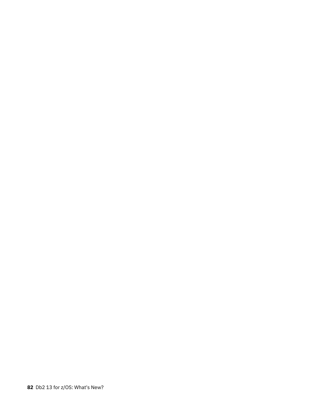Db2 13 for z/OS: What's New?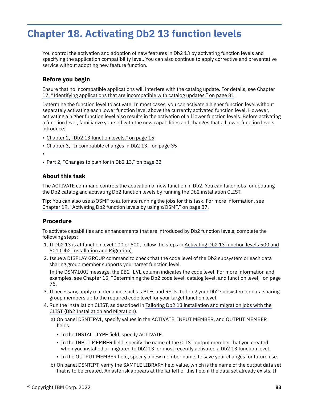# <span id="page-88-0"></span>**Chapter 18. Activating Db2 13 function levels**

You control the activation and adoption of new features in Db2 13 by activating function levels and specifying the application compatibility level. You can also continue to apply corrective and preventative service without adopting new feature function.

## **Before you begin**

Ensure that no incompatible applications will interfere with the catalog update. For details, see [Chapter](#page-86-0) [17, "Identifying applications that are incompatible with catalog updates," on page 81](#page-86-0).

Determine the function level to activate. In most cases, you can activate a higher function level without separately activating each lower function level above the currently activated function level. However, activating a higher function level also results in the activation of all lower function levels. Before activating a function level, familiarize yourself with the new capabilities and changes that all lower function levels introduce:

- • [Chapter 2, "Db2 13 function levels," on page 15](#page-20-0)
- • [Chapter 3, "Incompatible changes in Db2 13," on page 35](#page-40-0)

•

• [Part 2, "Changes to plan for in Db2 13," on page 33](#page-38-0)

## **About this task**

The ACTIVATE command controls the activation of new function in Db2. You can tailor jobs for updating the Db2 catalog and activating Db2 function levels by running the Db2 installation CLIST.

**Tip:** You can also use z/OSMF to automate running the jobs for this task. For more information, see [Chapter 19, "Activating Db2 function levels by using z/OSMF," on page 87](#page-92-0).

### **Procedure**

To activate capabilities and enhancements that are introduced by Db2 function levels, complete the following steps:

- 1. If Db2 13 is at function level 100 or 500, follow the steps in [Activating Db2 13 function levels 500 and](https://www.ibm.com/docs/en/SSEPEK_13.0.0/inst/src/tpc/db2z_activateflmigrate.html) [501 \(Db2 Installation and Migration\)](https://www.ibm.com/docs/en/SSEPEK_13.0.0/inst/src/tpc/db2z_activateflmigrate.html).
- 2. Issue a DISPLAY GROUP command to check that the code level of the Db2 subsystem or each data sharing group member supports your target function level.

In the DSN7100I message, the DB2 LVL column indicates the code level. For more information and examples, see [Chapter 15, "Determining the Db2 code level, catalog level, and function level," on page](#page-80-0) [75](#page-80-0).

- 3. If necessary, apply maintenance, such as PTFs and RSUs, to bring your Db2 subsystem or data sharing group members up to the required code level for your target function level.
- 4. Run the installation CLIST, as described in [Tailoring Db2 13 installation and migration jobs with the](https://www.ibm.com/docs/en/SSEPEK_13.0.0/inst/src/tpc/db2z_tailorjobsclist.html) [CLIST \(Db2 Installation and Migration\).](https://www.ibm.com/docs/en/SSEPEK_13.0.0/inst/src/tpc/db2z_tailorjobsclist.html)
	- a) On panel DSNTIPA1, specify values in the ACTIVATE, INPUT MEMBER, and OUTPUT MEMBER fields.
		- In the INSTALL TYPE field, specify ACTIVATE.
		- In the INPUT MEMBER field, specify the name of the CLIST output member that you created when you installed or migrated to Db2 13, or most recently activated a Db2 13 function level.
		- In the OUTPUT MEMBER field, specify a new member name, to save your changes for future use.
	- b) On panel DSNTIPT, verify the SAMPLE LIBRARY field value, which is the name of the output data set that is to be created. An asterisk appears at the far left of this field if the data set already exists. If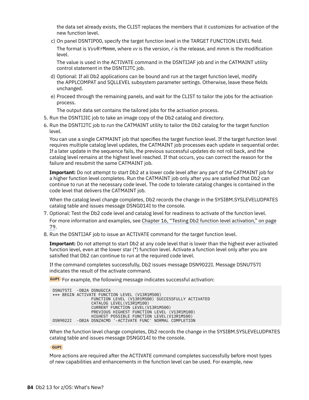the data set already exists, the CLIST replaces the members that it customizes for activation of the new function level.

c) On panel DSNTIP00, specify the target function level in the TARGET FUNCTION LEVEL field. The format is V*vv*R*r*M*mmm*, where *vv* is the version, *r* is the release, and *mmm* is the modification

The value is used in the ACTIVATE command in the DSNTIJAF job and in the CATMAINT utility control statement in the DSNTIJTC job.

- d) Optional: If all Db2 applications can be bound and run at the target function level, modify the APPLCOMPAT and SQLLEVEL subsystem parameter settings. Otherwise, leave these fields unchanged.
- e) Proceed through the remaining panels, and wait for the CLIST to tailor the jobs for the activation process.

The output data set contains the tailored jobs for the activation process.

- 5. Run the DSNTIJIC job to take an image copy of the Db2 catalog and directory.
- 6. Run the DSNTIJTC job to run the CATMAINT utility to tailor the Db2 catalog for the target function level.

You can use a single CATMAINT job that specifies the target function level. If the target function level requires multiple catalog level updates, the CATMAINT job processes each update in sequential order. If a later update in the sequence fails, the previous successful updates do not roll back, and the catalog level remains at the highest level reached. If that occurs, you can correct the reason for the failure and resubmit the same CATMAINT job.

**Important:** Do not attempt to start Db2 at a lower code level after any part of the CATMAINT job for a higher function level completes. Run the CATMAINT job only after you are satisfied that Db2 can continue to run at the necessary code level. The code to tolerate catalog changes is contained in the code level that delivers the CATMAINT job.

When the catalog level change completes, Db2 records the change in the SYSIBM.SYSLEVELUDPATES catalog table and issues message DSNG014I to the console.

7. Optional: Test the Db2 code level and catalog level for readiness to activate of the function level.

For more information and examples, see [Chapter 16, "Testing Db2 function level activation," on page](#page-84-0) [79](#page-84-0).

8. Run the DSNTIJAF job to issue an ACTIVATE command for the target function level.

**Important:** Do not attempt to start Db2 at any code level that is lower than the highest ever activated function level, even at the lower star (\*) function level. Activate a function level only after you are satisfied that Db2 can continue to run at the required code level.

If the command completes successfully, Db2 issues message DSN9022I. Message DSNU757I indicates the result of the activate command.

**GUPI** For example, the following message indicates successful activation:

| DSNU757I -DB2A DSNUGCCA                                    |
|------------------------------------------------------------|
| *** BEGIN ACTIVATE FUNCTION LEVEL (V13R1M500)              |
| FUNCTION LEVEL (V13R1M500) SUCCESSFULLY ACTIVATED          |
| CATALOG LEVEL (V13R1M100)                                  |
| CURRENT FUNCTION LEVEL (V13R1M500)                         |
| PREVIOUS HIGHEST FUNCTION LEVEL (V13R1M100)                |
| HIGHEST POSSIBLE FUNCTION LEVEL (V13R1M500)                |
| DSN9022I -DB2A DSNZACMD '-ACTIVATE FUNC' NORMAL COMPLETION |

When the function level change completes, Db2 records the change in the SYSIBM.SYSLEVELUDPATES catalog table and issues message DSNG014I to the console.

#### **GUPI**

level.

More actions are required after the ACTIVATE command completes successfully before most types of new capabilities and enhancements in the function level can be used. For example, new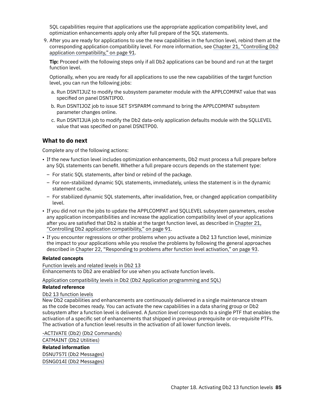SQL capabilities require that applications use the appropriate application compatibility level, and optimization enhancements apply only after full prepare of the SQL statements.

9. After you are ready for applications to use the new capabilities in the function level, rebind them at the corresponding application compatibility level. For more information, see [Chapter 21, "Controlling Db2](#page-96-0) [application compatibility," on page 91](#page-96-0).

**Tip:** Proceed with the following steps only if all Db2 applications can be bound and run at the target function level.

Optionally, when you are ready for all applications to use the new capabilities of the target function level, you can run the following jobs:

- a. Run DSNTIJUZ to modify the subsystem parameter module with the APPLCOMPAT value that was specified on panel DSNTIP00.
- b. Run DSNTIJOZ job to issue SET SYSPARM command to bring the APPLCOMPAT subsystem parameter changes online.
- c. Run DSNTIJUA job to modify the Db2 data-only application defaults module with the SQLLEVEL value that was specified on panel DSNITP00.

### **What to do next**

Complete any of the following actions:

- If the new function level includes optimization enhancements, Db2 must process a full prepare before any SQL statements can benefit. Whether a full prepare occurs depends on the statement type:
	- For static SQL statements, after bind or rebind of the package.
	- For non-stabilized dynamic SQL statements, immediately, unless the statement is in the dynamic statement cache.
	- For stabilized dynamic SQL statements, after invalidation, free, or changed application compatibility level.
- If you did not run the jobs to update the APPLCOMPAT and SQLLEVEL subsystem parameters, resolve any application incompatibilities and increase the application compatibility level of your applications after you are satisfied that Db2 is stable at the target function level, as described in [Chapter 21,](#page-96-0) ["Controlling Db2 application compatibility," on page 91.](#page-96-0)
- If you encounter regressions or other problems when you activate a Db2 13 function level, minimize the impact to your applications while you resolve the problems by following the general approaches described in [Chapter 22, "Responding to problems after function level activation," on page 93.](#page-98-0)

#### **Related concepts**

[Function levels and related levels in Db2 13](#page-76-0) Enhancements to Db2 are enabled for use when you activate function levels.

[Application compatibility levels in Db2 \(Db2 Application programming and SQL\)](https://www.ibm.com/docs/en/SSEPEK_13.0.0/apsg/src/tpc/db2z_applicationcompatibility.html)

#### **Related reference**

#### [Db2 13 function levels](#page-20-0)

New Db2 capabilities and enhancements are continuously delivered in a single maintenance stream as the code becomes ready. You can activate the new capabilities in a data sharing group or Db2 subsystem after a function level is delivered. A *function level* corresponds to a single PTF that enables the activation of a specific set of enhancements that shipped in previous prerequisite or co-requisite PTFs. The activation of a function level results in the activation of all lower function levels.

[-ACTIVATE \(Db2\) \(Db2 Commands\)](https://www.ibm.com/docs/en/SSEPEK_13.0.0/comref/src/tpc/db2z_cmd_activate.html)

[CATMAINT \(Db2 Utilities\)](https://www.ibm.com/docs/en/SSEPEK_13.0.0/ugref/src/tpc/db2z_utl_catmaint.html)

#### **Related information**

[DSNU757I \(Db2 Messages\)](https://www.ibm.com/docs/en/SSEPEK_13.0.0/msgs/src/tpc/dsnu757i.html) [DSNG014I \(Db2 Messages\)](https://www.ibm.com/docs/en/SSEPEK_13.0.0/msgs/src/tpc/dsng014i.html)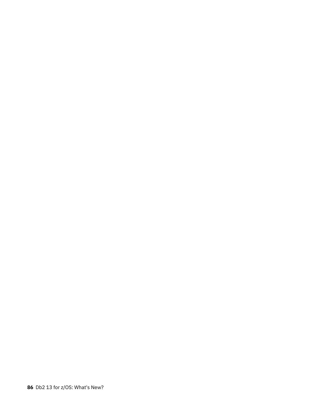Db2 13 for z/OS: What's New?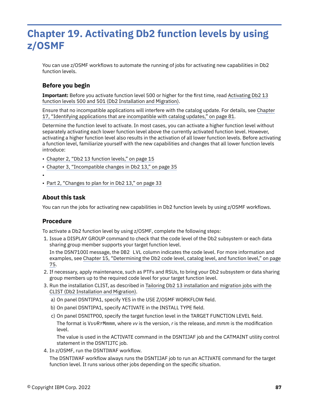# <span id="page-92-0"></span>**Chapter 19. Activating Db2 function levels by using z/OSMF**

You can use z/OSMF workflows to automate the running of jobs for activating new capabilities in Db2 function levels.

## **Before you begin**

**Important:** Before you activate function level 500 or higher for the first time, read [Activating Db2 13](https://www.ibm.com/docs/en/SSEPEK_13.0.0/inst/src/tpc/db2z_activateflmigrate.html) [function levels 500 and 501 \(Db2 Installation and Migration\)](https://www.ibm.com/docs/en/SSEPEK_13.0.0/inst/src/tpc/db2z_activateflmigrate.html).

Ensure that no incompatible applications will interfere with the catalog update. For details, see [Chapter](#page-86-0) [17, "Identifying applications that are incompatible with catalog updates," on page 81](#page-86-0).

Determine the function level to activate. In most cases, you can activate a higher function level without separately activating each lower function level above the currently activated function level. However, activating a higher function level also results in the activation of all lower function levels. Before activating a function level, familiarize yourself with the new capabilities and changes that all lower function levels introduce:

- • [Chapter 2, "Db2 13 function levels," on page 15](#page-20-0)
- • [Chapter 3, "Incompatible changes in Db2 13," on page 35](#page-40-0)
- •
- • [Part 2, "Changes to plan for in Db2 13," on page 33](#page-38-0)

## **About this task**

You can run the jobs for activating new capabilities in Db2 function levels by using z/OSMF workflows.

### **Procedure**

To activate a Db2 function level by using z/OSMF, complete the following steps:

1. Issue a DISPLAY GROUP command to check that the code level of the Db2 subsystem or each data sharing group member supports your target function level.

In the DSN7100I message, the DB2 LVL column indicates the code level. For more information and examples, see [Chapter 15, "Determining the Db2 code level, catalog level, and function level," on page](#page-80-0) [75](#page-80-0).

- 2. If necessary, apply maintenance, such as PTFs and RSUs, to bring your Db2 subsystem or data sharing group members up to the required code level for your target function level.
- 3. Run the installation CLIST, as described in [Tailoring Db2 13 installation and migration jobs with the](https://www.ibm.com/docs/en/SSEPEK_13.0.0/inst/src/tpc/db2z_tailorjobsclist.html) [CLIST \(Db2 Installation and Migration\).](https://www.ibm.com/docs/en/SSEPEK_13.0.0/inst/src/tpc/db2z_tailorjobsclist.html)
	- a) On panel DSNTIPA1, specify YES in the USE Z/OSMF WORKFLOW field.
	- b) On panel DSNTIPA1, specify ACTIVATE in the INSTALL TYPE field.
	- c) On panel DSNITP00, specify the target function level in the TARGET FUNCTION LEVEL field. The format is V*vv*R*r*M*mmm*, where *vv* is the version, *r* is the release, and *mmm* is the modification level.

The value is used in the ACTIVATE command in the DSNTIJAF job and the CATMAINT utility control statement in the DSNTIJTC job.

4. In z/OSMF, run the DSNTIWAF workflow.

The DSNTIWAF workflow always runs the DSNTIJAF job to run an ACTIVATE command for the target function level. It runs various other jobs depending on the specific situation.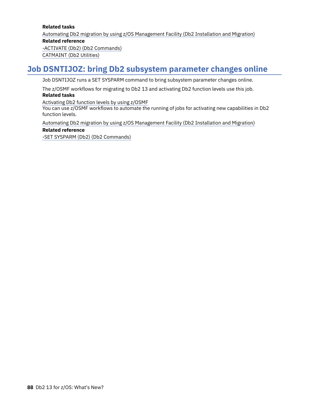## **Related tasks** [Automating Db2 migration by using z/OS Management Facility \(Db2 Installation and Migration\)](https://www.ibm.com/docs/en/SSEPEK_13.0.0/inst/src/tpc/db2z_migratedb2zosmf.html) **Related reference** [-ACTIVATE \(Db2\) \(Db2 Commands\)](https://www.ibm.com/docs/en/SSEPEK_13.0.0/comref/src/tpc/db2z_cmd_activate.html) [CATMAINT \(Db2 Utilities\)](https://www.ibm.com/docs/en/SSEPEK_13.0.0/ugref/src/tpc/db2z_utl_catmaint.html)

## **Job DSNTIJOZ: bring Db2 subsystem parameter changes online**

Job DSNTIJOZ runs a SET SYSPARM command to bring subsystem parameter changes online.

The z/OSMF workflows for migrating to Db2 13 and activating Db2 function levels use this job. **Related tasks**

[Activating Db2 function levels by using z/OSMF](#page-92-0)

You can use z/OSMF workflows to automate the running of jobs for activating new capabilities in Db2 function levels.

[Automating Db2 migration by using z/OS Management Facility \(Db2 Installation and Migration\)](https://www.ibm.com/docs/en/SSEPEK_13.0.0/inst/src/tpc/db2z_migratedb2zosmf.html)

#### **Related reference**

[-SET SYSPARM \(Db2\) \(Db2 Commands\)](https://www.ibm.com/docs/en/SSEPEK_13.0.0/comref/src/tpc/db2z_cmd_setsysparm.html)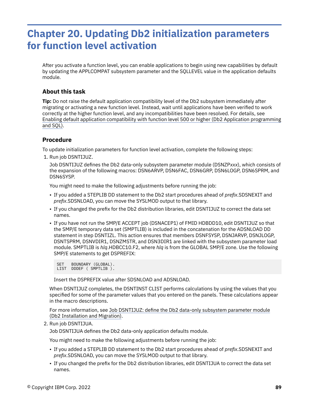# **Chapter 20. Updating Db2 initialization parameters for function level activation**

After you activate a function level, you can enable applications to begin using new capabilities by default by updating the APPLCOMPAT subsystem parameter and the SQLLEVEL value in the application defaults module.

## **About this task**

**Tip:** Do not raise the default application compatibility level of the Db2 subsystem immediately after migrating or activating a new function level. Instead, wait until applications have been verified to work correctly at the higher function level, and any incompatibilities have been resolved. For details, see [Enabling default application compatibility with function level 500 or higher \(Db2 Application programming](https://www.ibm.com/docs/en/SSEPEK_13.0.0/apsg/src/tpc/db2z_enableapplcompatsubsystem.html) [and SQL\)](https://www.ibm.com/docs/en/SSEPEK_13.0.0/apsg/src/tpc/db2z_enableapplcompatsubsystem.html).

## **Procedure**

To update initialization parameters for function level activation, complete the following steps:

1. Run job DSNTIJUZ.

Job DSNTIJUZ defines the Db2 data-only subsystem parameter module (DSNZP*xxx*), which consists of the expansion of the following macros: DSN6ARVP, DSN6FAC, DSN6GRP, DSN6LOGP, DSN6SPRM, and DSN6SYSP.

You might need to make the following adjustments before running the job:

- If you added a STEPLIB DD statement to the Db2 start procedures ahead of *prefix*.SDSNEXIT and *prefix*.SDSNLOAD, you can move the SYSLMOD output to that library.
- If you changed the prefix for the Db2 distribution libraries, edit DSNTIJUZ to correct the data set names.
- If you have not run the SMP/E ACCEPT job (DSNACEP1) of FMID HDBDD10, edit DSNTIJUZ so that the SMP/E temporary data set (SMPTLIB) is included in the concatenation for the ADSNLOAD DD statement in step DSNTIZL. This action ensures that members DSNFSYSP, DSNJARVP, DSNJLOGP, DSNTSPRM, DSNVDIR1, DSNZMSTR, and DSN3DIR1 are linked with the subsystem parameter load module. SMPTLIB is *hlq*.HDBCC10.F2, where *hlq* is from the GLOBAL SMP/E zone. Use the following SMP/E statements to get DSPREFIX:

```
SET BOUNDARY (GLOBAL).
LIST DDDEF ( SMPTLIB ).
```
Insert the DSPREFIX value after SDSNLOAD and ADSNLOAD.

When DSNTIJUZ completes, the DSNTINST CLIST performs calculations by using the values that you specified for some of the parameter values that you entered on the panels. These calculations appear in the macro descriptions.

For more information, see [Job DSNTIJUZ: define the Db2 data-only subsystem parameter module](https://www.ibm.com/docs/en/SSEPEK_13.0.0/inst/src/tpc/db2z_jobdsntijuz.html) [\(Db2 Installation and Migration\).](https://www.ibm.com/docs/en/SSEPEK_13.0.0/inst/src/tpc/db2z_jobdsntijuz.html)

2. Run job DSNTIJUA.

Job DSNTIJUA defines the Db2 data-only application defaults module.

You might need to make the following adjustments before running the job:

- If you added a STEPLIB DD statement to the Db2 start procedures ahead of *prefix*.SDSNEXIT and *prefix*.SDSNLOAD, you can move the SYSLMOD output to that library.
- If you changed the prefix for the Db2 distribution libraries, edit DSNTIJUA to correct the data set names.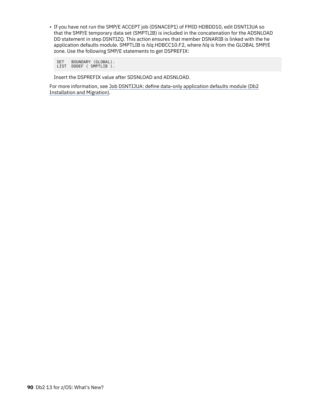• If you have not run the SMP/E ACCEPT job (DSNACEP1) of FMID HDBDD10, edit DSNTIJUA so that the SMP/E temporary data set (SMPTLIB) is included in the concatenation for the ADSNLOAD DD statement in step DSNTIZQ. This action ensures that member DSNARIB is linked with the he application defaults module. SMPTLIB is *hlq*.HDBCC10.F2, where *hlq* is from the GLOBAL SMP/E zone. Use the following SMP/E statements to get DSPREFIX:

SET BOUNDARY (GLOBAL). LIST DDDEF ( SMPTLIB ).

Insert the DSPREFIX value after SDSNLOAD and ADSNLOAD.

For more information, see [Job DSNTIJUA: define data-only application defaults module \(Db2](https://www.ibm.com/docs/en/SSEPEK_13.0.0/inst/src/tpc/db2z_jobdsntijua.html) [Installation and Migration\).](https://www.ibm.com/docs/en/SSEPEK_13.0.0/inst/src/tpc/db2z_jobdsntijua.html)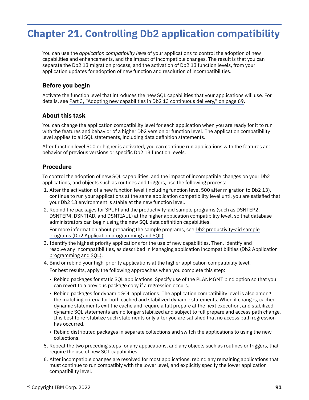# <span id="page-96-0"></span>**Chapter 21. Controlling Db2 application compatibility**

You can use the *application compatibility level* of your applications to control the adoption of new capabilities and enhancements, and the impact of incompatible changes. The result is that you can separate the Db2 13 migration process, and the activation of Db2 13 function levels, from your application updates for adoption of new function and resolution of incompatibilities.

## **Before you begin**

Activate the function level that introduces the new SQL capabilities that your applications will use. For details, see [Part 3, "Adopting new capabilities in Db2 13 continuous delivery," on page 69](#page-74-0).

## **About this task**

You can change the application compatibility level for each application when you are ready for it to run with the features and behavior of a higher Db2 version or function level. The application compatibility level applies to all SQL statements, including data definition statements.

After function level 500 or higher is activated, you can continue run applications with the features and behavior of previous versions or specific Db2 13 function levels.

## **Procedure**

To control the adoption of new SQL capabilities, and the impact of incompatible changes on your Db2 applications, and objects such as routines and triggers, use the following process:

- 1. After the activation of a new function level (including function level 500 after migration to Db2 13), continue to run your applications at the same application compatibility level until you are satisfied that your Db2 13 environment is stable at the new function level.
- 2. Rebind the packages for SPUFI and the productivity-aid sample programs (such as DSNTEP2, DSNTEP4, DSNTIAD, and DSNTIAUL) at the higher application compatibility level, so that database administrators can begin using the new SQL data definition capabilities.

For more information about preparing the sample programs, see [Db2 productivity-aid sample](https://www.ibm.com/docs/en/SSEPEK_13.0.0/apsg/src/tpc/db2z_db2prodaidsamps.html) [programs \(Db2 Application programming and SQL\).](https://www.ibm.com/docs/en/SSEPEK_13.0.0/apsg/src/tpc/db2z_db2prodaidsamps.html)

- 3. Identify the highest priority applications for the use of new capabilities. Then, identify and resolve any incompatibilities, as described in [Managing application incompatibilities \(Db2 Application](https://www.ibm.com/docs/en/SSEPEK_13.0.0/apsg/src/tpc/db2z_identifyincompatapplication.html) [programming and SQL\)](https://www.ibm.com/docs/en/SSEPEK_13.0.0/apsg/src/tpc/db2z_identifyincompatapplication.html).
- 4. Bind or rebind your high-priority applications at the higher application compatibility level.

For best results, apply the following approaches when you complete this step:

- Rebind packages for static SQL applications. Specify use of the PLANMGMT bind option so that you can revert to a previous package copy if a regression occurs.
- Rebind packages for dynamic SQL applications. The application compatibility level is also among the matching criteria for both cached and stabilized dynamic statements. When it changes, cached dynamic statements exit the cache and require a full prepare at the next execution, and stabilized dynamic SQL statements are no longer stabilized and subject to full prepare and access path change. It is best to re-stabilize such statements only after you are satisfied that no access path regression has occurred.
- Rebind distributed packages in separate collections and switch the applications to using the new collections.
- 5. Repeat the two preceding steps for any applications, and any objects such as routines or triggers, that require the use of new SQL capabilities.
- 6. After incompatible changes are resolved for most applications, rebind any remaining applications that must continue to run compatibly with the lower level, and explicitly specify the lower application compatibility level.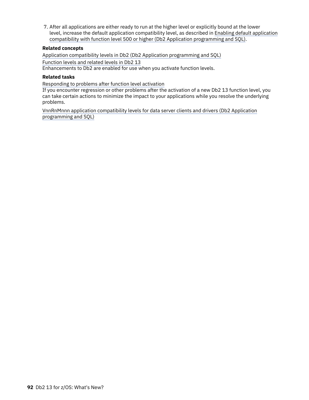7. After all applications are either ready to run at the higher level or explicitly bound at the lower level, increase the default application compatibility level, as described in [Enabling default application](https://www.ibm.com/docs/en/SSEPEK_13.0.0/apsg/src/tpc/db2z_enableapplcompatsubsystem.html) [compatibility with function level 500 or higher \(Db2 Application programming and SQL\).](https://www.ibm.com/docs/en/SSEPEK_13.0.0/apsg/src/tpc/db2z_enableapplcompatsubsystem.html)

#### **Related concepts**

[Application compatibility levels in Db2 \(Db2 Application programming and SQL\)](https://www.ibm.com/docs/en/SSEPEK_13.0.0/apsg/src/tpc/db2z_applicationcompatibility.html)

[Function levels and related levels in Db2 13](#page-76-0)

Enhancements to Db2 are enabled for use when you activate function levels.

#### **Related tasks**

[Responding to problems after function level activation](#page-98-0)

If you encounter regression or other problems after the activation of a new Db2 13 function level, you can take certain actions to minimize the impact to your applications while you resolve the underlying problems.

[VnnRnMnnn application compatibility levels for data server clients and drivers \(Db2 Application](https://www.ibm.com/docs/en/SSEPEK_13.0.0/apsg/src/tpc/db2z_applcompatclients.html) [programming and SQL\)](https://www.ibm.com/docs/en/SSEPEK_13.0.0/apsg/src/tpc/db2z_applcompatclients.html)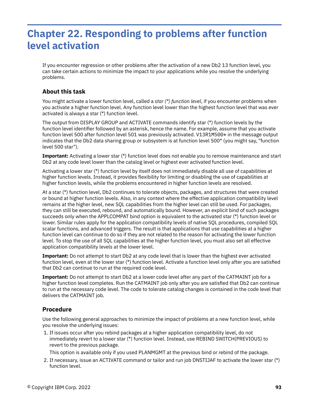# <span id="page-98-0"></span>**Chapter 22. Responding to problems after function level activation**

If you encounter regression or other problems after the activation of a new Db2 13 function level, you can take certain actions to minimize the impact to your applications while you resolve the underlying problems.

## **About this task**

You might activate a lower function level, called a *star (\*) function level*, if you encounter problems when you activate a higher function level. Any function level lower than the highest function level that was ever activated is always a star (\*) function level.

The output from DISPLAY GROUP and ACTIVATE commands identify star (\*) function levels by the function level identifier followed by an asterisk, hence the name. For example, assume that you activate function level 500 after function level 501 was previously activated. V13R1M500 $\star$  in the message output indicates that the Db2 data sharing group or subsystem is at function level 500\* (you might say, "function level 500 star").

**Important:** Activating a lower star (\*) function level does not enable you to remove maintenance and start Db2 at any code level lower than the catalog level or highest ever activated function level.

Activating a lower star (\*) function level by itself does not immediately disable all use of capabilities at higher function levels. Instead, it provides flexibility for limiting or disabling the use of capabilities at higher function levels, while the problems encountered in higher function levels are resolved.

At a star (\*) function level, Db2 continues to tolerate objects, packages, and structures that were created or bound at higher function levels. Also, in any context where the effective application compatibility level remains at the higher level, new SQL capabilities from the higher level can still be used. For packages, they can still be executed, rebound, and automatically bound. However, an explicit bind of such packages succeeds only when the APPLCOMPAT bind option is equivalent to the activated star (\*) function level or lower. Similar rules apply for the application compatibility levels of native SQL procedures, compiled SQL scalar functions, and advanced triggers. The result is that applications that use capabilities at a higher function level can continue to do so if they are not related to the reason for activating the lower function level. To stop the use of all SQL capabilities at the higher function level, you must also set all effective application compatibility levels at the lower level.

**Important:** Do not attempt to start Db2 at any code level that is lower than the highest ever activated function level, even at the lower star (\*) function level. Activate a function level only after you are satisfied that Db2 can continue to run at the required code level.

**Important:** Do not attempt to start Db2 at a lower code level after any part of the CATMAINT job for a higher function level completes. Run the CATMAINT job only after you are satisfied that Db2 can continue to run at the necessary code level. The code to tolerate catalog changes is contained in the code level that delivers the CATMAINT job.

## **Procedure**

Use the following general approaches to minimize the impact of problems at a new function level, while you resolve the underlying issues:

1. If issues occur after you rebind packages at a higher application compatibility level, do not immediately revert to a lower star (\*) function level. Instead, use REBIND SWITCH(PREVIOUS) to revert to the previous package.

This option is available only if you used PLANMGMT at the previous bind or rebind of the package.

2. If necessary, issue an ACTIVATE command or tailor and run job DNSTIJAF to activate the lower star (\*) function level.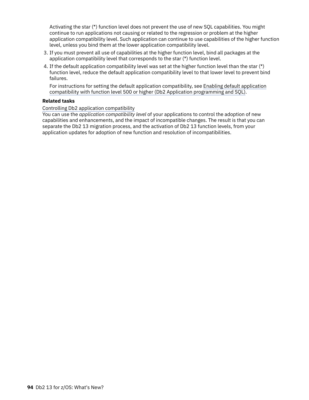Activating the star (\*) function level does not prevent the use of new SQL capabilities. You might continue to run applications not causing or related to the regression or problem at the higher application compatibility level. Such application can continue to use capabilities of the higher function level, unless you bind them at the lower application compatibility level.

- 3. If you must prevent all use of capabilities at the higher function level, bind all packages at the application compatibility level that corresponds to the star (\*) function level.
- 4. If the default application compatibility level was set at the higher function level than the star (\*) function level, reduce the default application compatibility level to that lower level to prevent bind failures.

For instructions for setting the default application compatibility, see [Enabling default application](https://www.ibm.com/docs/en/SSEPEK_13.0.0/apsg/src/tpc/db2z_enableapplcompatsubsystem.html) [compatibility with function level 500 or higher \(Db2 Application programming and SQL\).](https://www.ibm.com/docs/en/SSEPEK_13.0.0/apsg/src/tpc/db2z_enableapplcompatsubsystem.html)

### **Related tasks**

#### [Controlling Db2 application compatibility](#page-96-0)

You can use the *application compatibility level* of your applications to control the adoption of new capabilities and enhancements, and the impact of incompatible changes. The result is that you can separate the Db2 13 migration process, and the activation of Db2 13 function levels, from your application updates for adoption of new function and resolution of incompatibilities.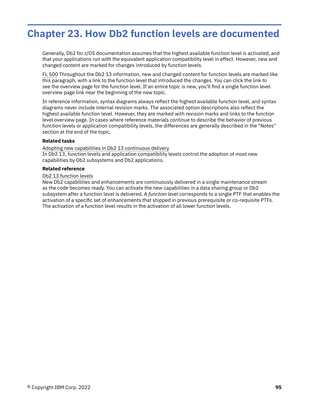## **Chapter 23. How Db2 function levels are documented**

Generally, Db2 for z/OS documentation assumes that the highest available function level is activated, and that your applications run with the equivalent application compatibility level in effect. However, new and changed content are marked for changes introduced by function levels.

[FL 500](#page-24-0) Throughout the Db2 13 information, new and changed content for function levels are marked like this paragraph, with a link to the function level that introduced the changes. You can click the link to see the overview page for the function level. If an entire topic is new, you'll find a single function level overview page link near the beginning of the new topic.

In reference information, syntax diagrams always reflect the highest available function level, and syntax diagrams never include internal revision marks. The associated option descriptions also reflect the highest available function level. However, they are marked with revision marks and links to the function level overview page. In cases where reference materials continue to describe the behavior of previous function levels or application compatibility levels, the differences are generally described in the "Notes" section at the end of the topic.

#### **Related tasks**

[Adopting new capabilities in Db2 13 continuous delivery](#page-74-0)

In Db2 13, function levels and application compatibility levels control the adoption of most new capabilities by Db2 subsystems and Db2 applications.

#### **Related reference**

#### [Db2 13 function levels](#page-20-0)

New Db2 capabilities and enhancements are continuously delivered in a single maintenance stream as the code becomes ready. You can activate the new capabilities in a data sharing group or Db2 subsystem after a function level is delivered. A *function level* corresponds to a single PTF that enables the activation of a specific set of enhancements that shipped in previous prerequisite or co-requisite PTFs. The activation of a function level results in the activation of all lower function levels.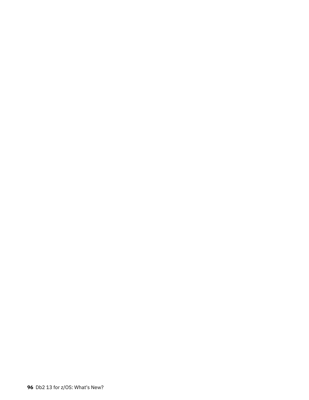Db2 13 for z/OS: What's New?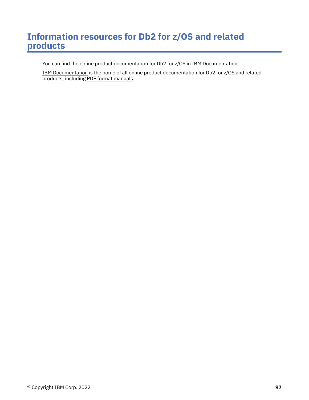## **Information resources for Db2 for z/OS and related products**

You can find the online product documentation for Db2 for z/OS in IBM Documentation.

[IBM Documentation](https://www.ibm.com/support/knowledgecenter/en/SSEPEK_13.0.0/home/src/tpc/db2z_13_prodhome.html) is the home of all online product documentation for Db2 for z/OS and related products, including [PDF format manuals.](https://www.ibm.com/docs/en/SSEPEK_13.0.0/home/src/tpc/db2z_pdfmanuals.html)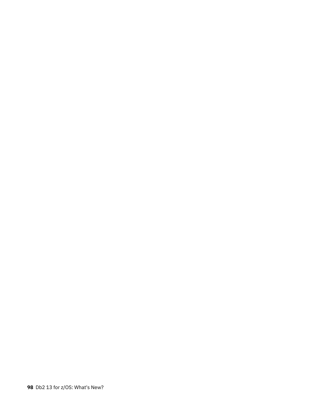Db2 13 for z/OS: What's New?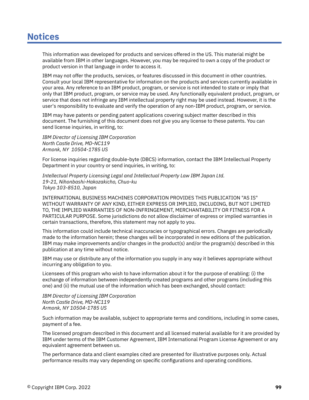## **Notices**

This information was developed for products and services offered in the US. This material might be available from IBM in other languages. However, you may be required to own a copy of the product or product version in that language in order to access it.

IBM may not offer the products, services, or features discussed in this document in other countries. Consult your local IBM representative for information on the products and services currently available in your area. Any reference to an IBM product, program, or service is not intended to state or imply that only that IBM product, program, or service may be used. Any functionally equivalent product, program, or service that does not infringe any IBM intellectual property right may be used instead. However, it is the user's responsibility to evaluate and verify the operation of any non-IBM product, program, or service.

IBM may have patents or pending patent applications covering subject matter described in this document. The furnishing of this document does not give you any license to these patents. You can send license inquiries, in writing, to:

*IBM Director of Licensing IBM Corporation North Castle Drive, MD-NC119 Armonk, NY 10504-1785 US*

For license inquiries regarding double-byte (DBCS) information, contact the IBM Intellectual Property Department in your country or send inquiries, in writing, to:

*Intellectual Property Licensing Legal and Intellectual Property Law IBM Japan Ltd. 19-21, Nihonbashi-Hakozakicho, Chuo-ku Tokyo 103-8510, Japan* 

INTERNATIONAL BUSINESS MACHINES CORPORATION PROVIDES THIS PUBLICATION "AS IS" WITHOUT WARRANTY OF ANY KIND, EITHER EXPRESS OR IMPLIED, INCLUDING, BUT NOT LIMITED TO, THE IMPLIED WARRANTIES OF NON-INFRINGEMENT, MERCHANTABILITY OR FITNESS FOR A PARTICULAR PURPOSE. Some jurisdictions do not allow disclaimer of express or implied warranties in certain transactions, therefore, this statement may not apply to you.

This information could include technical inaccuracies or typographical errors. Changes are periodically made to the information herein; these changes will be incorporated in new editions of the publication. IBM may make improvements and/or changes in the product(s) and/or the program(s) described in this publication at any time without notice.

IBM may use or distribute any of the information you supply in any way it believes appropriate without incurring any obligation to you.

Licensees of this program who wish to have information about it for the purpose of enabling: (i) the exchange of information between independently created programs and other programs (including this one) and (ii) the mutual use of the information which has been exchanged, should contact:

*IBM Director of Licensing IBM Corporation North Castle Drive, MD-NC119 Armonk, NY 10504-1785 US* 

Such information may be available, subject to appropriate terms and conditions, including in some cases, payment of a fee.

The licensed program described in this document and all licensed material available for it are provided by IBM under terms of the IBM Customer Agreement, IBM International Program License Agreement or any equivalent agreement between us.

The performance data and client examples cited are presented for illustrative purposes only. Actual performance results may vary depending on specific configurations and operating conditions.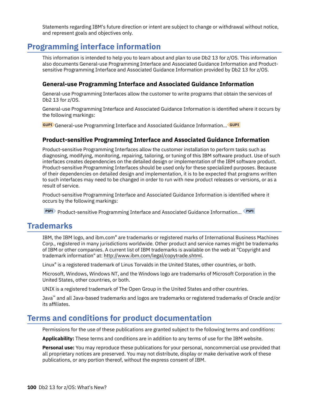Statements regarding IBM's future direction or intent are subject to change or withdrawal without notice, and represent goals and objectives only.

## **Programming interface information**

This information is intended to help you to learn about and plan to use Db2 13 for z/OS. This information also documents General-use Programming Interface and Associated Guidance Information and Productsensitive Programming Interface and Associated Guidance Information provided by Db2 13 for z/OS.

## **General-use Programming Interface and Associated Guidance Information**

General-use Programming Interfaces allow the customer to write programs that obtain the services of Db2 13 for z/OS.

General-use Programming Interface and Associated Guidance Information is identified where it occurs by the following markings:

**GUPI** General-use Programming Interface and Associated Guidance Information… **GUPI**

## **Product-sensitive Programming Interface and Associated Guidance Information**

Product-sensitive Programming Interfaces allow the customer installation to perform tasks such as diagnosing, modifying, monitoring, repairing, tailoring, or tuning of this IBM software product. Use of such interfaces creates dependencies on the detailed design or implementation of the IBM software product. Product-sensitive Programming Interfaces should be used only for these specialized purposes. Because of their dependencies on detailed design and implementation, it is to be expected that programs written to such interfaces may need to be changed in order to run with new product releases or versions, or as a result of service.

Product-sensitive Programming Interface and Associated Guidance Information is identified where it occurs by the following markings:

PSPI Product-sensitive Programming Interface and Associated Guidance Information... PSPI

## **Trademarks**

IBM, the IBM logo, and ibm.com® are trademarks or registered marks of International Business Machines Corp., registered in many jurisdictions worldwide. Other product and service names might be trademarks of IBM or other companies. A current list of IBM trademarks is available on the web at "Copyright and trademark information" at: <http://www.ibm.com/legal/copytrade.shtml>.

Linux® is a registered trademark of Linus Torvalds in the United States, other countries, or both.

Microsoft, Windows, Windows NT, and the Windows logo are trademarks of Microsoft Corporation in the United States, other countries, or both.

UNIX is a registered trademark of The Open Group in the United States and other countries.

Java™ and all Java-based trademarks and logos are trademarks or registered trademarks of Oracle and/or its affiliates.

## **Terms and conditions for product documentation**

Permissions for the use of these publications are granted subject to the following terms and conditions:

**Applicability:** These terms and conditions are in addition to any terms of use for the IBM website.

**Personal use:** You may reproduce these publications for your personal, noncommercial use provided that all proprietary notices are preserved. You may not distribute, display or make derivative work of these publications, or any portion thereof, without the express consent of IBM.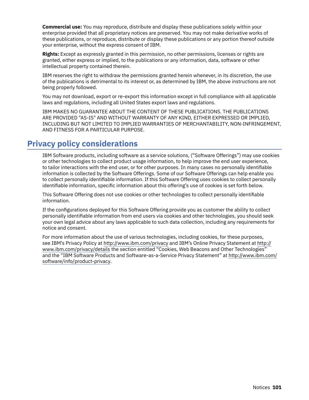**Commercial use:** You may reproduce, distribute and display these publications solely within your enterprise provided that all proprietary notices are preserved. You may not make derivative works of these publications, or reproduce, distribute or display these publications or any portion thereof outside your enterprise, without the express consent of IBM.

**Rights:** Except as expressly granted in this permission, no other permissions, licenses or rights are granted, either express or implied, to the publications or any information, data, software or other intellectual property contained therein.

IBM reserves the right to withdraw the permissions granted herein whenever, in its discretion, the use of the publications is detrimental to its interest or, as determined by IBM, the above instructions are not being properly followed.

You may not download, export or re-export this information except in full compliance with all applicable laws and regulations, including all United States export laws and regulations.

IBM MAKES NO GUARANTEE ABOUT THE CONTENT OF THESE PUBLICATIONS. THE PUBLICATIONS ARE PROVIDED "AS-IS" AND WITHOUT WARRANTY OF ANY KIND, EITHER EXPRESSED OR IMPLIED, INCLUDING BUT NOT LIMITED TO IMPLIED WARRANTIES OF MERCHANTABILITY, NON-INFRINGEMENT, AND FITNESS FOR A PARTICULAR PURPOSE.

## **Privacy policy considerations**

IBM Software products, including software as a service solutions, ("Software Offerings") may use cookies or other technologies to collect product usage information, to help improve the end user experience, to tailor interactions with the end user, or for other purposes. In many cases no personally identifiable information is collected by the Software Offerings. Some of our Software Offerings can help enable you to collect personally identifiable information. If this Software Offering uses cookies to collect personally identifiable information, specific information about this offering's use of cookies is set forth below.

This Software Offering does not use cookies or other technologies to collect personally identifiable information.

If the configurations deployed for this Software Offering provide you as customer the ability to collect personally identifiable information from end users via cookies and other technologies, you should seek your own legal advice about any laws applicable to such data collection, including any requirements for notice and consent.

For more information about the use of various technologies, including cookies, for these purposes, see IBM's Privacy Policy at<http://www.ibm.com/privacy> and IBM's Online Privacy Statement at [http://](http://www.ibm.com/privacy/details) [www.ibm.com/privacy/details](http://www.ibm.com/privacy/details) the section entitled "Cookies, Web Beacons and Other Technologies" and the "IBM Software Products and Software-as-a-Service Privacy Statement" at [http://www.ibm.com/](http://www.ibm.com/software/info/product-privacy) [software/info/product-privacy.](http://www.ibm.com/software/info/product-privacy)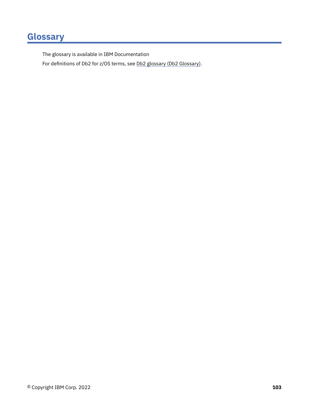# **Glossary**

The glossary is available in IBM Documentation

For definitions of Db2 for z/OS terms, see [Db2 glossary \(Db2 Glossary\).](https://www.ibm.com/docs/en/SSEPEK_13.0.0/glossary/src/gloss/db2z_gloss.html)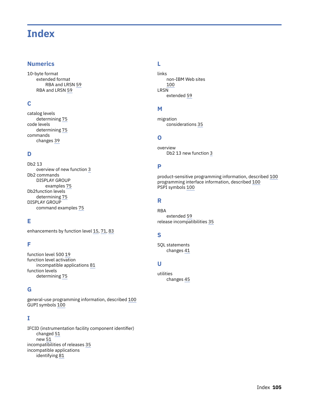# **Index**

#### **Numerics**

10-byte format extended format RBA and LRSN [59](#page-64-0) RBA and LRSN [59](#page-64-0)

### **C**

catalog levels determining [75](#page-80-0) code levels determining [75](#page-80-0) commands changes [39](#page-44-0)

# **D**

Db2 13 overview of new function [3](#page-8-0) Db2 commands DISPLAY GROUP examples [75](#page-80-0) Db2function levels determining [75](#page-80-0) DISPLAY GROUP command examples **[75](#page-80-0)** 

### **E**

enhancements by function level [15](#page-20-0), [71,](#page-76-0) [83](#page-88-0)

#### **F**

function level 500 [19](#page-24-0) function level activation incompatible applications [81](#page-86-0) function levels determining [75](#page-80-0)

### **G**

general-use programming information, described [100](#page-105-0) GUPI symbols [100](#page-105-0)

### **I**

IFCID (instrumentation facility component identifier) changed [51](#page-56-0) new [51](#page-56-0) incompatibilities of releases [35](#page-40-0) incompatible applications identifying [81](#page-86-0)

# **L**

links non-IBM Web sites [100](#page-105-0) **LRSN** extended [59](#page-64-0)

### **M**

migration considerations [35](#page-40-0)

# **O**

overview Db2 13 new function [3](#page-8-0)

#### **P**

product-sensitive programming information, described [100](#page-105-0) programming interface information, described [100](#page-105-0) PSPI symbols [100](#page-105-0)

#### **R**

RBA extended [59](#page-64-0) release incompatibilities [35](#page-40-0)

#### **S**

SQL statements changes [41](#page-46-0)

### **U**

utilities changes [45](#page-50-0)